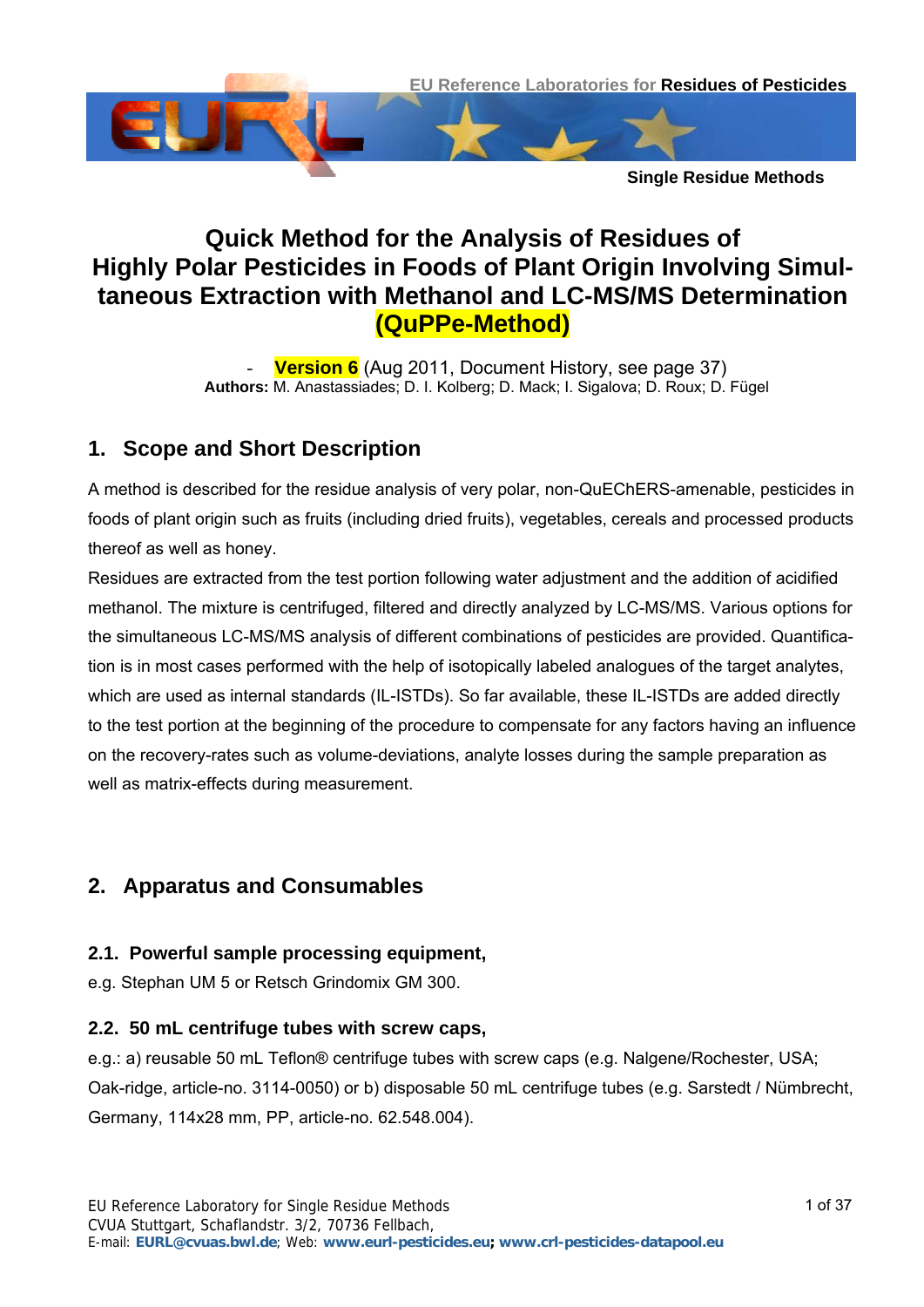

# **Quick Method for the Analysis of Residues of Highly Polar Pesticides in Foods of Plant Origin Involving Simultaneous Extraction with Methanol and LC-MS/MS Determination (QuPPe-Method)**

**Version 6** (Aug 2011, [Document History,](#page-36-0) see page [37](#page-36-0)) **Authors:** M. Anastassiades; D. I. Kolberg; D. Mack; I. Sigalova; D. Roux; D. Fügel

# **1. Scope and Short Description**

A method is described for the residue analysis of very polar, non-QuEChERS-amenable, pesticides in foods of plant origin such as fruits (including dried fruits), vegetables, cereals and processed products thereof as well as honey.

Residues are extracted from the test portion following water adjustment and the addition of acidified methanol. The mixture is centrifuged, filtered and directly analyzed by LC-MS/MS. Various options for the simultaneous LC-MS/MS analysis of different combinations of pesticides are provided. Quantification is in most cases performed with the help of isotopically labeled analogues of the target analytes, which are used as internal standards (IL-ISTDs). So far available, these IL-ISTDs are added directly to the test portion at the beginning of the procedure to compensate for any factors having an influence on the recovery-rates such as volume-deviations, analyte losses during the sample preparation as well as matrix-effects during measurement.

# **2. Apparatus and Consumables**

#### <span id="page-0-1"></span>**2.1. Powerful sample processing equipment,**

e.g. Stephan UM 5 or Retsch Grindomix GM 300.

#### <span id="page-0-0"></span>**2.2. 50 mL centrifuge tubes with screw caps,**

e.g.: a) reusable 50 mL Teflon® centrifuge tubes with screw caps (e.g. Nalgene/Rochester, USA; Oak-ridge, article-no. 3114-0050) or b) disposable 50 mL centrifuge tubes (e.g. Sarstedt / Nümbrecht, Germany, 114x28 mm, PP, article-no. 62.548.004).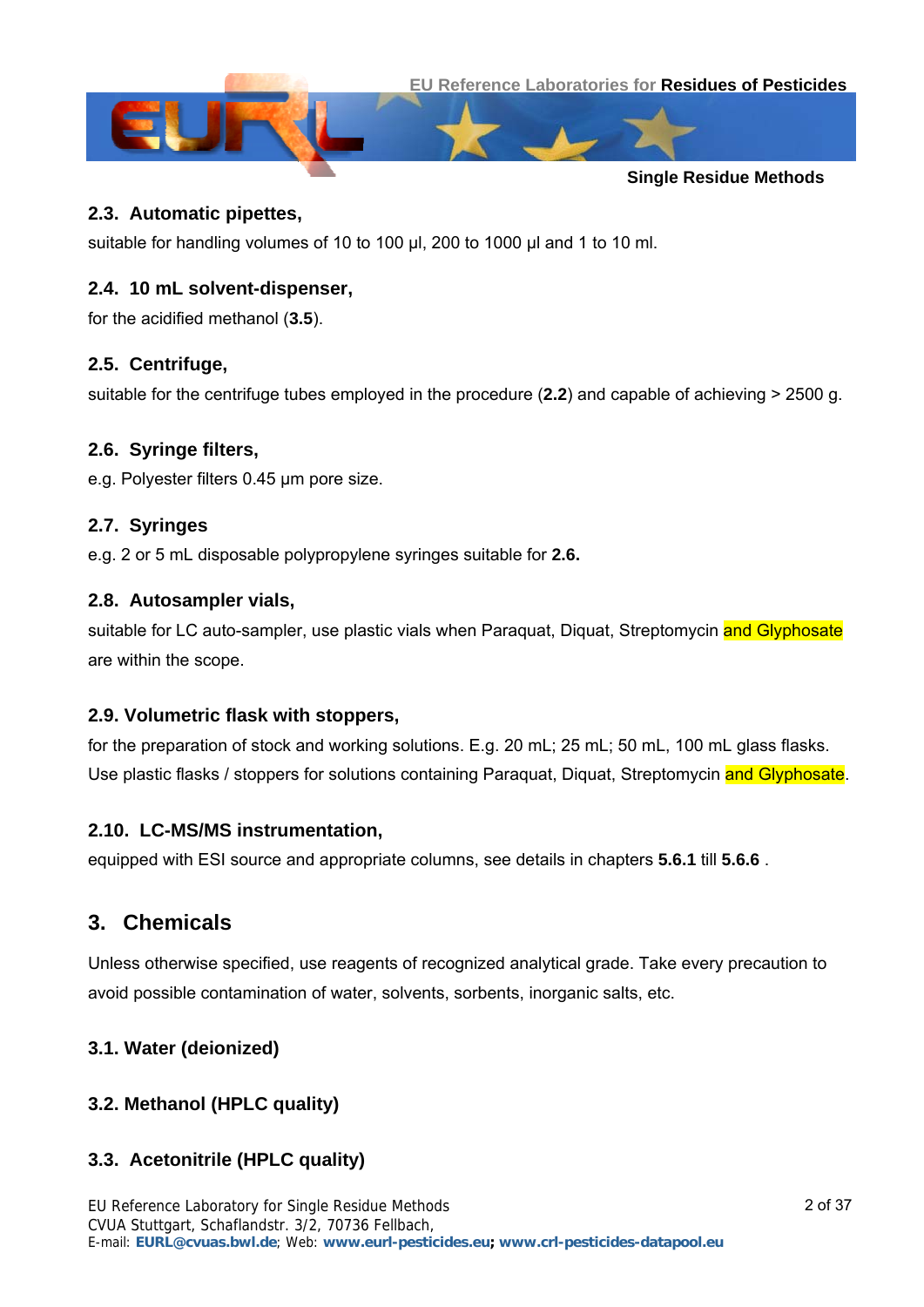

#### **2.3. Automatic pipettes,**

suitable for handling volumes of 10 to 100 μl, 200 to 1000 μl and 1 to 10 ml.

#### **2.4. 10 mL solvent-dispenser,**

for the acidified methanol (**[3.5](#page-2-0)**).

#### **2.5. Centrifuge,**

suitable for the centrifuge tubes employed in the procedure (**[2.2](#page-0-0)**) and capable of achieving > 2500 g.

#### <span id="page-1-0"></span>**2.6. Syringe filters,**

e.g. Polyester filters 0.45 µm pore size.

#### <span id="page-1-4"></span>**2.7. Syringes**

e.g. 2 or 5 mL disposable polypropylene syringes suitable for **[2.6.](#page-1-0)**

#### <span id="page-1-5"></span>**2.8. Autosampler vials,**

suitable for LC auto-sampler, use plastic vials when Paraquat, Diquat, Streptomycin and Glyphosate are within the scope.

#### **2.9. Volumetric flask with stoppers,**

for the preparation of stock and working solutions. E.g. 20 mL; 25 mL; 50 mL, 100 mL glass flasks. Use plastic flasks / stoppers for solutions containing Paraquat, Diquat, Streptomycin and Glyphosate.

#### **2.10. LC-MS/MS instrumentation,**

equipped with ESI source and appropriate columns, see details in chapters **[5.6.1](#page-8-0)** till **[5.6.6](#page-18-0)** .

## **3. Chemicals**

Unless otherwise specified, use reagents of recognized analytical grade. Take every precaution to avoid possible contamination of water, solvents, sorbents, inorganic salts, etc.

#### <span id="page-1-2"></span>**3.1. Water (deionized)**

#### <span id="page-1-1"></span>**3.2. Methanol (HPLC quality)**

#### <span id="page-1-3"></span>**3.3. Acetonitrile (HPLC quality)**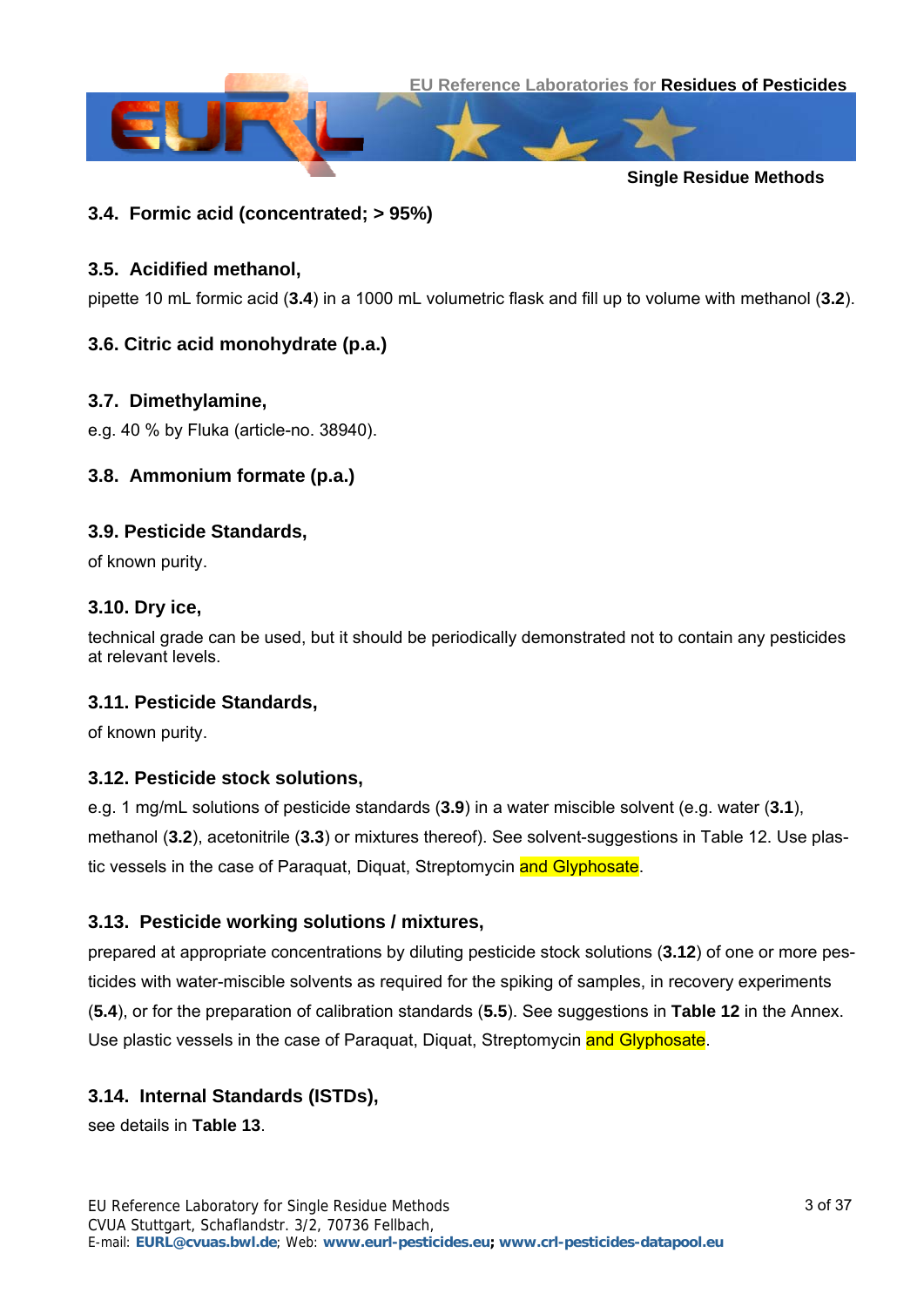



#### <span id="page-2-1"></span>**3.4. Formic acid (concentrated; > 95%)**

#### <span id="page-2-0"></span>**3.5. Acidified methanol,**

pipette 10 mL formic acid (**[3.4](#page-2-1)**) in a 1000 mL volumetric flask and fill up to volume with methanol (**[3.2](#page-1-1)**).

#### **3.6. Citric acid monohydrate (p.a.)**

#### **3.7. Dimethylamine,**

e.g. 40 % by Fluka (article-no. 38940).

#### **3.8. Ammonium formate (p.a.)**

#### <span id="page-2-2"></span>**3.9. Pesticide Standards,**

of known purity.

#### <span id="page-2-5"></span>**3.10. Dry ice,**

technical grade can be used, but it should be periodically demonstrated not to contain any pesticides at relevant levels.

#### **3.11. Pesticide Standards,**

of known purity.

#### <span id="page-2-3"></span>**3.12. Pesticide stock solutions,**

e.g. 1 mg/mL solutions of pesticide standards (**[3.9](#page-2-2)**) in a water miscible solvent (e.g. water (**[3.1](#page-1-2)**), methanol (**[3.2](#page-1-1)**), acetonitrile (**[3.3](#page-1-3)**) or mixtures thereof). See solvent-suggestions in [Table 12.](#page-27-0) Use plastic vessels in the case of Paraquat, Diquat, Streptomycin and Glyphosate.

#### <span id="page-2-6"></span>**3.13. Pesticide working solutions / mixtures,**

prepared at appropriate concentrations by diluting pesticide stock solutions (**[3.12](#page-2-3)**) of one or more pesticides with water-miscible solvents as required for the spiking of samples, in recovery experiments (**[5.4](#page-5-0)**), or for the preparation of calibration standards (**[5.5](#page-5-1)**). See suggestions in **[Table 12](#page-27-0)** in the Annex. Use plastic vessels in the case of Paraquat, Diquat, Streptomycin and Glyphosate.

#### <span id="page-2-4"></span>**3.14. Internal Standards (ISTDs),**

see details in **[Table 13](#page-28-0)**.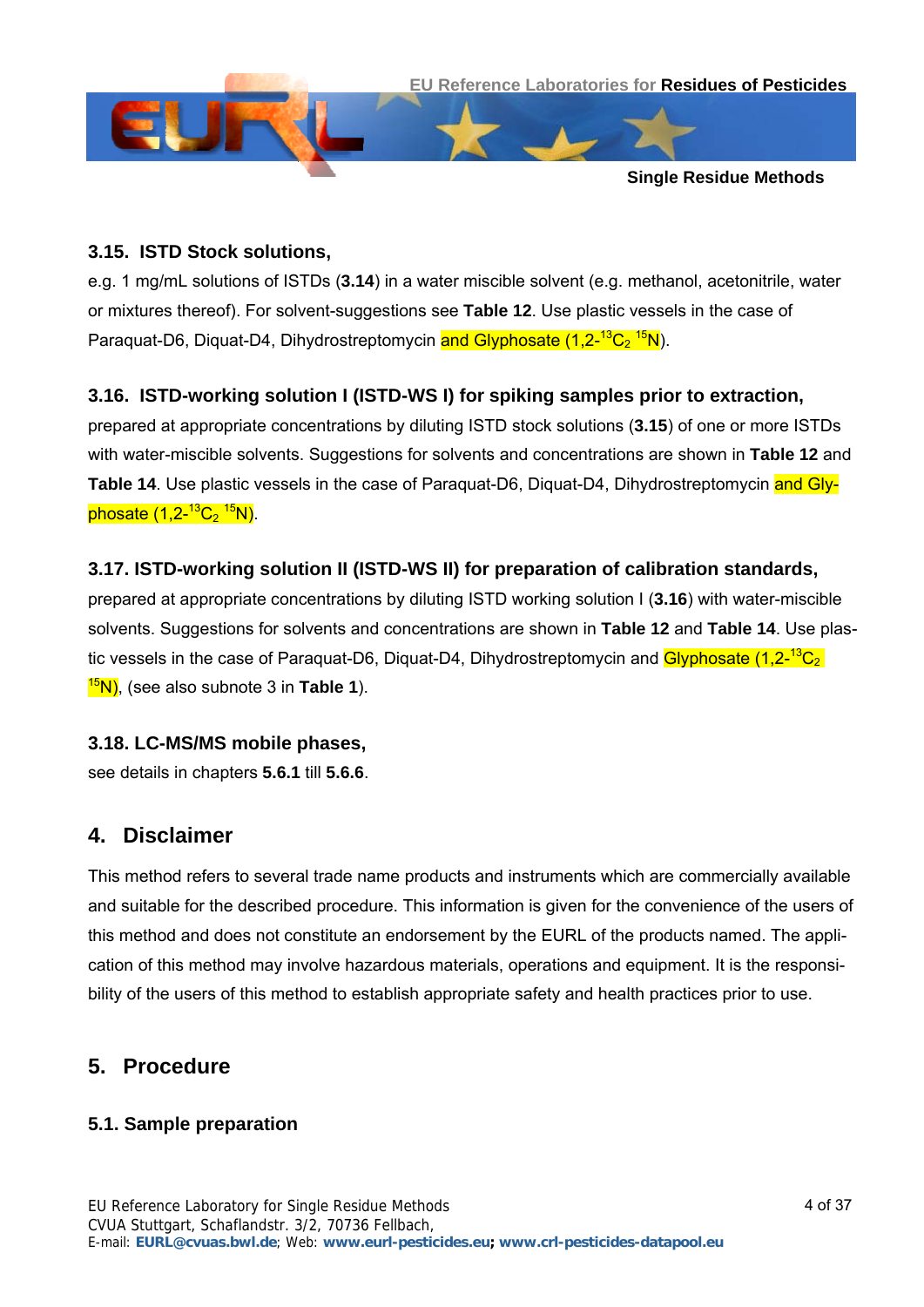

#### <span id="page-3-0"></span>**3.15. ISTD Stock solutions,**

e.g. 1 mg/mL solutions of ISTDs (**[3.14](#page-2-4)**) in a water miscible solvent (e.g. methanol, acetonitrile, water or mixtures thereof). For solvent-suggestions see **[Table 12](#page-27-0)**. Use plastic vessels in the case of Paraquat-D6, Diquat-D4, Dihydrostreptomycin and Glyphosate (1,2-<sup>13</sup>C<sub>2</sub> <sup>15</sup>N).

#### <span id="page-3-1"></span>**3.16. ISTD-working solution I (ISTD-WS I) for spiking samples prior to extraction,**

prepared at appropriate concentrations by diluting ISTD stock solutions (**[3.15](#page-3-0)**) of one or more ISTDs with water-miscible solvents. Suggestions for solvents and concentrations are shown in **[Table 12](#page-27-0)** and **[Table 14](#page-30-0)**. Use plastic vessels in the case of Paraquat-D6, Diquat-D4, Dihydrostreptomycin and Glyphosate (1,2-<sup>13</sup>C<sub>2</sub> <sup>15</sup>N).

#### <span id="page-3-3"></span>**3.17. ISTD-working solution II (ISTD-WS II) for preparation of calibration standards,**

prepared at appropriate concentrations by diluting ISTD working solution I (**[3.16](#page-3-1)**) with water-miscible solvents. Suggestions for solvents and concentrations are shown in **[Table 12](#page-27-0)** and **[Table 14](#page-30-0)**. Use plastic vessels in the case of Paraquat-D6, Diquat-D4, Dihydrostreptomycin and Glyphosate  $(1,2^{-13}C_2)$ 15N), (see also subnote 3 in **[Table 1](#page-6-0)**).

#### **3.18. LC-MS/MS mobile phases,**

see details in chapters **[5.6.1](#page-8-0)** till **[5.6.6](#page-18-0)**.

#### **4. Disclaimer**

This method refers to several trade name products and instruments which are commercially available and suitable for the described procedure. This information is given for the convenience of the users of this method and does not constitute an endorsement by the EURL of the products named. The application of this method may involve hazardous materials, operations and equipment. It is the responsibility of the users of this method to establish appropriate safety and health practices prior to use.

# **5. Procedure**

#### <span id="page-3-2"></span>**5.1. Sample preparation**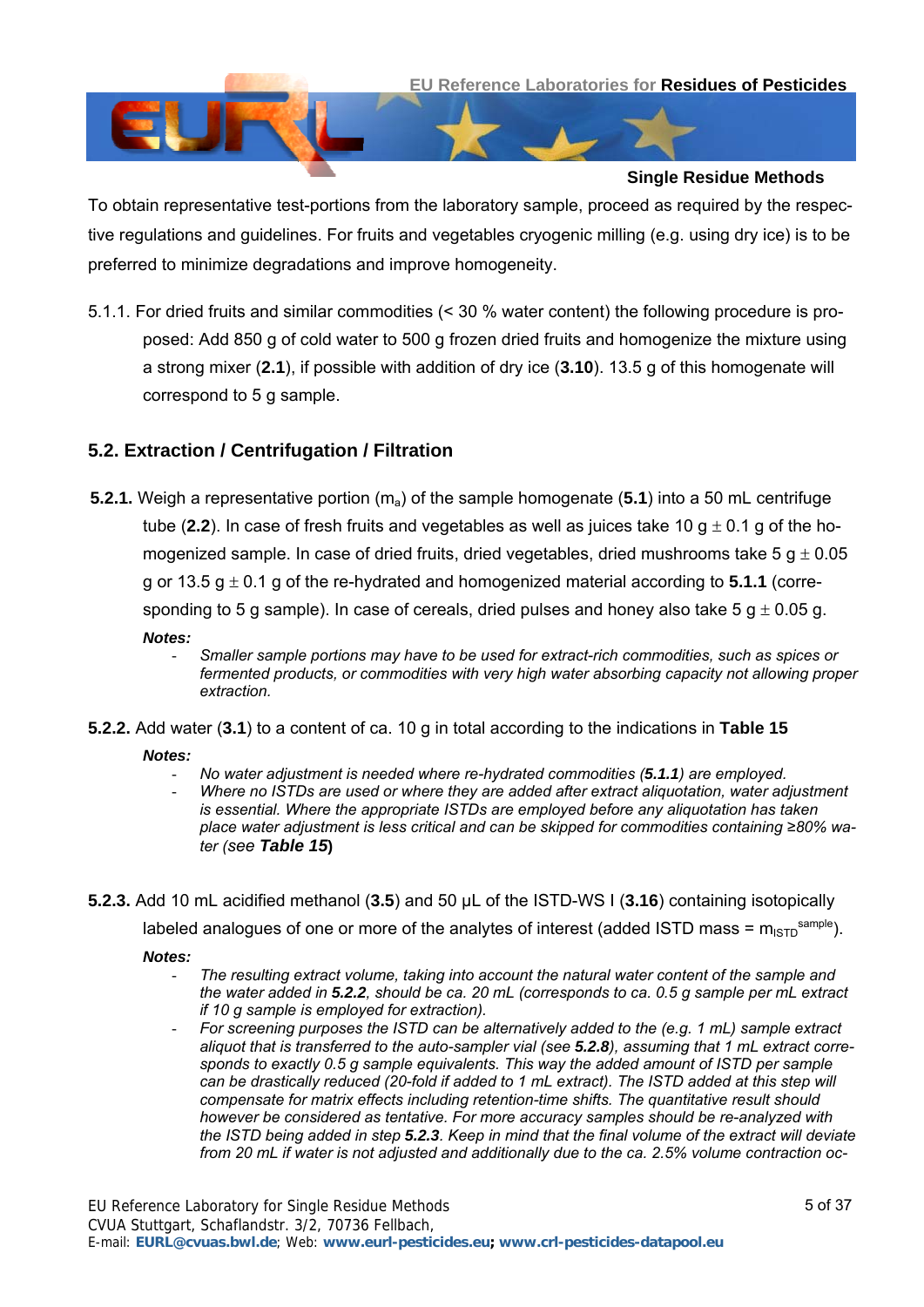

To obtain representative test-portions from the laboratory sample, proceed as required by the respective regulations and guidelines. For fruits and vegetables cryogenic milling (e.g. using dry ice) is to be preferred to minimize degradations and improve homogeneity.

<span id="page-4-0"></span>5.1.1. For dried fruits and similar commodities (< 30 % water content) the following procedure is proposed: Add 850 g of cold water to 500 g frozen dried fruits and homogenize the mixture using a strong mixer (**[2.1](#page-0-1)**), if possible with addition of dry ice (**[3.10](#page-2-5)**). 13.5 g of this homogenate will correspond to 5 g sample.

### <span id="page-4-3"></span>**5.2. Extraction / Centrifugation / Filtration**

- <span id="page-4-4"></span>**5.2.1.** Weigh a representative portion (m<sub>a</sub>) of the sample homogenate ([5.1](#page-3-2)) into a 50 mL centrifuge tube ([2.2](#page-0-0)). In case of fresh fruits and vegetables as well as juices take 10  $q \pm 0.1$  g of the homogenized sample. In case of dried fruits, dried vegetables, dried mushrooms take 5  $q \pm 0.05$ g or 13.5  $g \pm 0.1$  g of the re-hydrated and homogenized material according to [5.1.1](#page-4-0) (corresponding to 5 g sample). In case of cereals, dried pulses and honey also take 5 g  $\pm$  0.05 g. *Notes:* 
	- *Smaller sample portions may have to be used for extract-rich commodities, such as spices or fermented products, or commodities with very high water absorbing capacity not allowing proper extraction.*
- <span id="page-4-1"></span>**5.2.2.** Add water (**[3.1](#page-1-2)**) to a content of ca. 10 g in total according to the indications in **[Table 15](#page-31-0)**  *Notes:* 
	- *No water adjustment is needed where re-hydrated commodities ([5.1.1](#page-4-0)) are employed.*
	- *Where no ISTDs are used or where they are added after extract aliquotation, water adjustment is essential. Where the appropriate ISTDs are employed before any aliquotation has taken place water adjustment is less critical and can be skipped for commodities containing ≥80% water (see [Table 15](#page-31-0)***)**
- <span id="page-4-2"></span>**5.2.3.** Add 10 mL acidified methanol (**[3.5](#page-2-0)**) and 50 µL of the ISTD-WS I (**[3.16](#page-3-1)**) containing isotopically

labeled analogues of one or more of the analytes of interest (added ISTD mass =  $m_{\text{lsTD}}^{sample}$ ).

*Notes:* 

- *The resulting extract volume, taking into account the natural water content of the sample and the water added in [5.2.2](#page-4-1), should be ca. 20 mL (corresponds to ca. 0.5 g sample per mL extract if 10 g sample is employed for extraction).*
- *For screening purposes the ISTD can be alternatively added to the (e.g. 1 mL) sample extract aliquot that is transferred to the auto-sampler vial (see [5.2.8](#page-5-2)), assuming that 1 mL extract corresponds to exactly 0.5 g sample equivalents. This way the added amount of ISTD per sample can be drastically reduced (20-fold if added to 1 mL extract). The ISTD added at this step will compensate for matrix effects including retention-time shifts. The quantitative result should however be considered as tentative. For more accuracy samples should be re-analyzed with the ISTD being added in step [5.2.3](#page-4-2). Keep in mind that the final volume of the extract will deviate from 20 mL if water is not adjusted and additionally due to the ca. 2.5% volume contraction oc-*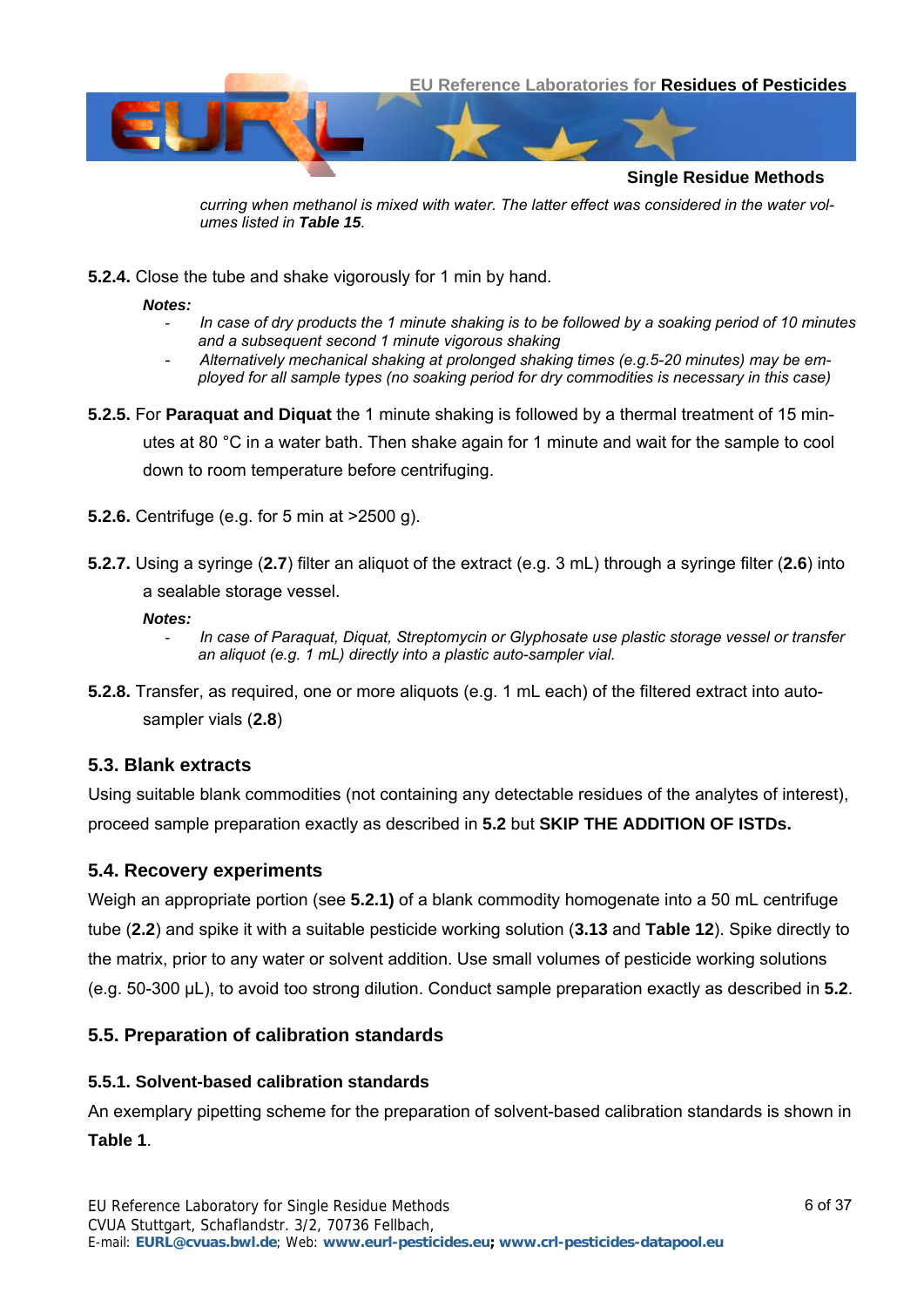

*curring when methanol is mixed with water. The latter effect was considered in the water volumes listed in Table 15.* 

**5.2.4.** Close the tube and shake vigorously for 1 min by hand.

*Notes:* 

- *In case of dry products the 1 minute shaking is to be followed by a soaking period of 10 minutes and a subsequent second 1 minute vigorous shaking*
- *Alternatively mechanical shaking at prolonged shaking times (e.g.5-20 minutes) may be employed for all sample types (no soaking period for dry commodities is necessary in this case)*
- <span id="page-5-5"></span>**5.2.5.** For **Paraquat and Diquat** the 1 minute shaking is followed by a thermal treatment of 15 minutes at 80 °C in a water bath. Then shake again for 1 minute and wait for the sample to cool down to room temperature before centrifuging.
- **5.2.6.** Centrifuge (e.g. for 5 min at >2500 g).
- <span id="page-5-6"></span>**5.2.7.** Using a syringe (**[2.7](#page-1-4)**) filter an aliquot of the extract (e.g. 3 mL) through a syringe filter (**[2.6](#page-1-0)**) into a sealable storage vessel.

#### *Notes:*

- *In case of Paraquat, Diquat, Streptomycin or Glyphosate use plastic storage vessel or transfer an aliquot (e.g. 1 mL) directly into a plastic auto-sampler vial.*
- <span id="page-5-2"></span>**5.2.8.** Transfer, as required, one or more aliquots (e.g. 1 mL each) of the filtered extract into autosampler vials (**[2.8](#page-1-5)**)

#### <span id="page-5-3"></span>**5.3. Blank extracts**

Using suitable blank commodities (not containing any detectable residues of the analytes of interest), proceed sample preparation exactly as described in **[5.2](#page-4-3)** but **SKIP THE ADDITION OF ISTDs.** 

#### <span id="page-5-0"></span>**5.4. Recovery experiments**

Weigh an appropriate portion (see **[5.2.1](#page-4-4))** of a blank commodity homogenate into a 50 mL centrifuge tube (**[2.2](#page-0-0)**) and spike it with a suitable pesticide working solution (**[3.13](#page-2-6)** and **[Table 12](#page-27-0)**). Spike directly to the matrix, prior to any water or solvent addition. Use small volumes of pesticide working solutions (e.g. 50-300 µL), to avoid too strong dilution. Conduct sample preparation exactly as described in **[5.2](#page-4-3)**.

#### <span id="page-5-1"></span>**5.5. Preparation of calibration standards**

#### <span id="page-5-4"></span>**5.5.1. Solvent-based calibration standards**

An exemplary pipetting scheme for the preparation of solvent-based calibration standards is shown in **[Table 1](#page-6-0)**.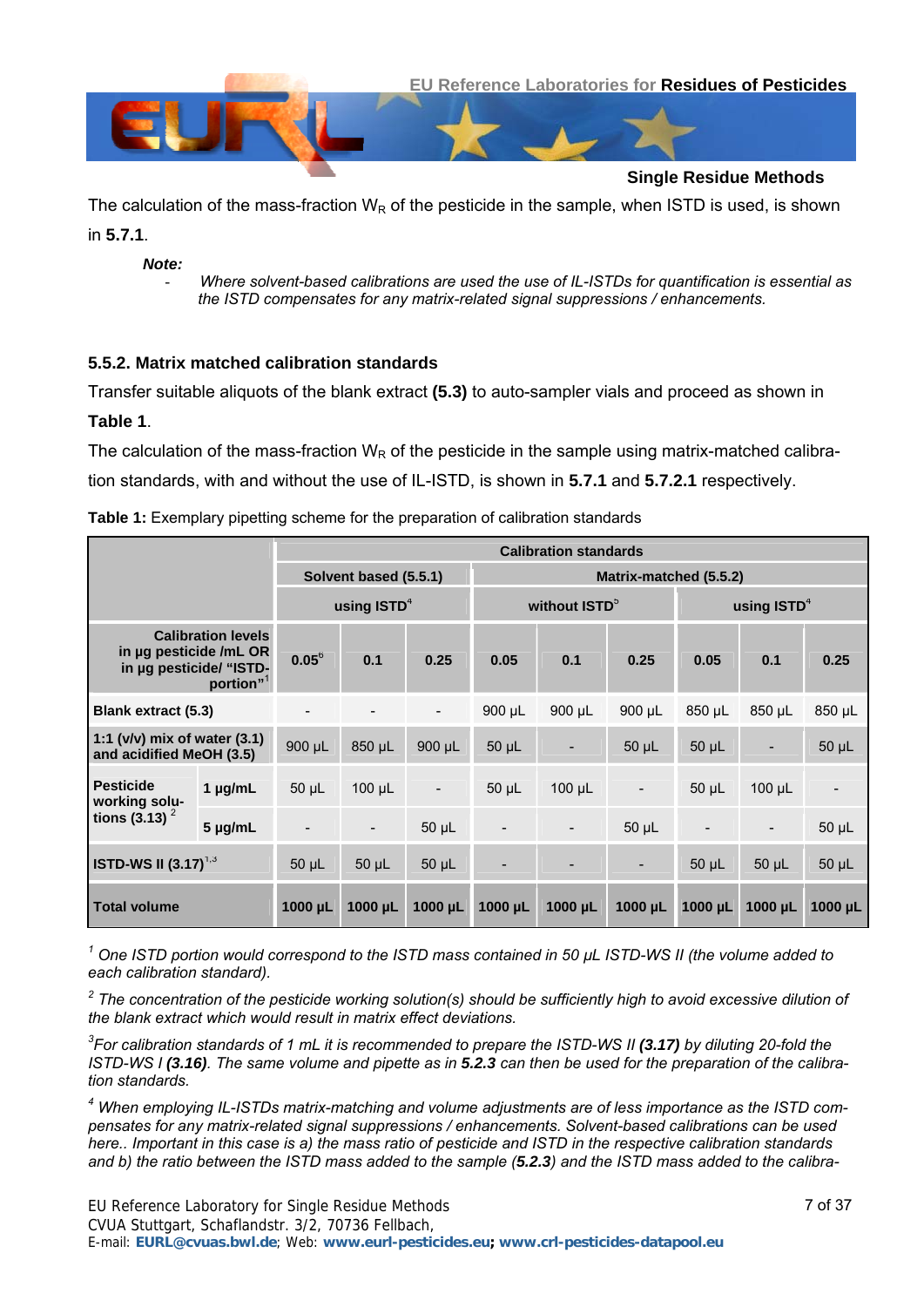



The calculation of the mass-fraction  $W_R$  of the pesticide in the sample, when ISTD is used, is shown in **[5.7.1](#page-20-0)**.

*Note:* 

- *Where solvent-based calibrations are used the use of IL-ISTDs for quantification is essential as the ISTD compensates for any matrix-related signal suppressions / enhancements.* 

#### <span id="page-6-1"></span>**5.5.2. Matrix matched calibration standards**

Transfer suitable aliquots of the blank extract **[\(5.3\)](#page-5-3)** to auto-sampler vials and proceed as shown in **[Table 1](#page-6-0)**.

The calculation of the mass-fraction  $W_R$  of the pesticide in the sample using matrix-matched calibration standards, with and without the use of IL-ISTD, is shown in **[5.7.1](#page-20-0)** and **[5.7.2.1](#page-22-0)** respectively.

<span id="page-6-0"></span>

| <b>Table 1:</b> Exemplary pipetting scheme for the preparation of calibration standards |
|-----------------------------------------------------------------------------------------|
|-----------------------------------------------------------------------------------------|

|                                                                                                         |              | <b>Calibration standards</b> |                          |                          |             |                                            |                          |                          |                          |              |
|---------------------------------------------------------------------------------------------------------|--------------|------------------------------|--------------------------|--------------------------|-------------|--------------------------------------------|--------------------------|--------------------------|--------------------------|--------------|
|                                                                                                         |              | Solvent based (5.5.1)        |                          | Matrix-matched (5.5.2)   |             |                                            |                          |                          |                          |              |
|                                                                                                         |              | using $ISTD4$                |                          |                          |             | without ISTD <sup>5</sup><br>using $ISTD4$ |                          |                          |                          |              |
| <b>Calibration levels</b><br>in µg pesticide /mL OR<br>in µg pesticide/ "ISTD-<br>portion" <sup>1</sup> |              | $0.05^6$                     | 0.1                      | 0.25                     | 0.05        | 0.1                                        | 0.25                     | 0.05                     | 0.1                      | 0.25         |
| <b>Blank extract (5.3)</b>                                                                              |              | $\overline{\phantom{a}}$     | $\overline{\phantom{a}}$ | $\overline{\phantom{a}}$ | $900 \mu L$ | $900 \mu L$                                | $900 \mu L$              | 850 µL                   | $850 \mu L$              | 850 µL       |
| 1:1 (v/v) mix of water (3.1)<br>and acidified MeOH (3.5)                                                |              | 900 µL                       | 850 µL                   | $900 \mu L$              | $50 \mu L$  |                                            | $50 \mu L$               | $50 \mu L$               | $\overline{\phantom{a}}$ | $50 \mu L$   |
| <b>Pesticide</b><br>working solu-<br>tions $(3.13)^2$                                                   | $1 \mu g/mL$ | $50 \mu L$                   | $100 \mu L$              | $\overline{\phantom{a}}$ | $50 \mu L$  | $100 \mu L$                                | $\overline{\phantom{a}}$ | $50 \mu L$               | $100 \mu L$              |              |
|                                                                                                         | $5 \mu g/mL$ | $\overline{\phantom{a}}$     | $\overline{\phantom{a}}$ | $50 \mu L$               |             | $\overline{\phantom{a}}$                   | $50 \mu L$               | $\overline{\phantom{a}}$ | $\overline{\phantom{a}}$ | $50 \mu L$   |
| <b>ISTD-WS II (3.17)</b> <sup>1,3</sup>                                                                 |              | $50 \mu L$                   | 50 µL                    | $50 \mu L$               |             |                                            | ۰                        | $50 \mu L$               | $50 \mu L$               | $50$ $\mu$ L |
| <b>Total volume</b>                                                                                     |              | 1000 µL                      | $1000 \mu L$             | $1000 \mu L$             | 1000 µL     | $1000 \mu L$                               | $1000 \mu L$             | $1000 \mu L$             | $1000 \mu L$             | 1000 µL      |

*1 One ISTD portion would correspond to the ISTD mass contained in 50 µL ISTD-WS II (the volume added to each calibration standard).* 

<sup>2</sup> The concentration of the pesticide working solution(s) should be sufficiently high to avoid excessive dilution of *the blank extract which would result in matrix effect deviations.* 

*3 For calibration standards of 1 mL it is recommended to prepare the ISTD-WS II [\(3.17\)](#page-3-3) by diluting 20-fold the ISTD-WS I ([3.16](#page-3-1)). The same volume and pipette as in [5.2.3](#page-4-2) can then be used for the preparation of the calibration standards.* 

*4 When employing IL-ISTDs matrix-matching and volume adjustments are of less importance as the ISTD compensates for any matrix-related signal suppressions / enhancements. Solvent-based calibrations can be used here.. Important in this case is a) the mass ratio of pesticide and ISTD in the respective calibration standards and b) the ratio between the ISTD mass added to the sample ([5.2.3](#page-4-2)) and the ISTD mass added to the calibra-*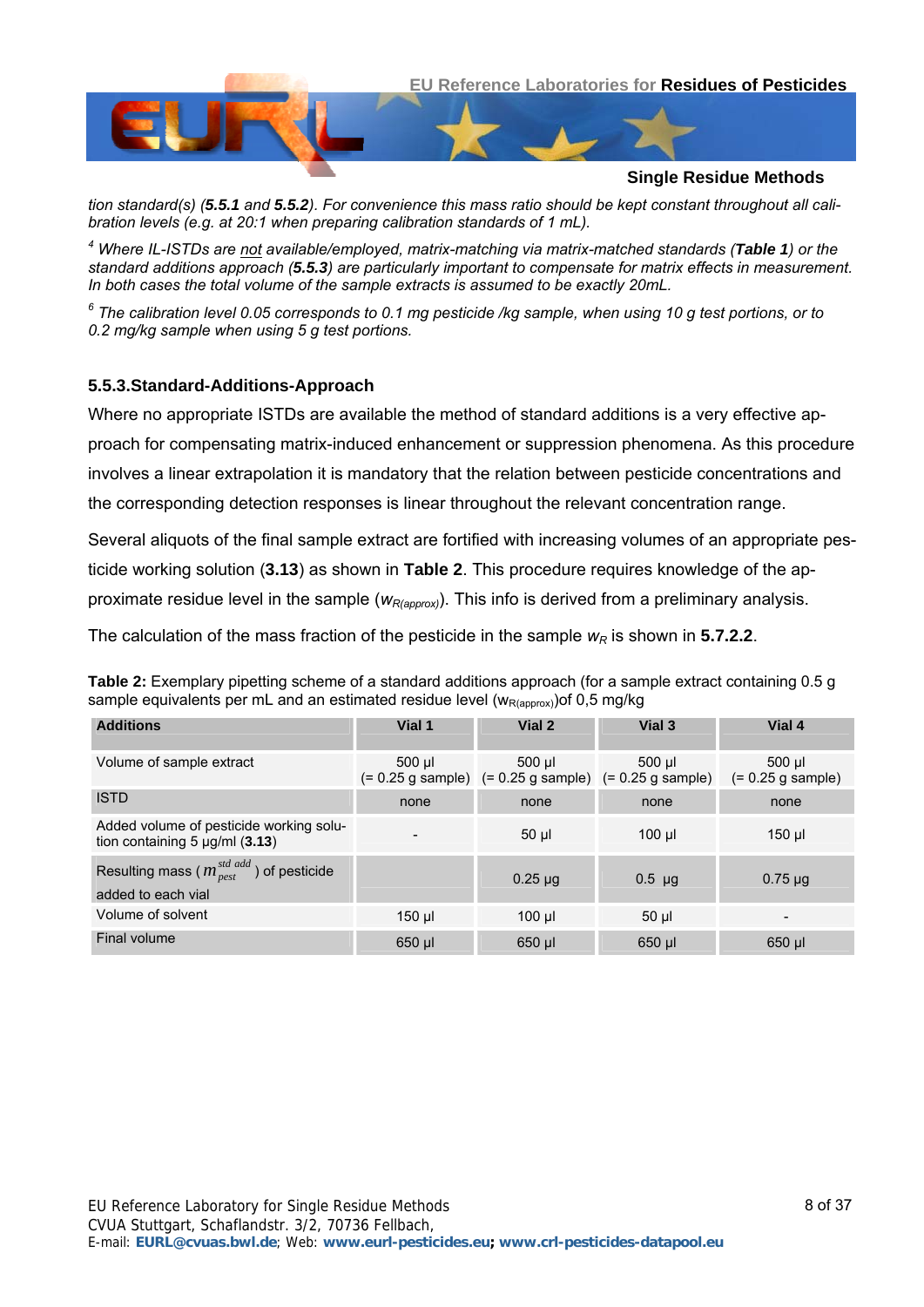

*tion standard(s) ([5.5.1](#page-5-4) and [5.5.2](#page-6-1)). For convenience this mass ratio should be kept constant throughout all calibration levels (e.g. at 20:1 when preparing calibration standards of 1 mL).* 

*4 Where IL-ISTDs are not available/employed, matrix-matching via matrix-matched standards ([Table 1](#page-6-0)) or the standard additions approach ([5.5.3](#page-7-0)) are particularly important to compensate for matrix effects in measurement. In both cases the total volume of the sample extracts is assumed to be exactly 20mL.* 

*6 The calibration level 0.05 corresponds to 0.1 mg pesticide /kg sample, when using 10 g test portions, or to 0.2 mg/kg sample when using 5 g test portions.*

#### <span id="page-7-0"></span>**5.5.3.Standard-Additions-Approach**

Where no appropriate ISTDs are available the method of standard additions is a very effective approach for compensating matrix-induced enhancement or suppression phenomena. As this procedure involves a linear extrapolation it is mandatory that the relation between pesticide concentrations and the corresponding detection responses is linear throughout the relevant concentration range.

Several aliquots of the final sample extract are fortified with increasing volumes of an appropriate pesticide working solution (**[3.13](#page-2-6)**) as shown in **[Table 2](#page-7-1)**. This procedure requires knowledge of the approximate residue level in the sample ( $w_{R(aopox)}$ ). This info is derived from a preliminary analysis.

The calculation of the mass fraction of the pesticide in the sample  $w_R$  is shown in **[5.7.2.2](#page-22-1)**.

<span id="page-7-1"></span>**Table 2:** Exemplary pipetting scheme of a standard additions approach (for a sample extract containing 0.5 g sample equivalents per mL and an estimated residue level ( $w_{R(aoprox})$ ) of 0,5 mg/kg

| <b>Additions</b>                                                                                 | Vial 1   | Vial 2                                                                     | Vial 3      | Vial 4                        |
|--------------------------------------------------------------------------------------------------|----------|----------------------------------------------------------------------------|-------------|-------------------------------|
| Volume of sample extract                                                                         | $500$ µl | $500$ $\mu$<br>$(= 0.25$ g sample) $(= 0.25$ g sample) $(= 0.25$ g sample) | 500 ul      | 500 µl<br>$(= 0.25$ g sample) |
| <b>ISTD</b>                                                                                      | none     | none                                                                       | none        | none                          |
| Added volume of pesticide working solu-<br>tion containing $5 \mu g/ml$ (3.13)                   |          | $50$ $\mu$                                                                 | $100$ $\mu$ | 150 µl                        |
| Resulting mass ( $m_{\text{pest}}^{\text{std} \text{ add}}$ ) of pesticide<br>added to each vial |          | $0.25 \mu g$                                                               | $0.5$ µg    | $0.75 \mu$ g                  |
| Volume of solvent                                                                                | $150$ µl | $100$ $\mu$                                                                | 50 µl       |                               |
| Final volume                                                                                     | 650 µl   | 650 µl                                                                     | 650 µl      | 650 µl                        |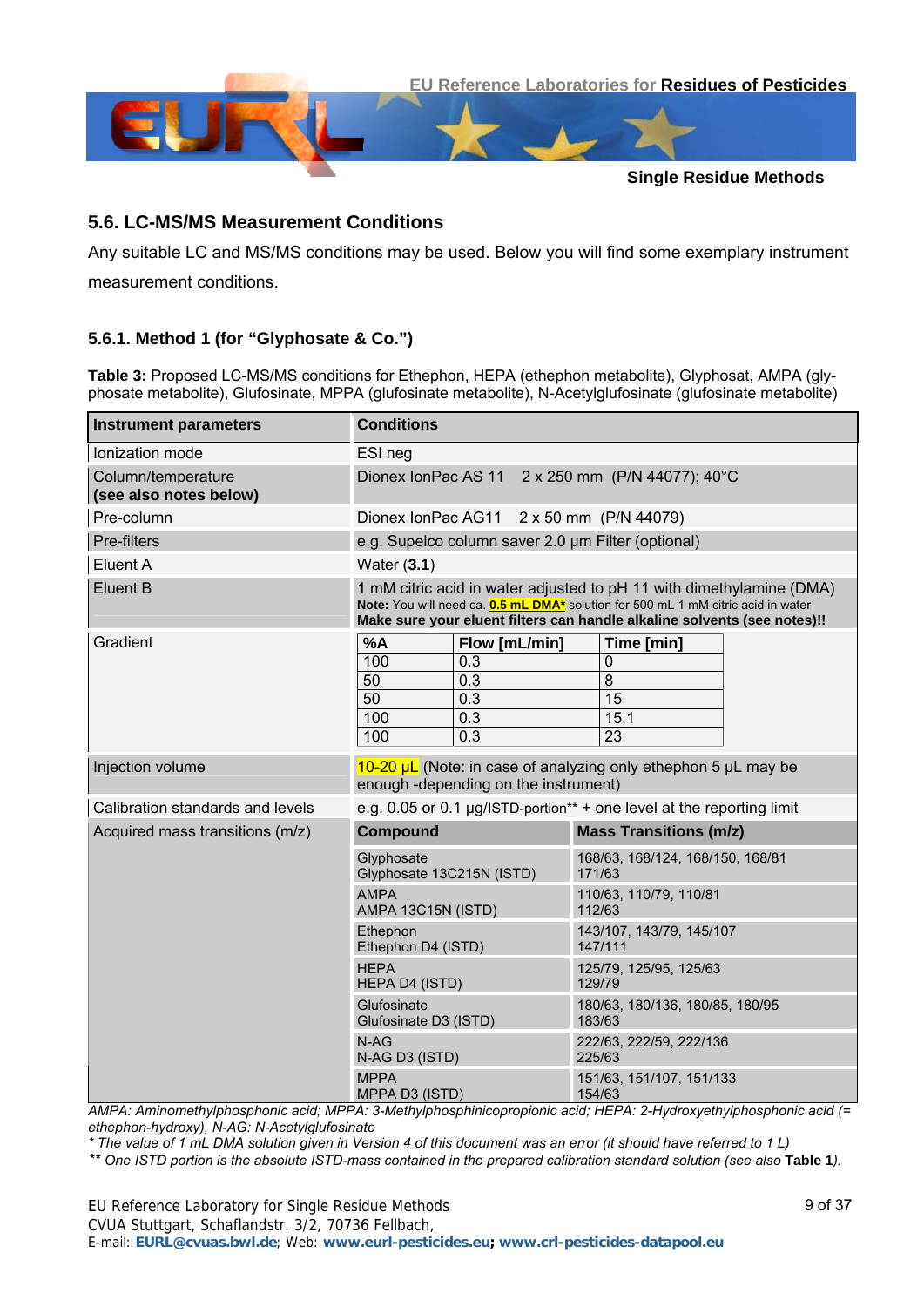

#### **5.6. LC-MS/MS Measurement Conditions**

Any suitable LC and MS/MS conditions may be used. Below you will find some exemplary instrument measurement conditions.

#### <span id="page-8-0"></span>**5.6.1. Method 1 (for "Glyphosate & Co.")**

**Table 3:** Proposed LC-MS/MS conditions for Ethephon, HEPA (ethephon metabolite), Glyphosat, AMPA (glyphosate metabolite), Glufosinate, MPPA (glufosinate metabolite), N-Acetylglufosinate (glufosinate metabolite)

| <b>Instrument parameters</b>                 | <b>Conditions</b>                                                                                                                                                                                                                            |                                                                       |  |  |  |  |
|----------------------------------------------|----------------------------------------------------------------------------------------------------------------------------------------------------------------------------------------------------------------------------------------------|-----------------------------------------------------------------------|--|--|--|--|
| Ionization mode                              | ESI neg                                                                                                                                                                                                                                      |                                                                       |  |  |  |  |
| Column/temperature<br>(see also notes below) | 2 x 250 mm (P/N 44077); 40°C<br>Dionex IonPac AS 11                                                                                                                                                                                          |                                                                       |  |  |  |  |
| Pre-column                                   | Dionex IonPac AG11 2 x 50 mm (P/N 44079)                                                                                                                                                                                                     |                                                                       |  |  |  |  |
| Pre-filters                                  | e.g. Supelco column saver 2.0 um Filter (optional)                                                                                                                                                                                           |                                                                       |  |  |  |  |
| Eluent A                                     | Water $(3.1)$                                                                                                                                                                                                                                |                                                                       |  |  |  |  |
| <b>Eluent B</b>                              | 1 mM citric acid in water adjusted to pH 11 with dimethylamine (DMA)<br>Note: You will need ca. <b>0.5 mL DMA*</b> solution for 500 mL 1 mM citric acid in water<br>Make sure your eluent filters can handle alkaline solvents (see notes)!! |                                                                       |  |  |  |  |
| Gradient                                     | %A<br>Flow [mL/min]<br>100<br>0.3<br>50<br>0.3<br>50<br>0.3<br>100<br>0.3<br>100<br>0.3                                                                                                                                                      | Time [min]<br>$\mathbf 0$<br>$\overline{8}$<br>15<br>15.1<br>23       |  |  |  |  |
| Injection volume                             | $10-20 \mu L$ (Note: in case of analyzing only ethephon 5 $\mu L$ may be<br>enough -depending on the instrument)                                                                                                                             |                                                                       |  |  |  |  |
| Calibration standards and levels             |                                                                                                                                                                                                                                              | e.g. 0.05 or 0.1 µg/ISTD-portion** + one level at the reporting limit |  |  |  |  |
| Acquired mass transitions (m/z)              | <b>Compound</b>                                                                                                                                                                                                                              | <b>Mass Transitions (m/z)</b>                                         |  |  |  |  |
|                                              | Glyphosate<br>Glyphosate 13C215N (ISTD)                                                                                                                                                                                                      | 168/63, 168/124, 168/150, 168/81<br>171/63                            |  |  |  |  |
|                                              | <b>AMPA</b><br>AMPA 13C15N (ISTD)                                                                                                                                                                                                            | 110/63, 110/79, 110/81<br>112/63                                      |  |  |  |  |
|                                              | Ethephon<br>Ethephon D4 (ISTD)                                                                                                                                                                                                               | 143/107, 143/79, 145/107<br>147/111                                   |  |  |  |  |
|                                              | <b>HEPA</b><br>HEPA D4 (ISTD)                                                                                                                                                                                                                | 125/79, 125/95, 125/63<br>129/79                                      |  |  |  |  |
|                                              | Glufosinate<br>Glufosinate D3 (ISTD)                                                                                                                                                                                                         | 180/63, 180/136, 180/85, 180/95<br>183/63                             |  |  |  |  |
|                                              | $N-AG$<br>N-AG D3 (ISTD)                                                                                                                                                                                                                     | 222/63, 222/59, 222/136<br>225/63                                     |  |  |  |  |
|                                              | <b>MPPA</b><br>MPPA D3 (ISTD)                                                                                                                                                                                                                | 151/63, 151/107, 151/133<br>154/63                                    |  |  |  |  |

*AMPA: Aminomethylphosphonic acid; MPPA: 3-Methylphosphinicopropionic acid; HEPA: 2-Hydroxyethylphosphonic acid (= ethephon-hydroxy), N-AG: N-Acetylglufosinate* 

*\* The value of 1 mL DMA solution given in Version 4 of this document was an error (it should have referred to 1 L)* 

*\*\* One ISTD portion is the absolute ISTD-mass contained in the prepared calibration standard solution (see also* **[Table 1](#page-6-0)***).*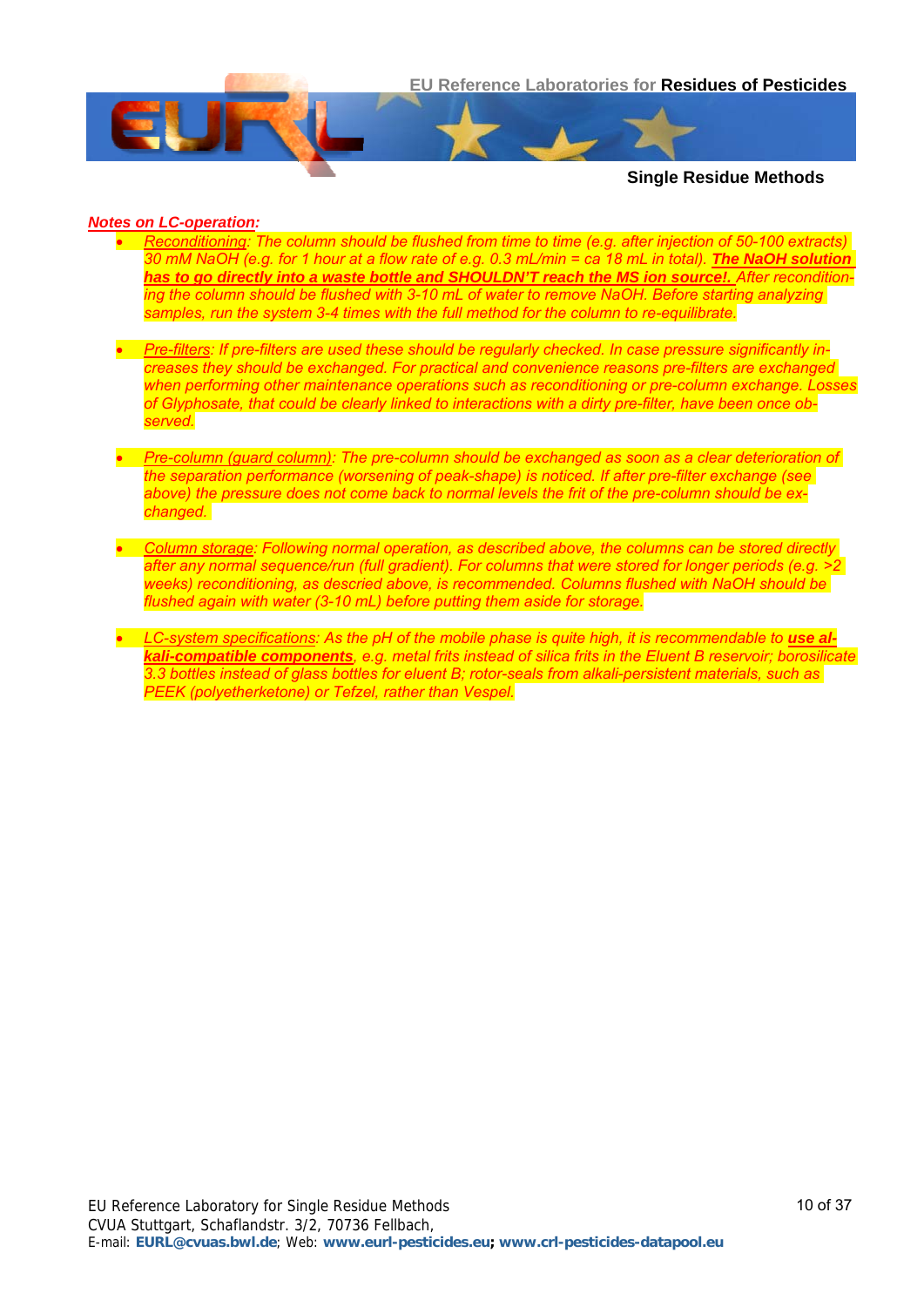

#### *Notes on LC-operation:*

- *Reconditioning: The column should be flushed from time to time (e.g. after injection of 50-100 extracts) 30 mM NaOH (e.g. for 1 hour at a flow rate of e.g. 0.3 mL/min = ca 18 mL in total). The NaOH solution*  has to go directly into a waste bottle and SHOULDN'T reach the MS ion source!. After recondition*ing the column should be flushed with 3-10 mL of water to remove NaOH. Before starting analyzing samples, run the system 3-4 times with the full method for the column to re-equilibrate.*
- *Pre-filters: If pre-filters are used these should be regularly checked. In case pressure significantly increases they should be exchanged. For practical and convenience reasons pre-filters are exchanged when performing other maintenance operations such as reconditioning or pre-column exchange. Losses of Glyphosate, that could be clearly linked to interactions with a dirty pre-filter, have been once observed.*
- *Pre-column (guard column): The pre-column should be exchanged as soon as a clear deterioration of the separation performance (worsening of peak-shape) is noticed. If after pre-filter exchange (see above) the pressure does not come back to normal levels the frit of the pre-column should be exchanged.*
- *Column storage: Following normal operation, as described above, the columns can be stored directly after any normal sequence/run (full gradient). For columns that were stored for longer periods (e.g. >2 weeks) reconditioning, as descried above, is recommended. Columns flushed with NaOH should be flushed again with water (3-10 mL) before putting them aside for storage.*
- LC-system specifications: As the pH of the mobile phase is quite high, it is recommendable to use al*kali-compatible components, e.g. metal frits instead of silica frits in the Eluent B reservoir; borosilicate 3.3 bottles instead of glass bottles for eluent B; rotor-seals from alkali-persistent materials, such as PEEK (polyetherketone) or Tefzel, rather than Vespel.*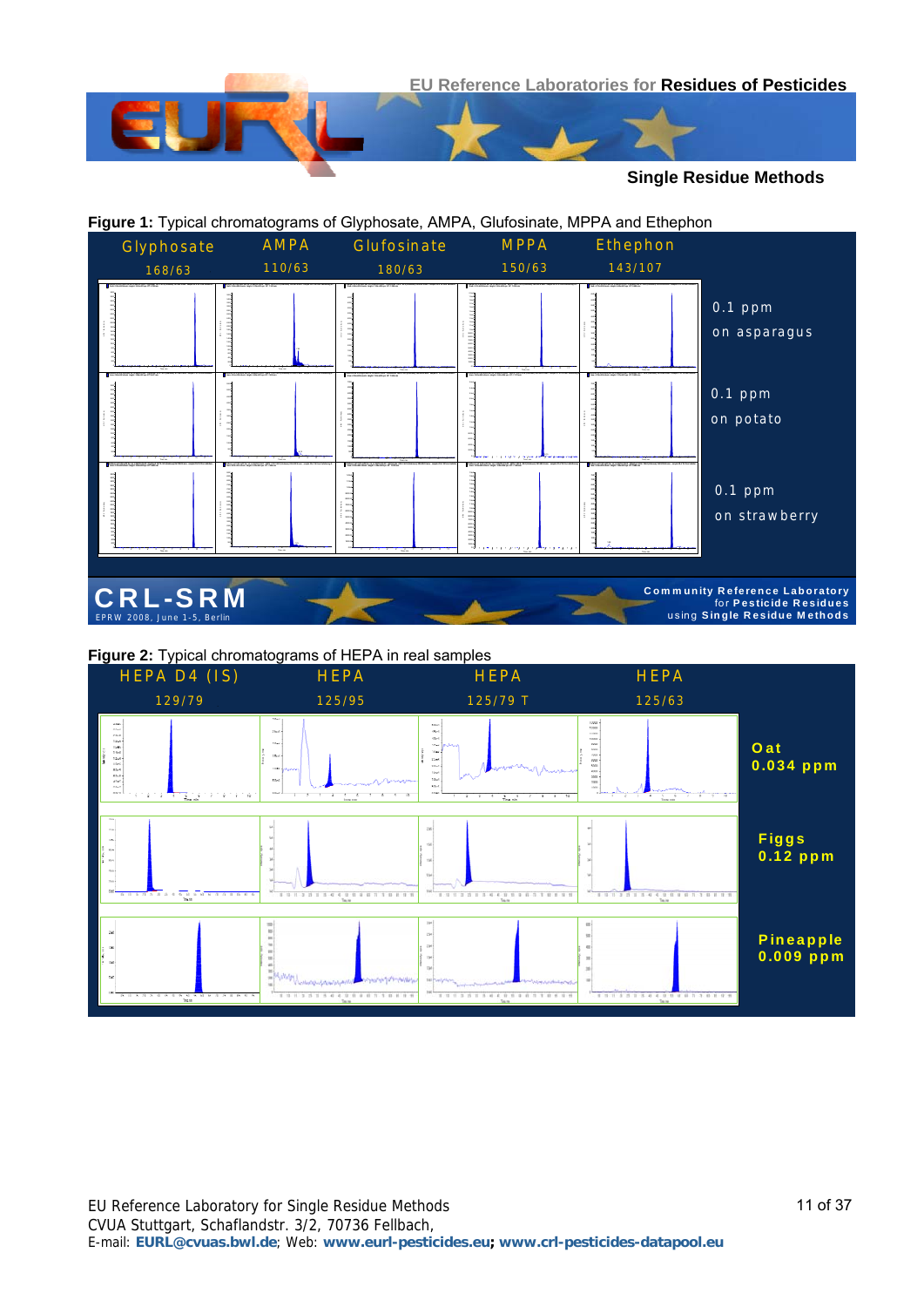

#### **Figure 1:** Typical chromatograms of Glyphosate, AMPA, Glufosinate, MPPA and Ethephon **CRL-SRM Community Reference Laboratory** For **Pesticide Residues**<br>
EPRW 2008, June 1-5, Berlin using Single Residue Methods<br>
EPRW 2008, June 1-5, Berlin using Single Residue Methods Glyphosate 168/63 AMPA 110/63 Glufosinate 180/63 MPPA 150/63 *Spargel mit 0.05 ug/IS bw. mL in MeOH+1%AS - Glyphosat 167.9 / 62.9 (Unknown) 167.9/62.9 amu - sample 25 of 34 from Validierun... Area: 2.12e+004 counts Height: 3.43e+003 cps RT: 9.792 min* 1 2 3 4 5 6 7 8 9 10 11 *Spargel mit 0.05 ug/IS bw. mL in MeOH+1%AS - AMPA 110.0 / 62.8 (Unknown) 110.0/62.8 amu - sample 25 of 34 from Validierung Et... Area: 3.99e+004 counts Height: 3.78e+003 cps RT: 7.341 min* 1 2 3 4 5 6 7 8 9 10 11 I n te n s ity,  $\overline{\phantom{a}}$ *Spargel mit 0.05 ug/IS bw. mL in MeOH+1%AS - Glufosinate 180.0 / 62.9 (Unknown) 180.0/62.9 amu - sample 25 of 34 from Validieru... Area: 4.42e+004 counts Height: 7.09e+003 cps RT: 7.269 min* 1 2 3 4 5 6 7 8 9 10 11 Time, min 500 *Spargel mit 0.05 ug/IS bw. mL in MeOH+1%AS - MPPA 150.9 / 62.8 (Unknown) 150.9/62.8 amu - sample 25 of 34 from Validierung Et... Area: 1.27e+005 counts Height: 2.01e+004 cps RT: 7.836 min* 1 2 3 4 5 6 7 8 9 10 11 1000.0 2000.0 3000.0 4000.0 5000.0 6000.0 7000.0 8000.0 9000.0 1.0e4 1.1e4 1.5e4 1.6e4 *Spargel mit 0.05 ug/IS bw. mL in MeOH+1%AS - Ethephon 142.9 / 106.9 (Unknown) 142.9/106.9 amu - sample 25 of 35 from Validieru... Area: 4.77e+004 counts Height: 6.63e+003 cps RT: 9.096 min* 1 2 3 4 5 6 7 8 9 10 11 Time, min 500 100 3000 3500 5000 5500 *Kartoffel mit 0.05 ug/IS bw. mL in MeOH+1%AS - Glyphosat 167.9 / 62.9 (Unknown) 167.9/62.9 amu - sample 27 of 34 from Validieru... Area: 2.06e+004 counts Height: 3.38e+003 cps RT: 9.627 min* 1 2 3 4 5 6 7 8 9 10 11 In the set of the *Kartoffel mit 0.05 ug/IS bw. mL in MeOH+1%AS - AMPA 110.0 / 62.8 (Unknown) 110.0/62.8 amu - sample 27 of 34 from Validierung E...* 1 2 3 4 5 6 7 8 9 10 11 5 In te n s ity , cp s *Kartoffel mit 0.05 ug/IS bw. mL in MeOH+1%AS - Glufosinate 180.0 / 62.9 (Unknown) 180.0/62.9 amu - sample 27 of 34 from Validier... Area: 4.74e+004 counts Height: 7.01e+003 cps RT: 7.535 min* 1 <del>. . . . . . . . . . . . . . . . . .</del> 6000 6500 7000 *Kartoffel mit 0.05 ug/IS bw. mL in MeOH+1%AS - MPPA 150.9 / 62.8 (Unknown) 150.9/62.8 amu - sample 27 of 34 from Validierung E Area: 2.00e+005 counts Height: 2.62e+004 cps RT: 7.723 min* 1 2 3 4 5 6 7 8 9 10 11 2.2e4 2.4e4 2.6e4 8.15 *Kartoffel mit 0.05 ug/IS bw. mL in MeOH+1%AS - Ethephon 142.9 / 106.9 (Unknown) 142.9/106.9 amu - sample 27 of 35 from Validier... Area: 4.78e+004 counts Height: 7.27e+003 cps RT: 9.035 min* 1 - 1 - 1 - 1 - 1 - 1 - 1 - 1 - 1 - 1 Time, min 500 100 2000 3000 4000 5000 5500 6500 7000 *Erdbeere mit 0.05 ug/IS bw. mL in MeOH+1%AS - Glyphosat 167.9 / 62.9 (Unknown) 167.9/62.9 amu - sample 28 of 34 from Validieru... Area: 2.37e+004 counts Height: 3.90e+003 cps RT: 9.601 min* 1 2 3 4 5 6 7 8 9 10 11 In ten sity , c ps *Erdbeere mit 0.05 ug/IS bw. mL in MeOH+1%AS - AMPA 110.0 / 62.8 (Unknown) 110.0/62.8 amu - sample 28 of 34 from Validierung E... Area: 8.87e+004 counts Height: 9.32e+003 cps RT: 7.086 min* 1 2 3 4 5 6 7 8 9 10 11 7000 7500 8000 8500 9000 In te n s ity, *Erdbeere mit 0.05 ug/IS bw. mL in MeOH+1%AS - Glufosinate 180.0 / 62.9 (Unknown) 180.0/62.9 amu - sample 28 of 34 from Validier... Area: 8.30e+004 counts Height: 1.25e+004 cps RT: 7.032 min* 1 2 3 4 5 6 7 8 9 10 11 0.00 1000.00 2000.00 3000.00 4000.00 5000.00 6000.00 7000.00 8000.00 9000.00 1.00e4 1.10e4 1.20e4 *Erdbeere mit 0.05 ug/IS bw. mL in MeOH+1%AS - MPPA 150.9 / 62.8 (Unknown) 150.9/62.8 amu - sample 28 of 34 from Validierung Area: 1.25e+005 counts Height: 1.96e+004 cps RT: 7.386 min* 1 2 3 4 5 6 7 8 9 10 11 1.8e4 1.6e4 1.6e4 1.8e4 1.8e4 1.8e4 1.8e4 1.8e4 1.8e4 1.8e4 1.8e4 1.8e4 1.8e4 1.8e4 1.8e4 1.8e4 1.8e4 1.8e4 1. *Erdbeere mit 0.05 ug/IS bw. mL in MeOH+1%AS - Ethephon 142.9 / 106.9 (Unknown) 142.9/106.9 amu - sample 28 of 35 from Validier... Area: 5.16e+004 counts Height: 7.93e+003 cps RT: 9.060 min* 1 2 3 4 5 6 7 8 9 10 11 Time, min 100 4000 4500 750<br>750<br>750<br>750 1.58 Ethephon 143/107 0.1 ppm on asparagus 0.1 ppm on potato 0.1 ppm on strawberry

#### **Figure 2:** Typical chromatograms of HEPA in real samples

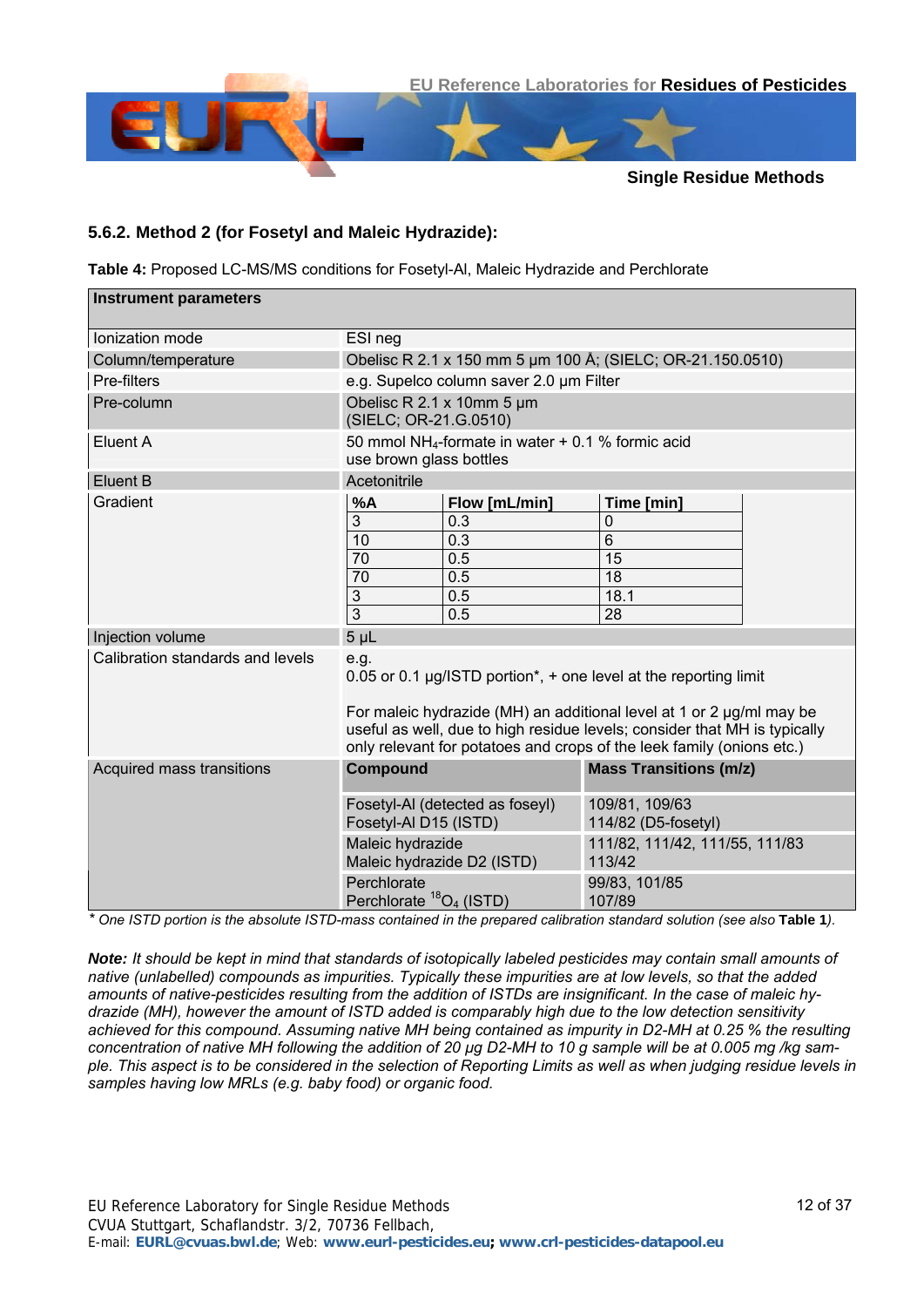

#### <span id="page-11-0"></span>**5.6.2. Method 2 (for Fosetyl and Maleic Hydrazide):**

**Table 4:** Proposed LC-MS/MS conditions for Fosetyl-Al, Maleic Hydrazide and Perchlorate

| <b>Instrument parameters</b>     |                                                                                                                                                                                                                                 |                                         |                                                                                    |  |  |  |  |  |
|----------------------------------|---------------------------------------------------------------------------------------------------------------------------------------------------------------------------------------------------------------------------------|-----------------------------------------|------------------------------------------------------------------------------------|--|--|--|--|--|
| Ionization mode                  | ESI neg                                                                                                                                                                                                                         |                                         |                                                                                    |  |  |  |  |  |
| Column/temperature               | Obelisc R 2.1 x 150 mm 5 um 100 Å; (SIELC; OR-21.150.0510)                                                                                                                                                                      |                                         |                                                                                    |  |  |  |  |  |
| Pre-filters                      |                                                                                                                                                                                                                                 | e.g. Supelco column saver 2.0 um Filter |                                                                                    |  |  |  |  |  |
| Pre-column                       | Obelisc R 2.1 x 10mm 5 µm<br>(SIELC; OR-21.G.0510)                                                                                                                                                                              |                                         |                                                                                    |  |  |  |  |  |
| Eluent A                         | 50 mmol NH <sub>4</sub> -formate in water $+$ 0.1 % formic acid<br>use brown glass bottles                                                                                                                                      |                                         |                                                                                    |  |  |  |  |  |
| Eluent B                         | Acetonitrile                                                                                                                                                                                                                    |                                         |                                                                                    |  |  |  |  |  |
| Gradient                         | %A                                                                                                                                                                                                                              | Flow [mL/min]                           | Time [min]                                                                         |  |  |  |  |  |
|                                  | 3                                                                                                                                                                                                                               | 0.3                                     | 0                                                                                  |  |  |  |  |  |
|                                  | 10                                                                                                                                                                                                                              | 0.3                                     | $\overline{6}$                                                                     |  |  |  |  |  |
|                                  | 70                                                                                                                                                                                                                              | 0.5                                     | 15                                                                                 |  |  |  |  |  |
|                                  | 70                                                                                                                                                                                                                              | 0.5                                     | 18                                                                                 |  |  |  |  |  |
|                                  | 3                                                                                                                                                                                                                               | 0.5                                     | 18.1                                                                               |  |  |  |  |  |
|                                  | $\overline{3}$<br>0.5<br>28                                                                                                                                                                                                     |                                         |                                                                                    |  |  |  |  |  |
| Injection volume                 | 5 <sub>µL</sub>                                                                                                                                                                                                                 |                                         |                                                                                    |  |  |  |  |  |
| Calibration standards and levels | e.g.                                                                                                                                                                                                                            |                                         | 0.05 or 0.1 $\mu$ g/ISTD portion <sup>*</sup> , + one level at the reporting limit |  |  |  |  |  |
|                                  | For maleic hydrazide (MH) an additional level at 1 or 2 $\mu$ g/ml may be<br>useful as well, due to high residue levels; consider that MH is typically<br>only relevant for potatoes and crops of the leek family (onions etc.) |                                         |                                                                                    |  |  |  |  |  |
| Acquired mass transitions        | <b>Compound</b>                                                                                                                                                                                                                 |                                         | <b>Mass Transitions (m/z)</b>                                                      |  |  |  |  |  |
|                                  | Fosetyl-Al D15 (ISTD)                                                                                                                                                                                                           | Fosetyl-AI (detected as foseyl)         | 109/81, 109/63<br>114/82 (D5-fosetyl)                                              |  |  |  |  |  |
|                                  | Maleic hydrazide                                                                                                                                                                                                                | Maleic hydrazide D2 (ISTD)              | 111/82, 111/42, 111/55, 111/83<br>113/42                                           |  |  |  |  |  |
|                                  | Perchlorate<br>Perchlorate <sup>18</sup> O <sub>4</sub> (ISTD)                                                                                                                                                                  |                                         | 99/83, 101/85<br>107/89                                                            |  |  |  |  |  |

*\* One ISTD portion is the absolute ISTD-mass contained in the prepared calibration standard solution (see also* **[Table 1](#page-6-0)***).*

*Note: It should be kept in mind that standards of isotopically labeled pesticides may contain small amounts of native (unlabelled) compounds as impurities. Typically these impurities are at low levels, so that the added amounts of native-pesticides resulting from the addition of ISTDs are insignificant. In the case of maleic hydrazide (MH), however the amount of ISTD added is comparably high due to the low detection sensitivity achieved for this compound. Assuming native MH being contained as impurity in D2-MH at 0.25 % the resulting concentration of native MH following the addition of 20 µg D2-MH to 10 g sample will be at 0.005 mg /kg sample. This aspect is to be considered in the selection of Reporting Limits as well as when judging residue levels in samples having low MRLs (e.g. baby food) or organic food.*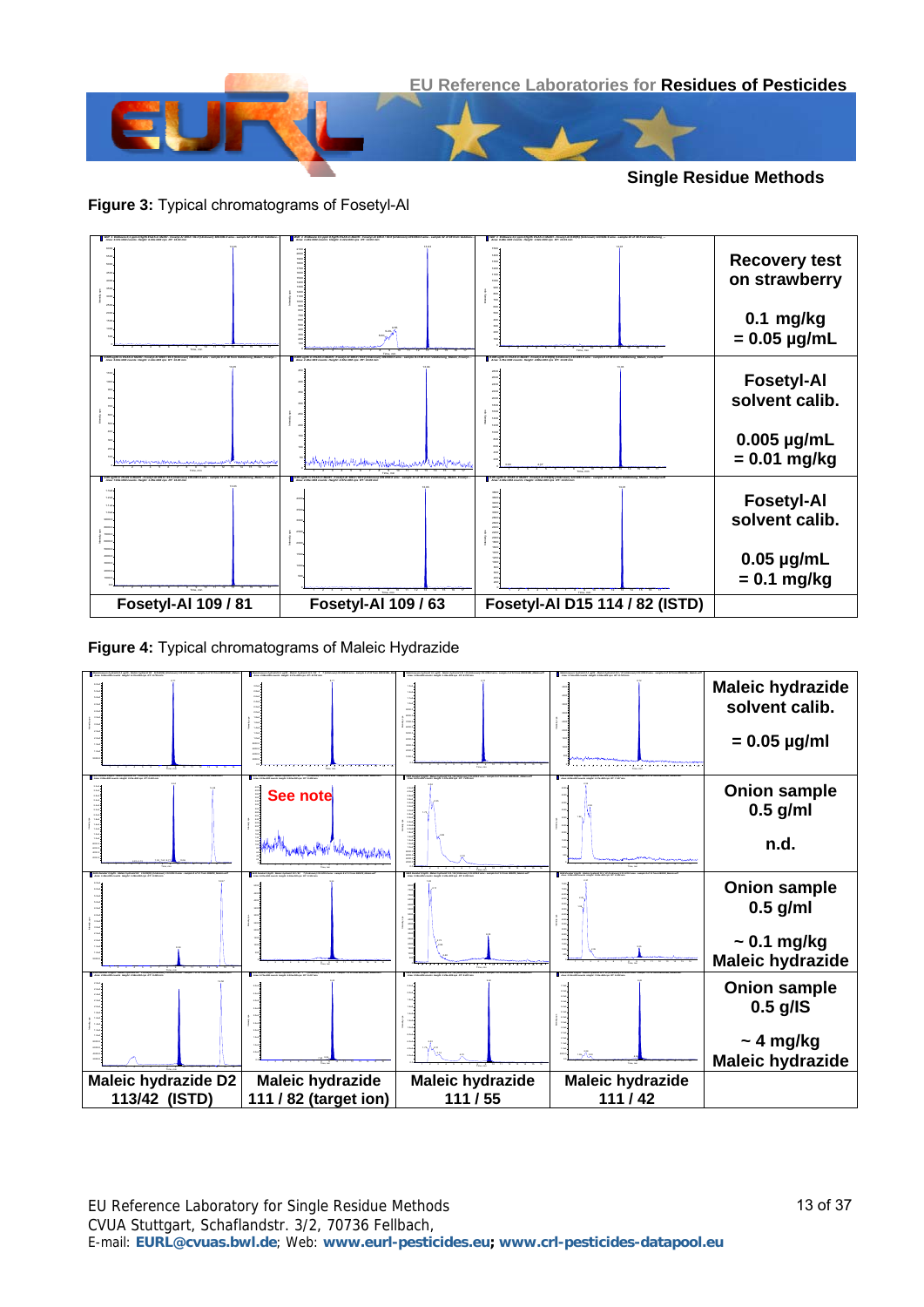

**Figure 3:** Typical chromatograms of Fosetyl-Al



**Figure 4:** Typical chromatograms of Maleic Hydrazide



EU Reference Laboratory for Single Residue Methods CVUA Stuttgart, Schaflandstr. 3/2, 70736 Fellbach, E-mail: **EURL@cvuas.bwl.de**; Web: **www.eurl-pesticides.eu; www.crl-pesticides-datapool.eu**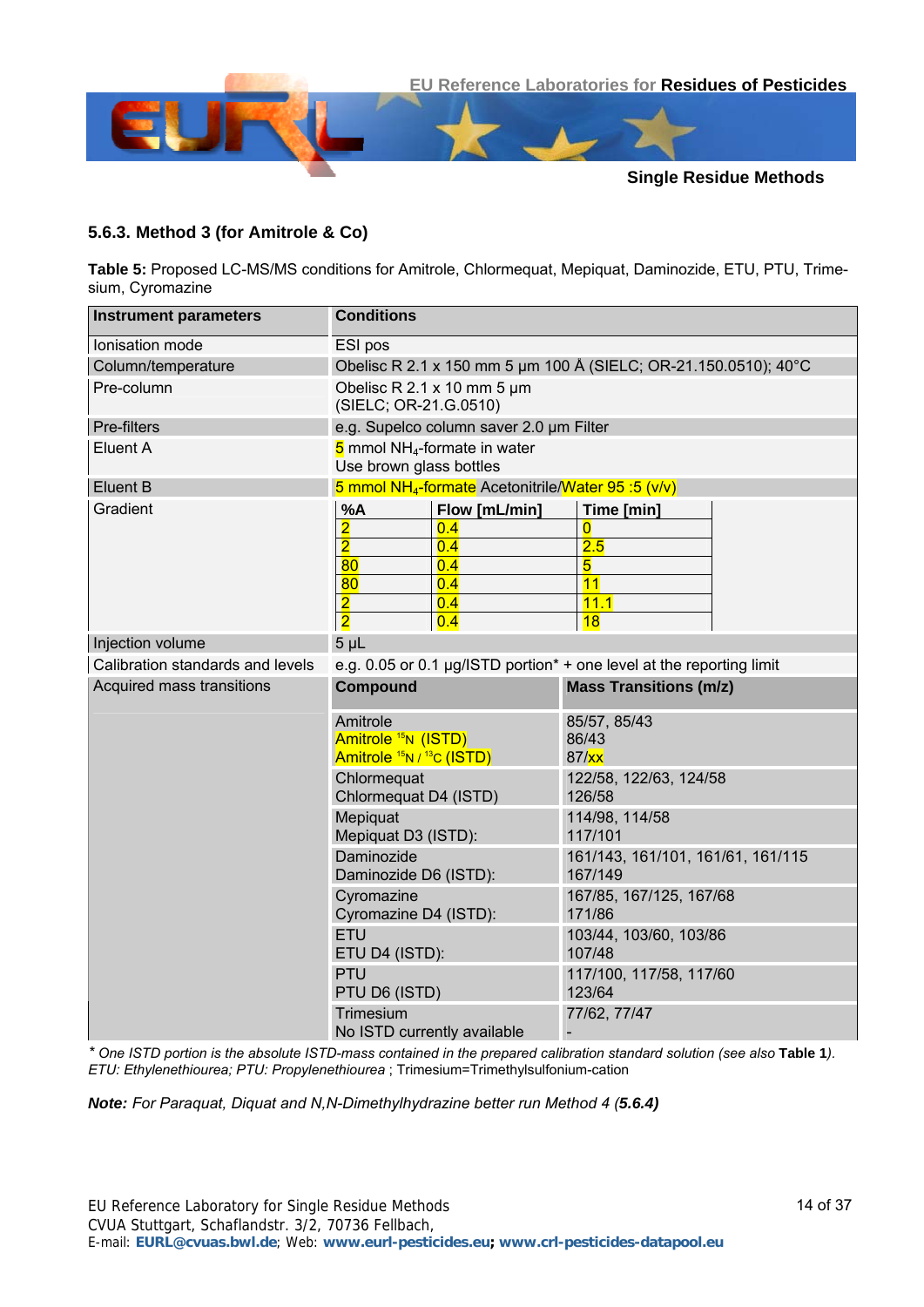

#### <span id="page-13-0"></span>**5.6.3. Method 3 (for Amitrole & Co)**

**Table 5:** Proposed LC-MS/MS conditions for Amitrole, Chlormequat, Mepiquat, Daminozide, ETU, PTU, Trimesium, Cyromazine

| <b>Instrument parameters</b>     | <b>Conditions</b>                                                                                                                                          |                                                                 |  |  |  |  |  |  |
|----------------------------------|------------------------------------------------------------------------------------------------------------------------------------------------------------|-----------------------------------------------------------------|--|--|--|--|--|--|
| Ionisation mode                  | ESI pos                                                                                                                                                    |                                                                 |  |  |  |  |  |  |
| Column/temperature               |                                                                                                                                                            | Obelisc R 2.1 x 150 mm 5 um 100 Å (SIELC; OR-21.150.0510); 40°C |  |  |  |  |  |  |
| Pre-column                       | Obelisc R 2.1 x 10 mm 5 um<br>(SIELC; OR-21.G.0510)                                                                                                        |                                                                 |  |  |  |  |  |  |
| Pre-filters                      | e.g. Supelco column saver 2.0 um Filter                                                                                                                    |                                                                 |  |  |  |  |  |  |
| Eluent A                         | $5$ mmol NH <sub>4</sub> -formate in water<br>Use brown glass bottles                                                                                      |                                                                 |  |  |  |  |  |  |
| <b>Eluent B</b>                  | 5 mmol NH <sub>4</sub> -formate Acetonitrile/Water 95:5 (v/v)                                                                                              |                                                                 |  |  |  |  |  |  |
| Gradient                         | %A<br>Flow [mL/min]<br>$\overline{\mathbf{2}}$<br>0.4<br>$\overline{2}$<br>0.4<br>80<br>0.4<br>80<br>0.4<br>$\overline{2}$<br>0.4<br>$\overline{2}$<br>0.4 | Time [min]<br>0<br>2.5<br>5<br>11<br>11.1<br>18                 |  |  |  |  |  |  |
| Injection volume                 | 5 <sub>µL</sub>                                                                                                                                            |                                                                 |  |  |  |  |  |  |
| Calibration standards and levels | e.g. 0.05 or 0.1 $\mu$ g/ISTD portion <sup>*</sup> + one level at the reporting limit                                                                      |                                                                 |  |  |  |  |  |  |
| Acquired mass transitions        | <b>Compound</b>                                                                                                                                            | <b>Mass Transitions (m/z)</b>                                   |  |  |  |  |  |  |
|                                  | Amitrole<br>Amitrole <sup>15</sup> N (ISTD)<br>Amitrole <sup>15</sup> N / <sup>13</sup> C (ISTD)                                                           | 85/57, 85/43<br>86/43<br>87/xx                                  |  |  |  |  |  |  |
|                                  | Chlormequat<br>Chlormequat D4 (ISTD)                                                                                                                       | 122/58, 122/63, 124/58<br>126/58                                |  |  |  |  |  |  |
|                                  | Mepiquat<br>Mepiquat D3 (ISTD):                                                                                                                            | 114/98, 114/58<br>117/101                                       |  |  |  |  |  |  |
|                                  | Daminozide<br>Daminozide D6 (ISTD):                                                                                                                        | 161/143, 161/101, 161/61, 161/115<br>167/149                    |  |  |  |  |  |  |
|                                  | Cyromazine<br>Cyromazine D4 (ISTD):                                                                                                                        | 167/85, 167/125, 167/68<br>171/86                               |  |  |  |  |  |  |
|                                  | ETU<br>ETU D4 (ISTD):                                                                                                                                      | 103/44, 103/60, 103/86<br>107/48                                |  |  |  |  |  |  |
|                                  | PTU<br>PTU D6 (ISTD)                                                                                                                                       | 117/100, 117/58, 117/60<br>123/64                               |  |  |  |  |  |  |
|                                  | Trimesium<br>No ISTD currently available                                                                                                                   | 77/62, 77/47                                                    |  |  |  |  |  |  |

*\* One ISTD portion is the absolute ISTD-mass contained in the prepared calibration standard solution (see also* **[Table 1](#page-6-0)***). ETU: Ethylenethiourea; PTU: Propylenethiourea* ; Trimesium=Trimethylsulfonium-cation

*Note: For Paraquat, Diquat and N,N-Dimethylhydrazine better run Method 4 ([5.6.4](#page-15-0))*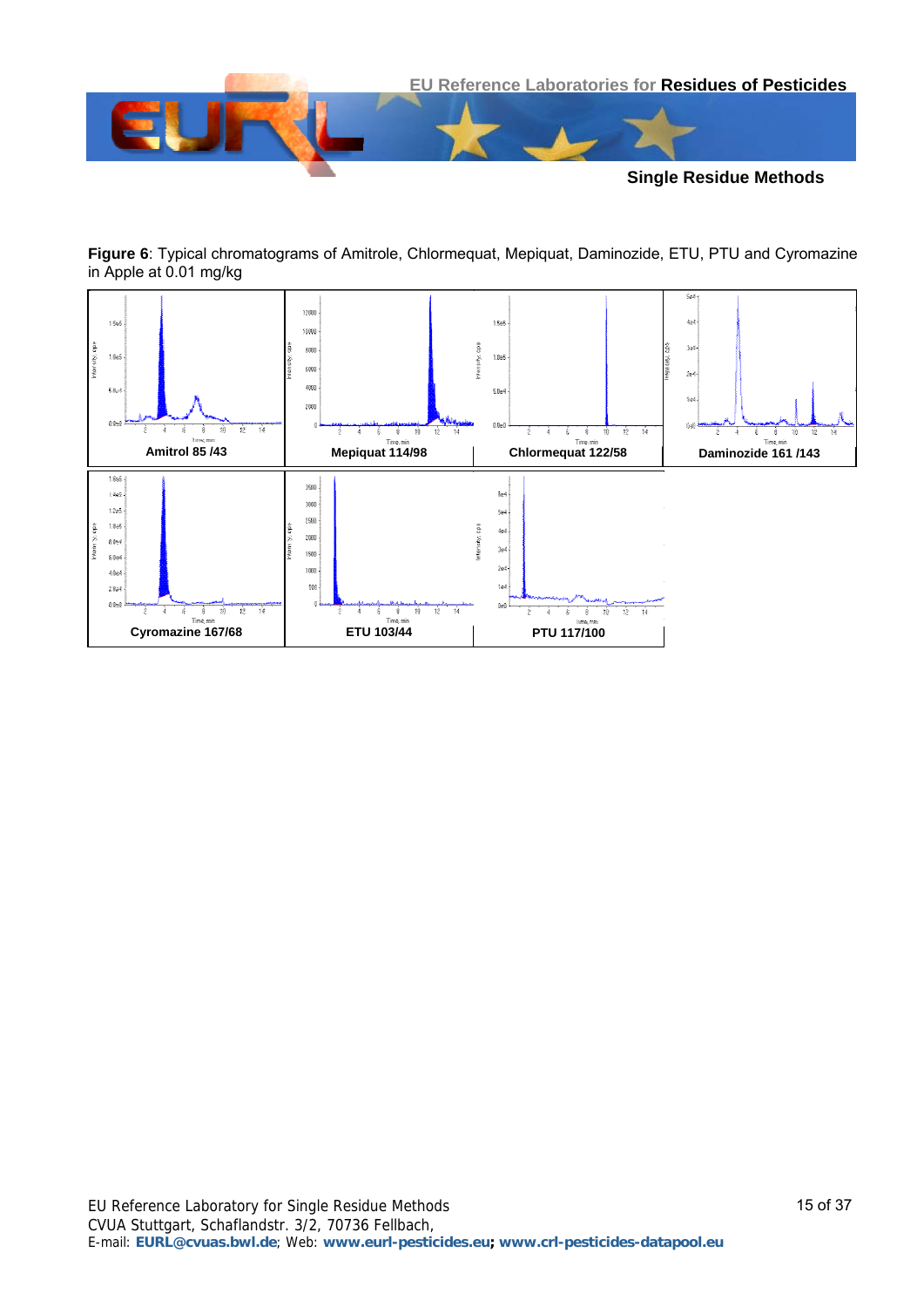



**Figure 6**: Typical chromatograms of Amitrole, Chlormequat, Mepiquat, Daminozide, ETU, PTU and Cyromazine in Apple at 0.01 mg/kg

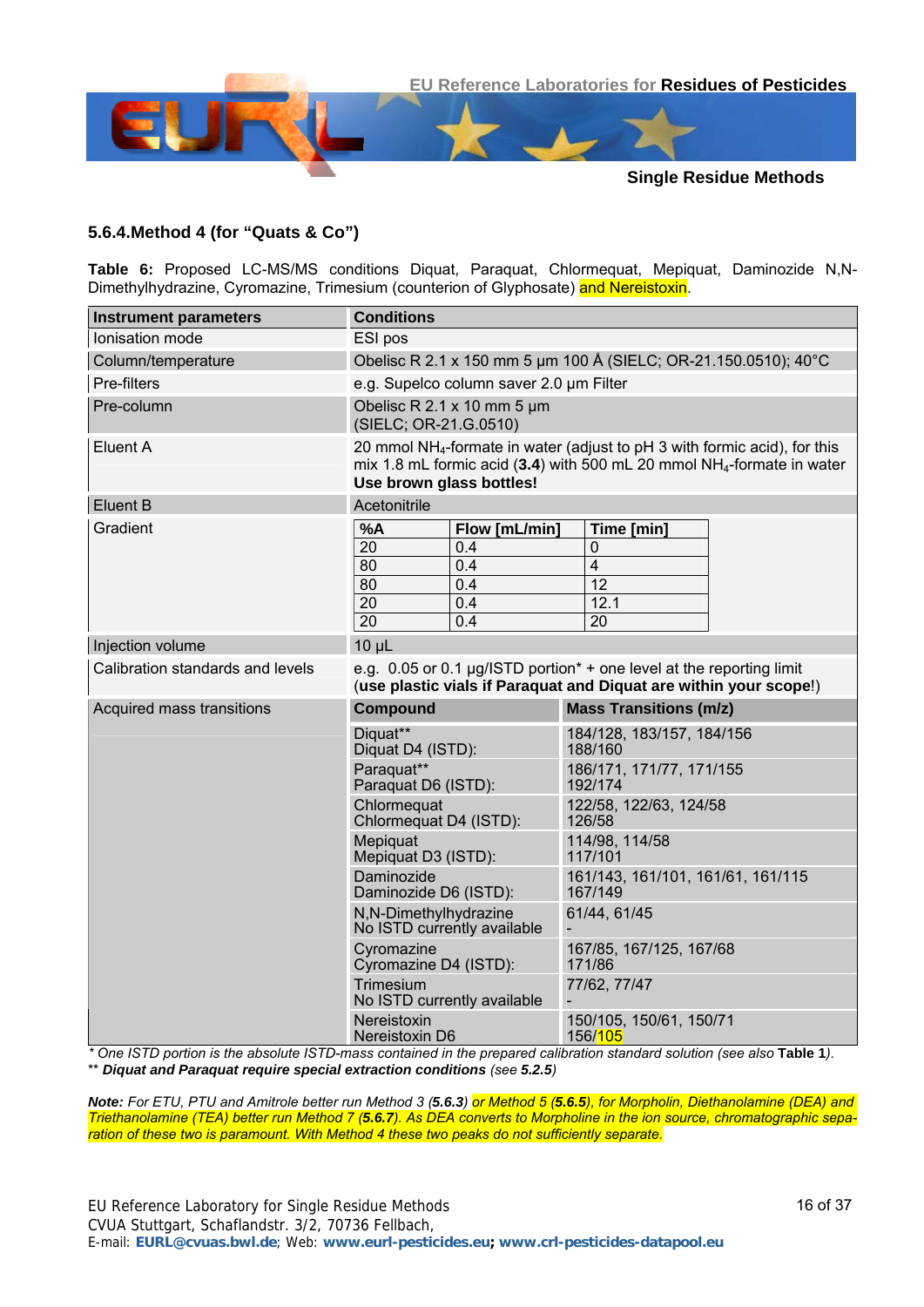

#### <span id="page-15-0"></span>**5.6.4.Method 4 (for "Quats & Co")**

**Table 6:** Proposed LC-MS/MS conditions Diquat, Paraquat, Chlormequat, Mepiquat, Daminozide N,N-Dimethylhydrazine, Cyromazine, Trimesium (counterion of Glyphosate) and Nereistoxin.

| <b>Instrument parameters</b>     | <b>Conditions</b>                                                                                                                                                                                       |                                              |  |  |  |  |
|----------------------------------|---------------------------------------------------------------------------------------------------------------------------------------------------------------------------------------------------------|----------------------------------------------|--|--|--|--|
| Ionisation mode                  | ESI pos                                                                                                                                                                                                 |                                              |  |  |  |  |
| Column/temperature               | Obelisc R 2.1 x 150 mm 5 um 100 Å (SIELC; OR-21.150.0510); 40°C                                                                                                                                         |                                              |  |  |  |  |
| Pre-filters                      | e.g. Supelco column saver 2.0 um Filter                                                                                                                                                                 |                                              |  |  |  |  |
| Pre-column                       | Obelisc R 2.1 x 10 mm 5 um<br>(SIELC; OR-21.G.0510)                                                                                                                                                     |                                              |  |  |  |  |
| Eluent A                         | 20 mmol NH <sub>4</sub> -formate in water (adjust to pH 3 with formic acid), for this<br>mix 1.8 mL formic acid (3.4) with 500 mL 20 mmol NH <sub>4</sub> -formate in water<br>Use brown glass bottles! |                                              |  |  |  |  |
| <b>Eluent B</b>                  | Acetonitrile                                                                                                                                                                                            |                                              |  |  |  |  |
| Gradient                         | %A<br>Flow [mL/min]<br>20<br>0.4<br>80<br>0.4<br>80<br>0.4<br>$\overline{20}$<br>0.4<br>$\overline{20}$<br>0.4                                                                                          | Time [min]<br>0<br>4<br>12<br>12.1<br>20     |  |  |  |  |
| Injection volume                 | $10 \mu L$                                                                                                                                                                                              |                                              |  |  |  |  |
| Calibration standards and levels | e.g. 0.05 or 0.1 $\mu$ g/ISTD portion <sup>*</sup> + one level at the reporting limit<br>(use plastic vials if Paraquat and Diquat are within your scope!)                                              |                                              |  |  |  |  |
| Acquired mass transitions        | <b>Compound</b>                                                                                                                                                                                         | <b>Mass Transitions (m/z)</b>                |  |  |  |  |
|                                  | Diguat**<br>Diquat D4 (ISTD):                                                                                                                                                                           | 184/128, 183/157, 184/156<br>188/160         |  |  |  |  |
|                                  | Paraquat**<br>Paraquat D6 (ISTD):                                                                                                                                                                       | 186/171, 171/77, 171/155<br>192/174          |  |  |  |  |
|                                  | Chlormeguat<br>Chlormequat D4 (ISTD):                                                                                                                                                                   | 122/58, 122/63, 124/58<br>126/58             |  |  |  |  |
|                                  | Mepiquat<br>Mepiquat D3 (ISTD):                                                                                                                                                                         | 114/98, 114/58<br>117/101                    |  |  |  |  |
|                                  | Daminozide<br>Daminozide D6 (ISTD):                                                                                                                                                                     | 161/143, 161/101, 161/61, 161/115<br>167/149 |  |  |  |  |
|                                  | N,N-Dimethylhydrazine<br>No ISTD currently available                                                                                                                                                    | 61/44, 61/45                                 |  |  |  |  |
|                                  | Cyromazine<br>Cyromazine D4 (ISTD):                                                                                                                                                                     | 167/85, 167/125, 167/68<br>171/86            |  |  |  |  |
|                                  | Trimesium<br>No ISTD currently available                                                                                                                                                                | 77/62, 77/47                                 |  |  |  |  |
|                                  | <b>Nereistoxin</b><br>Nereistoxin D6                                                                                                                                                                    | 150/105, 150/61, 150/71<br>156/105           |  |  |  |  |

*\* One ISTD portion is the absolute ISTD-mass contained in the prepared calibration standard solution (see also* **[Table 1](#page-6-0)***).*  \*\* *Diquat and Paraquat require special extraction conditions (see [5.2.5](#page-5-5))*

*Note: For ETU, PTU and Amitrole better run Method 3 ([5.6.3](#page-13-0)) or Method 5 ([5.6.5](#page-17-0)), for Morpholin, Diethanolamine (DEA) and Triethanolamine (TEA) better run Method 7 ([5.6.7](#page-19-0)). As DEA converts to Morpholine in the ion source, chromatographic separation of these two is paramount. With Method 4 these two peaks do not sufficiently separate.*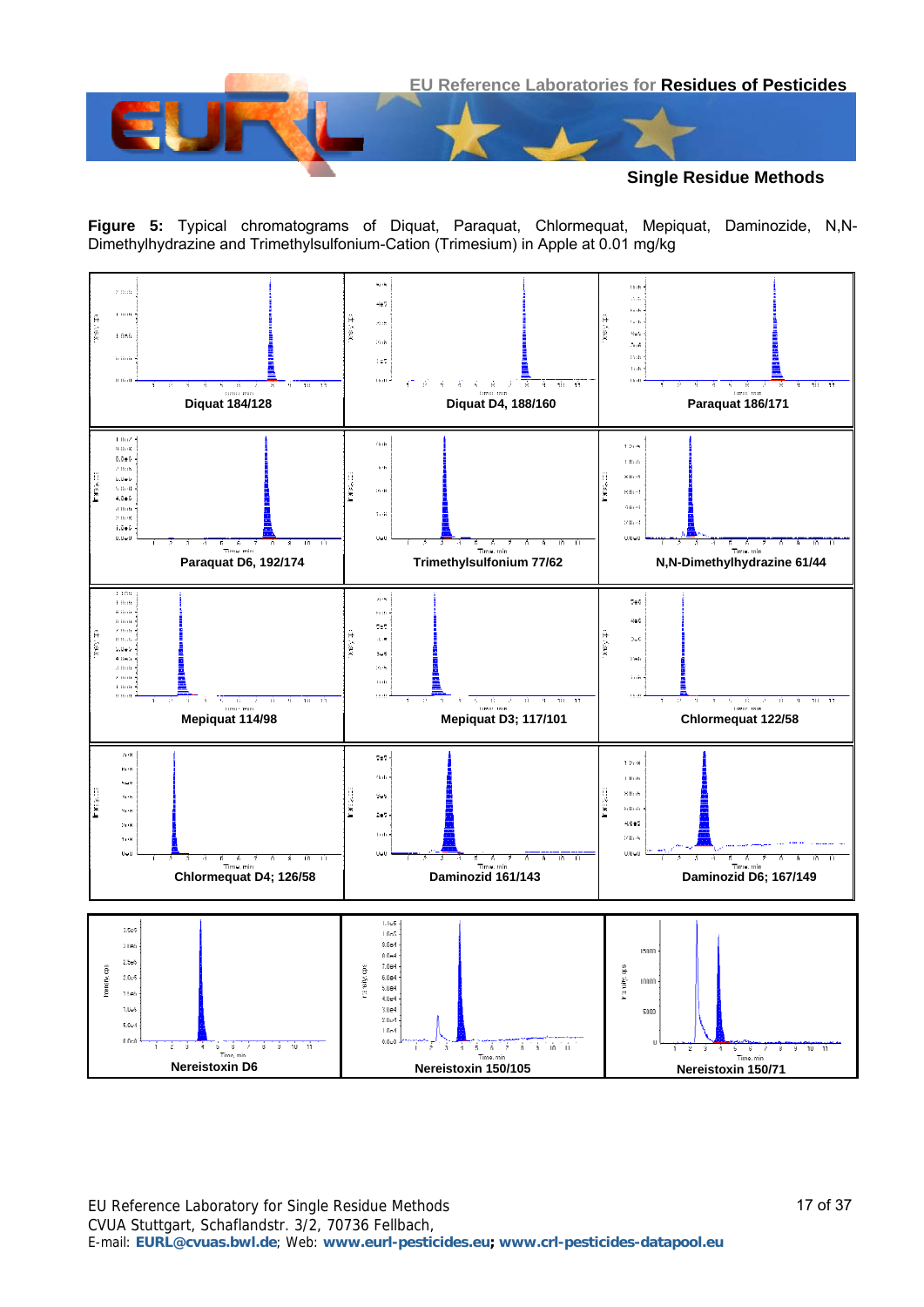

**Single Residue Methods**

**Figure 5:** Typical chromatograms of Diquat, Paraquat, Chlormequat, Mepiquat, Daminozide, N,N-Dimethylhydrazine and Trimethylsulfonium-Cation (Trimesium) in Apple at 0.01 mg/kg

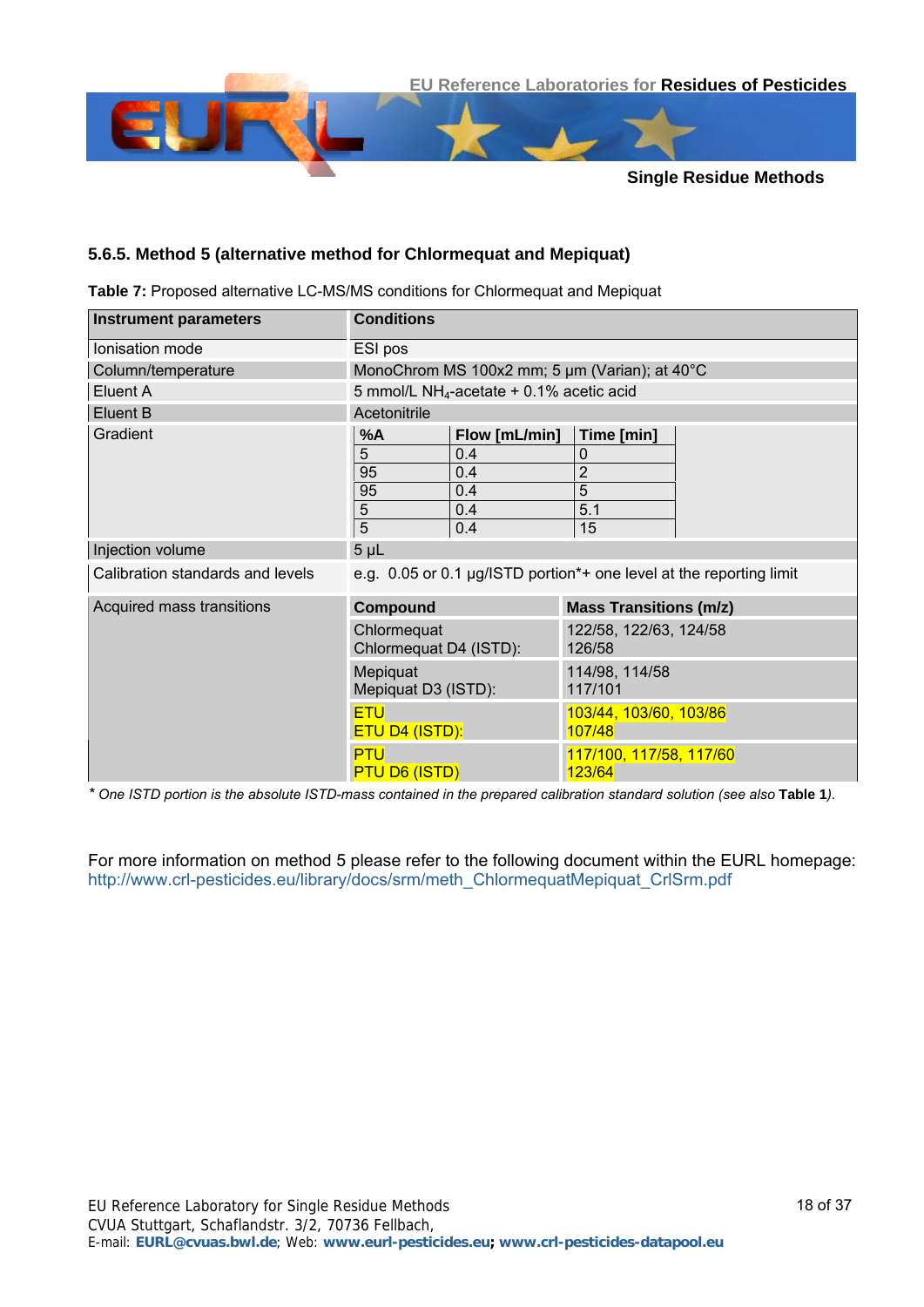

#### <span id="page-17-0"></span>**5.6.5. Method 5 (alternative method for Chlormequat and Mepiquat)**

**Table 7:** Proposed alternative LC-MS/MS conditions for Chlormequat and Mepiquat

| <b>Instrument parameters</b>     | <b>Conditions</b>                     |                                                        |                                   |                                                                     |  |  |  |
|----------------------------------|---------------------------------------|--------------------------------------------------------|-----------------------------------|---------------------------------------------------------------------|--|--|--|
| Ionisation mode                  | ESI pos                               |                                                        |                                   |                                                                     |  |  |  |
| Column/temperature               |                                       | MonoChrom MS 100x2 mm; 5 um (Varian); at 40°C          |                                   |                                                                     |  |  |  |
| Eluent A                         |                                       | 5 mmol/L NH <sub>4</sub> -acetate $+$ 0.1% acetic acid |                                   |                                                                     |  |  |  |
| Eluent B                         | Acetonitrile                          |                                                        |                                   |                                                                     |  |  |  |
| Gradient                         | %A                                    | Flow [mL/min]                                          | Time [min]                        |                                                                     |  |  |  |
|                                  | 5                                     | 0.4                                                    | 0                                 |                                                                     |  |  |  |
|                                  | 95                                    | 0.4                                                    | $\overline{2}$                    |                                                                     |  |  |  |
|                                  | 95                                    | 0.4                                                    | $\overline{5}$                    |                                                                     |  |  |  |
|                                  | 5                                     | 0.4                                                    | 5.1                               |                                                                     |  |  |  |
|                                  | 5                                     | 0.4                                                    | 15                                |                                                                     |  |  |  |
| Injection volume                 | 5 <sub>µL</sub>                       |                                                        |                                   |                                                                     |  |  |  |
| Calibration standards and levels |                                       |                                                        |                                   | e.g. 0.05 or 0.1 µg/ISTD portion*+ one level at the reporting limit |  |  |  |
| Acquired mass transitions        | <b>Compound</b>                       |                                                        | <b>Mass Transitions (m/z)</b>     |                                                                     |  |  |  |
|                                  | Chlormequat<br>Chlormequat D4 (ISTD): |                                                        | 122/58, 122/63, 124/58<br>126/58  |                                                                     |  |  |  |
|                                  | Mepiquat<br>Mepiquat D3 (ISTD):       |                                                        | 114/98, 114/58<br>117/101         |                                                                     |  |  |  |
|                                  | <b>ETU</b><br><b>ETU D4 (ISTD):</b>   |                                                        | 103/44, 103/60, 103/86<br>107/48  |                                                                     |  |  |  |
|                                  | <b>PTU</b><br><b>PTU D6 (ISTD)</b>    |                                                        | 117/100, 117/58, 117/60<br>123/64 |                                                                     |  |  |  |

*\* One ISTD portion is the absolute ISTD-mass contained in the prepared calibration standard solution (see also* **[Table 1](#page-6-0)***).*

For more information on method 5 please refer to the following document within the EURL homepage: [http://www.crl-pesticides.eu/library/docs/srm/meth\\_ChlormequatMepiquat\\_CrlSrm.pdf](http://www.crl-pesticides.eu/library/docs/srm/meth_ChlormequatMepiquat_CrlSrm.pdf)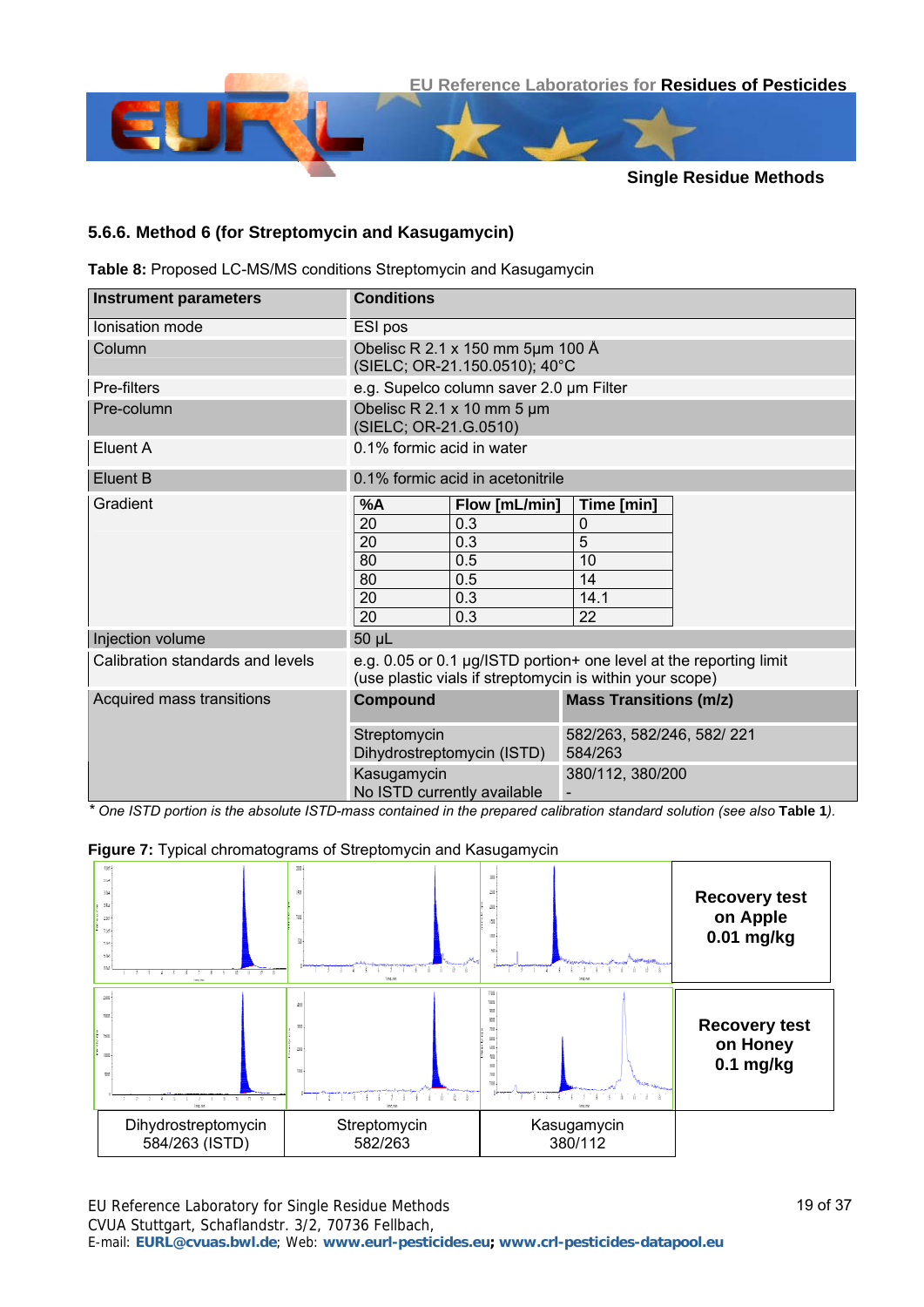

#### <span id="page-18-0"></span>**5.6.6. Method 6 (for Streptomycin and Kasugamycin)**

**Table 8:** Proposed LC-MS/MS conditions Streptomycin and Kasugamycin

| <b>Instrument parameters</b>     | <b>Conditions</b>                                                                                                              |                                                                   |                                      |  |  |  |  |
|----------------------------------|--------------------------------------------------------------------------------------------------------------------------------|-------------------------------------------------------------------|--------------------------------------|--|--|--|--|
| Ionisation mode                  | ESI pos                                                                                                                        |                                                                   |                                      |  |  |  |  |
| Column                           |                                                                                                                                | Obelisc R 2.1 x 150 mm 5µm 100 Å<br>(SIELC; OR-21.150.0510); 40°C |                                      |  |  |  |  |
| Pre-filters                      |                                                                                                                                | e.g. Supelco column saver 2.0 um Filter                           |                                      |  |  |  |  |
| Pre-column                       | (SIELC; OR-21.G.0510)                                                                                                          | Obelisc R 2.1 x 10 mm 5 $\mu$ m                                   |                                      |  |  |  |  |
| Eluent A                         |                                                                                                                                | 0.1% formic acid in water                                         |                                      |  |  |  |  |
| Eluent B                         | 0.1% formic acid in acetonitrile                                                                                               |                                                                   |                                      |  |  |  |  |
| Gradient                         | %A                                                                                                                             | Flow [mL/min]                                                     | Time [min]                           |  |  |  |  |
|                                  | 20                                                                                                                             | 0.3                                                               | 0                                    |  |  |  |  |
|                                  | 20                                                                                                                             | 0.3                                                               | 5                                    |  |  |  |  |
|                                  | 80                                                                                                                             | 0.5                                                               | 10                                   |  |  |  |  |
|                                  | 80                                                                                                                             | 0.5                                                               | 14                                   |  |  |  |  |
|                                  | 20                                                                                                                             | 0.3                                                               | 14.1                                 |  |  |  |  |
|                                  | 20                                                                                                                             | 0.3                                                               | 22                                   |  |  |  |  |
| Injection volume                 | 50 µL                                                                                                                          |                                                                   |                                      |  |  |  |  |
| Calibration standards and levels | e.g. 0.05 or 0.1 µg/ISTD portion+ one level at the reporting limit<br>(use plastic vials if streptomycin is within your scope) |                                                                   |                                      |  |  |  |  |
| Acquired mass transitions        | Compound                                                                                                                       |                                                                   | <b>Mass Transitions (m/z)</b>        |  |  |  |  |
|                                  | Streptomycin<br>Dihydrostreptomycin (ISTD)                                                                                     |                                                                   | 582/263, 582/246, 582/221<br>584/263 |  |  |  |  |
|                                  | Kasugamycin                                                                                                                    |                                                                   | 380/112, 380/200                     |  |  |  |  |
|                                  |                                                                                                                                | No ISTD currently available                                       |                                      |  |  |  |  |

*\* One ISTD portion is the absolute ISTD-mass contained in the prepared calibration standard solution (see also* **[Table 1](#page-6-0)***).*



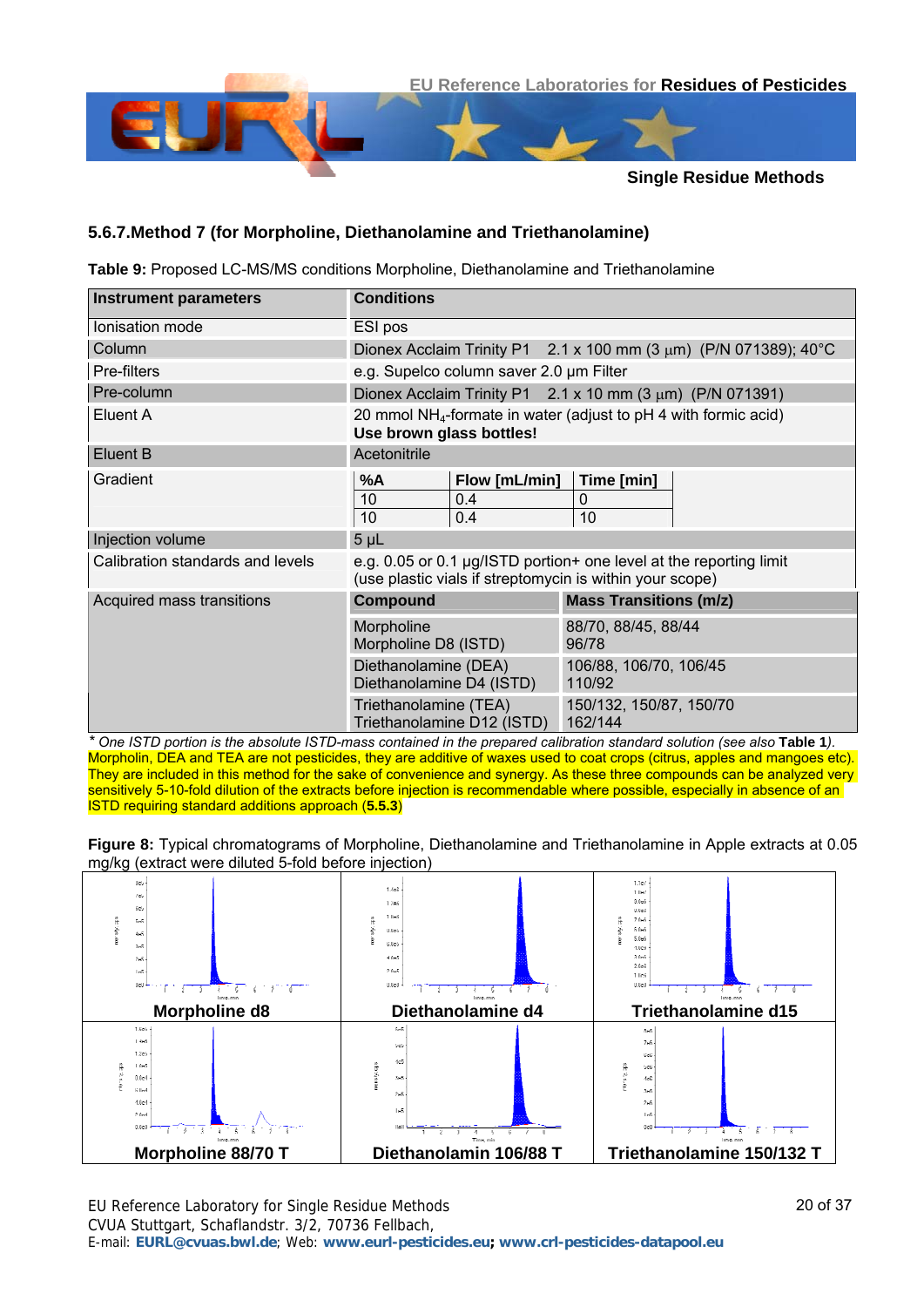

#### <span id="page-19-0"></span>**5.6.7.Method 7 (for Morpholine, Diethanolamine and Triethanolamine)**

**Table 9:** Proposed LC-MS/MS conditions Morpholine, Diethanolamine and Triethanolamine

| <b>Instrument parameters</b>     | <b>Conditions</b>                                                                                                              |                                                                              |  |  |  |  |  |
|----------------------------------|--------------------------------------------------------------------------------------------------------------------------------|------------------------------------------------------------------------------|--|--|--|--|--|
| Ionisation mode                  | ESI pos                                                                                                                        |                                                                              |  |  |  |  |  |
| Column                           |                                                                                                                                | Dionex Acclaim Trinity P1 $2.1 \times 100$ mm (3 $\mu$ m) (P/N 071389); 40°C |  |  |  |  |  |
| Pre-filters                      | e.g. Supelco column saver 2.0 um Filter                                                                                        |                                                                              |  |  |  |  |  |
| Pre-column                       |                                                                                                                                | Dionex Acclaim Trinity P1 $2.1 \times 10$ mm (3 $\mu$ m) (P/N 071391)        |  |  |  |  |  |
| Eluent A                         | 20 mmol $NH_4$ -formate in water (adjust to pH 4 with formic acid)<br>Use brown glass bottles!                                 |                                                                              |  |  |  |  |  |
| Eluent B                         | Acetonitrile                                                                                                                   |                                                                              |  |  |  |  |  |
| Gradient                         | Flow [mL/min]<br>%A<br>10<br>0.4<br>10<br>0.4                                                                                  | Time [min]<br>0<br>10                                                        |  |  |  |  |  |
| Injection volume                 | 5 <sub>µL</sub>                                                                                                                |                                                                              |  |  |  |  |  |
| Calibration standards and levels | e.g. 0.05 or 0.1 µg/ISTD portion+ one level at the reporting limit<br>(use plastic vials if streptomycin is within your scope) |                                                                              |  |  |  |  |  |
| Acquired mass transitions        | Compound                                                                                                                       | <b>Mass Transitions (m/z)</b>                                                |  |  |  |  |  |
|                                  | Morpholine<br>Morpholine D8 (ISTD)                                                                                             | 88/70, 88/45, 88/44<br>96/78                                                 |  |  |  |  |  |
|                                  | Diethanolamine (DEA)<br>Diethanolamine D4 (ISTD)                                                                               | 106/88, 106/70, 106/45<br>110/92                                             |  |  |  |  |  |
|                                  | Triethanolamine (TEA)<br>Triethanolamine D12 (ISTD)                                                                            | 150/132, 150/87, 150/70<br>162/144                                           |  |  |  |  |  |

*\* One ISTD portion is the absolute ISTD-mass contained in the prepared calibration standard solution (see also* **[Table 1](#page-6-0)***).* Morpholin, DEA and TEA are not pesticides, they are additive of waxes used to coat crops (citrus, apples and mangoes etc). They are included in this method for the sake of convenience and synergy. As these three compounds can be analyzed very sensitively 5-10-fold dilution of the extracts before injection is recommendable where possible, especially in absence of an ISTD requiring standard additions approach (**[5.5.3](#page-7-0)**)

**Figure 8:** Typical chromatograms of Morpholine, Diethanolamine and Triethanolamine in Apple extracts at 0.05 mg/kg (extract were diluted 5-fold before injection)

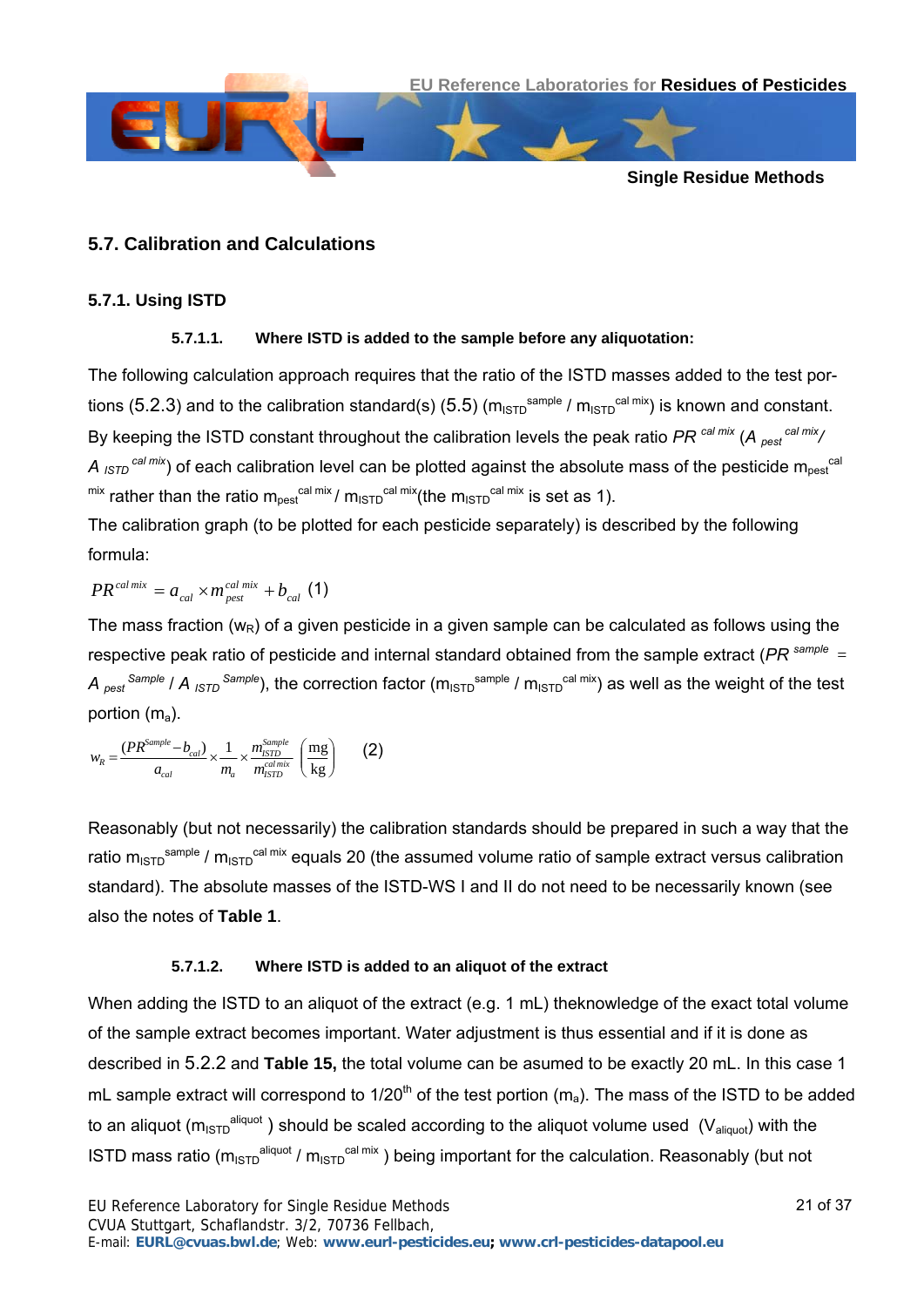

#### **5.7. Calibration and Calculations**

#### <span id="page-20-0"></span>**5.7.1. Using ISTD**

#### **5.7.1.1. Where ISTD is added to the sample before any aliquotation:**

The following calculation approach requires that the ratio of the ISTD masses added to the test por-tions ([5.2.3](#page-4-2)) and to the calibration standard(s) ([5.5](#page-5-1)) (m<sub>ISTD</sub><sup>sample</sup> / m<sub>ISTD</sub><sup>cal mix</sup>) is known and constant. By keeping the ISTD constant throughout the calibration levels the peak ratio PR <sup>cal mix</sup> (A <sub>pest</sub> cal mix/ *A* <sub>ISTD</sub> cal mix) of each calibration level can be plotted against the absolute mass of the pesticide m<sub>pest</sub><sup>cal</sup>  $^{\text{mix}}$  rather than the ratio m<sub>pest</sub><sup>cal mix</sup>/ m<sub>ISTD</sub><sup>cal mix</sup>(the m<sub>ISTD</sub><sup>cal mix</sup> is set as 1).

The calibration graph (to be plotted for each pesticide separately) is described by the following formula:

$$
PR^{cal\,mix} = a_{cal} \times m_{pest}^{cal\,mix} + b_{cal} \tag{1}
$$

The mass fraction  $(w_R)$  of a given pesticide in a given sample can be calculated as follows using the respective peak ratio of pesticide and internal standard obtained from the sample extract (*PR*<sup>sample</sup> = *A <sub>pest</sub> sample / A <sub>ISTD</sub> Sample*), the correction factor (m<sub>ISTD</sub><sup>sample</sup> / m<sub>ISTD</sub><sup>cal mix</sup>) as well as the weight of the test portion  $(m_a)$ .

$$
w_R = \frac{(PR^{sample} - b_{cal})}{a_{cal}} \times \frac{1}{m_a} \times \frac{m_{ISTD}^{Sample}}{m_{ISTD}^{calmix}} \left(\frac{mg}{kg}\right)
$$
 (2)

Reasonably (but not necessarily) the calibration standards should be prepared in such a way that the ratio m<sub>ISTD</sub><sup>sample</sup> / m<sub>ISTD</sub><sup>cal mix</sup> equals 20 (the assumed volume ratio of sample extract versus calibration standard). The absolute masses of the ISTD-WS I and II do not need to be necessarily known (see also the notes of **[Table 1](#page-6-0)**.

#### **5.7.1.2. Where ISTD is added to an aliquot of the extract**

<span id="page-20-1"></span>When adding the ISTD to an aliquot of the extract (e.g. 1 mL) theknowledge of the exact total volume of the sample extract becomes important. Water adjustment is thus essential and if it is done as described in [5.2.2](#page-4-1) and **[Table 15](#page-31-0),** the total volume can be asumed to be exactly 20 mL. In this case 1 mL sample extract will correspond to  $1/20<sup>th</sup>$  of the test portion (m<sub>a</sub>). The mass of the ISTD to be added to an aliquot ( $m_{1STD}^{alignot}$ ) should be scaled according to the aliquot volume used ( $V_{alignot}$ ) with the ISTD mass ratio (m<sub>ISTD</sub><sup>aliquot</sup> / m<sub>ISTD</sub><sup>cal mix</sup>) being important for the calculation. Reasonably (but not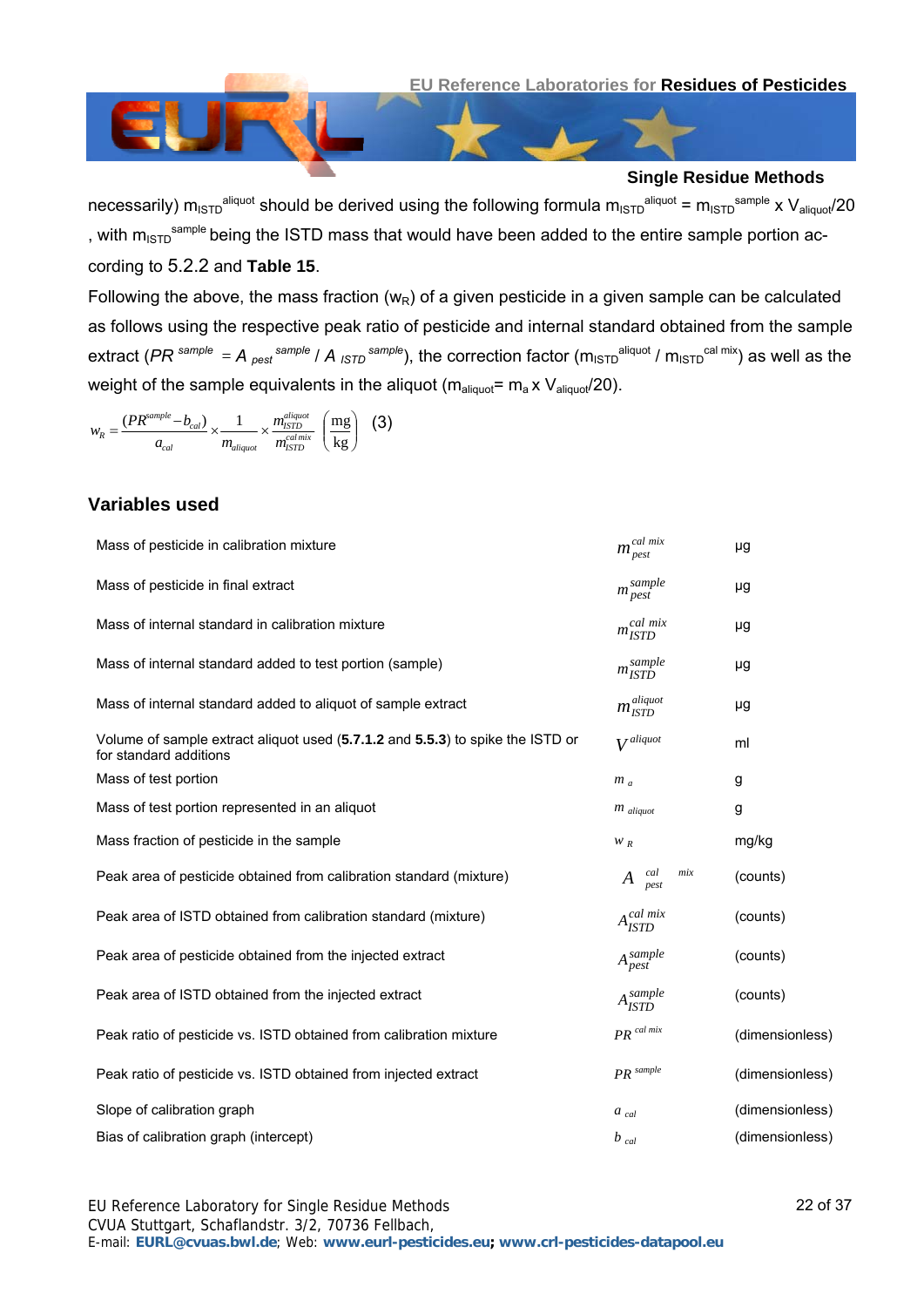

necessarily)  $m_{1STD}^{alignot}$  should be derived using the following formula  $m_{1STD}^{alignot} = m_{1STD}^{sample}$  x  $V_{alignot}/20$ , with  $m_{15}$ <sup>sample</sup> being the ISTD mass that would have been added to the entire sample portion according to [5.2.2](#page-4-1) and **[Table 15](#page-31-0)**.

Following the above, the mass fraction ( $w_R$ ) of a given pesticide in a given sample can be calculated as follows using the respective peak ratio of pesticide and internal standard obtained from the sample extract (*PR <sup>sample</sup> = A <sub>pest</sub> sample* / *A* <sub>ISTD</sub> sample), the correction factor (m<sub>ISTD</sub><sup>aliquot</sup> / m<sub>ISTD</sub><sup>cal mix</sup>) as well as the weight of the sample equivalents in the aliquot ( $m_{\text{aliquot}}= m_a x V_{\text{aliquot}}/20$ ).

$$
w_R = \frac{(PR^{sample} - b_{cal})}{a_{cal}} \times \frac{1}{m_{aligned}} \times \frac{m_{isprob}^{align}}{m_{srop}^{cal mix}} \left(\frac{mg}{kg}\right)
$$
 (3)

#### **Variables used**

| Mass of pesticide in calibration mixture                                                                 | $m_{\text{pest}}^{\text{cal mix}}$ | μg              |
|----------------------------------------------------------------------------------------------------------|------------------------------------|-----------------|
| Mass of pesticide in final extract                                                                       | $m_{pest}^{sample}$                | μg              |
| Mass of internal standard in calibration mixture                                                         | mcal mix                           | μg              |
| Mass of internal standard added to test portion (sample)                                                 | m sample<br>ISTD                   | μg              |
| Mass of internal standard added to aliquot of sample extract                                             | $m_{\emph{ISTD}}^{alignot}$        | μg              |
| Volume of sample extract aliquot used (5.7.1.2 and 5.5.3) to spike the ISTD or<br>for standard additions | $V^{alignot}$                      | ml              |
| Mass of test portion                                                                                     | $m_a$                              | g               |
| Mass of test portion represented in an aliquot                                                           | $m$ aliquot                        | g               |
| Mass fraction of pesticide in the sample                                                                 | $W_R$                              | mg/kg           |
| Peak area of pesticide obtained from calibration standard (mixture)                                      | cal<br>mix<br>A<br>pest            | (counts)        |
| Peak area of ISTD obtained from calibration standard (mixture)                                           | $A_{\it ISTD}^{cal\;mix}$          | (counts)        |
| Peak area of pesticide obtained from the injected extract                                                | $A_{pest}^{sample}$                | (counts)        |
| Peak area of ISTD obtained from the injected extract                                                     | $A_{\text{ISTD}}^{sample}$         | (counts)        |
| Peak ratio of pesticide vs. ISTD obtained from calibration mixture                                       | ${\cal PR}^{\,cal\ crit}$          | (dimensionless) |
| Peak ratio of pesticide vs. ISTD obtained from injected extract                                          | PR <sup>sample</sup>               | (dimensionless) |
| Slope of calibration graph                                                                               | $a_{cal}$                          | (dimensionless) |
| Bias of calibration graph (intercept)                                                                    | $b_{cal}$                          | (dimensionless) |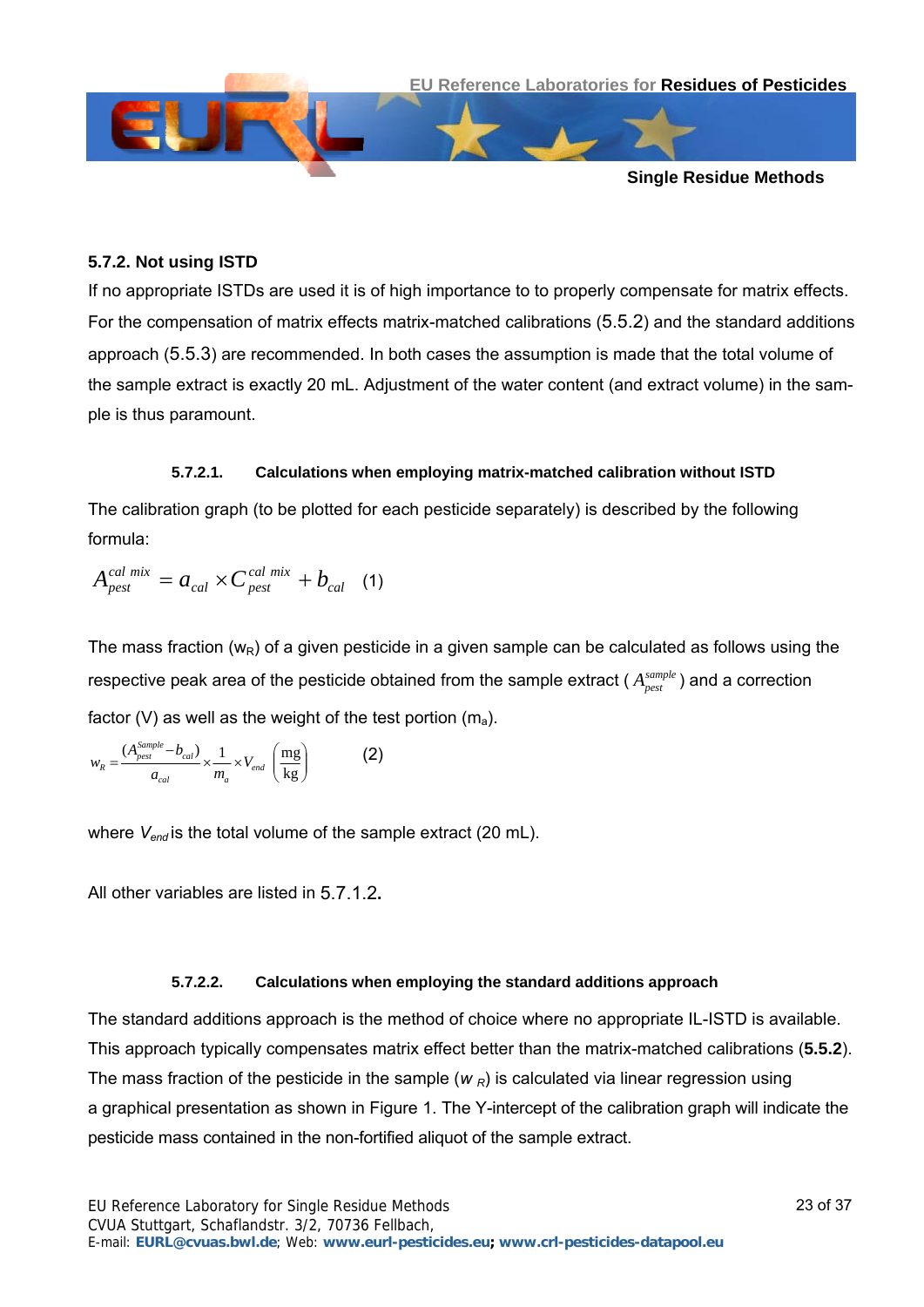



#### **5.7.2. Not using ISTD**

If no appropriate ISTDs are used it is of high importance to to properly compensate for matrix effects. For the compensation of matrix effects matrix-matched calibrations [\(5.5.2\)](#page-6-1) and the standard additions approach [\(5.5.3](#page-7-0)) are recommended. In both cases the assumption is made that the total volume of the sample extract is exactly 20 mL. Adjustment of the water content (and extract volume) in the sample is thus paramount.

#### **5.7.2.1. Calculations when employing matrix-matched calibration without ISTD**

<span id="page-22-0"></span>The calibration graph (to be plotted for each pesticide separately) is described by the following formula:

$$
A_{\text{pest}}^{\text{cal mix}} = a_{\text{cal}} \times C_{\text{pest}}^{\text{cal mix}} + b_{\text{cal}} \quad (1)
$$

The mass fraction  $(w_R)$  of a given pesticide in a given sample can be calculated as follows using the respective peak area of the pesticide obtained from the sample extract (  $A_{\it{pest}}^{\it{sample}}$  ) and a correction factor (V) as well as the weight of the test portion  $(m_a)$ .

 $\overline{\phantom{a}}$ ⎠ ⎞  $\overline{\phantom{a}}$  $=\frac{(A_{pest}^{Sample}-b_{cal})}{a_{cal}} \times \frac{1}{m_a} \times V_{end}$   $\left(\frac{mg}{kg}\right)$  $w_R = \frac{(A_{\text{post}}^{\text{Sample}} - b_{\text{cal}})}{a_{\text{cal}}} \times \frac{1}{m_a} \times V_{\text{end}} \left(\frac{\text{mg}}{\text{kg}}\right)$  (2)

where *V<sub>end</sub>* is the total volume of the sample extract (20 mL).

All other variables are listed in [5.7.1.2](#page-20-1)**.**

#### **5.7.2.2. Calculations when employing the standard additions approach**

<span id="page-22-1"></span>The standard additions approach is the method of choice where no appropriate IL-ISTD is available. This approach typically compensates matrix effect better than the matrix-matched calibrations (**[5.5.2](#page-6-1)**). The mass fraction of the pesticide in the sample  $(w_R)$  is calculated via linear regression using a graphical presentation as shown in Figure 1. The Y-intercept of the calibration graph will indicate the pesticide mass contained in the non-fortified aliquot of the sample extract.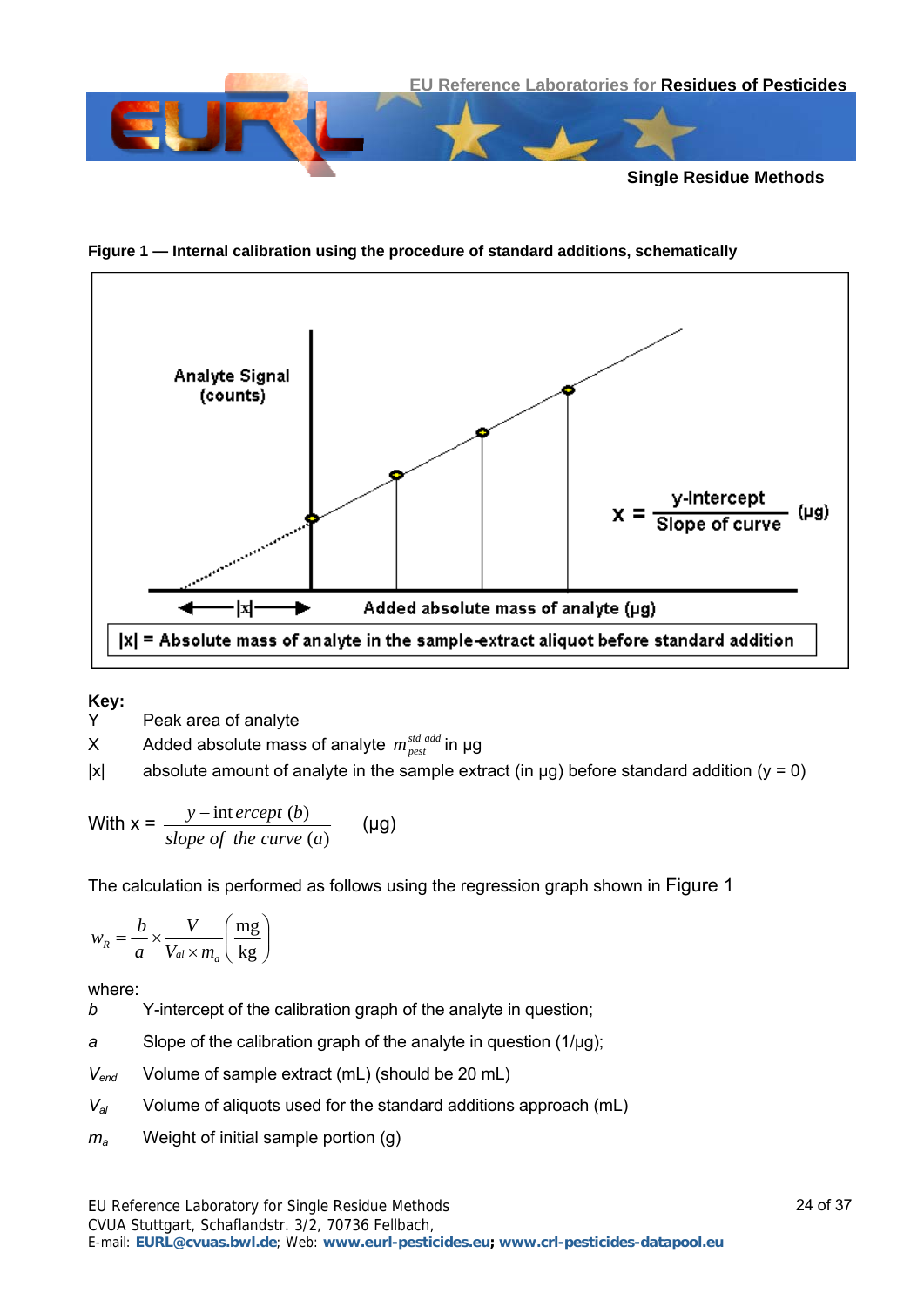

**Figure 1 — Internal calibration using the procedure of standard additions, schematically** 



**Key:** 

Y Peak area of analyte

 $X$  Added absolute mass of analyte  $m_{\text{post}}^{\text{std } \text{add}}$  in  $\mu$ g

 $|x|$  absolute amount of analyte in the sample extract (in  $\mu$ g) before standard addition (y = 0)

With 
$$
x = \frac{y - \text{int } \text{ercept } (b)}{\text{slope of the curve } (a)}
$$
 (µg)

The calculation is performed as follows using the regression graph shown in Figure 1

 $\overline{\phantom{a}}$ ⎠ ⎞  $\parallel$ ⎝  $\sqrt{}$ ×  $=\frac{v}{x}$ kg mg  $a^R$ <sup>*n*</sup>  $a^O$   $V_{al}$   $\times$   $m_a$ *V a*  $w_R = \frac{b}{-}$ 

where:

*b* Y-intercept of the calibration graph of the analyte in question;

*a* Slope of the calibration graph of the analyte in question (1/µg);

*V<sub>end</sub>* Volume of sample extract (mL) (should be 20 mL)

- *V<sub>al</sub>* Volume of aliquots used for the standard additions approach (mL)
- *ma* Weight of initial sample portion (g)

CVUA Stuttgart, Schaflandstr. 3/2, 70736 Fellbach,

E-mail: **EURL@cvuas.bwl.de**; Web: **www.eurl-pesticides.eu; www.crl-pesticides-datapool.eu**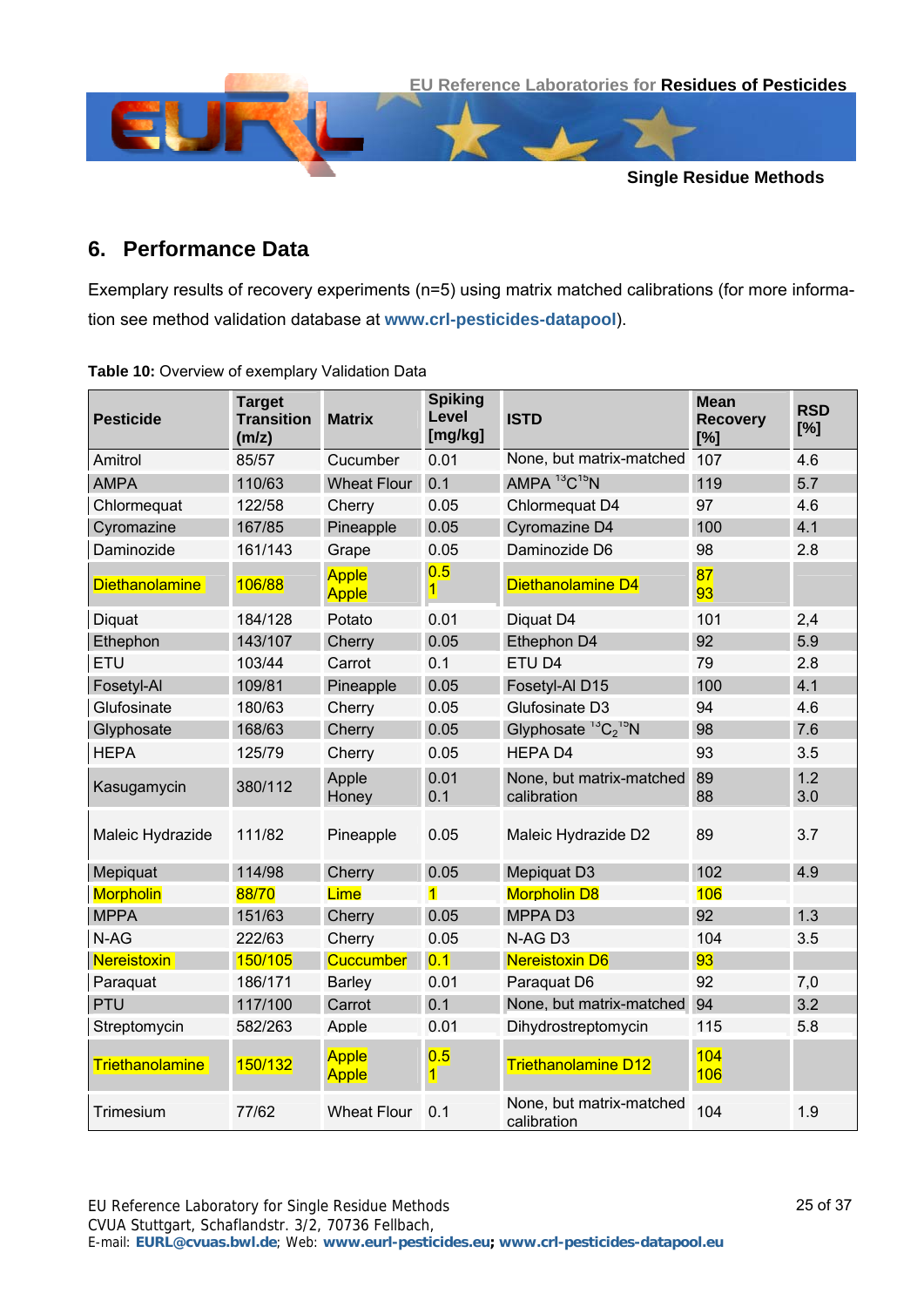

# **6. Performance Data**

Exemplary results of recovery experiments (n=5) using matrix matched calibrations (for more information see method validation database at **[www.crl-pesticides-datapool](http://www.crl-pesticides/)**).

| <b>Pesticide</b>       | <b>Target</b><br><b>Transition</b><br>(m/z) | <b>Matrix</b>                | <b>Spiking</b><br>Level<br>[mg/kg] | <b>ISTD</b>                             | <b>Mean</b><br><b>Recovery</b><br>[%] | <b>RSD</b><br>[%] |
|------------------------|---------------------------------------------|------------------------------|------------------------------------|-----------------------------------------|---------------------------------------|-------------------|
| Amitrol                | 85/57                                       | Cucumber                     | 0.01                               | None, but matrix-matched                | 107                                   | 4.6               |
| <b>AMPA</b>            | 110/63                                      | <b>Wheat Flour</b>           | 0.1                                | AMPA ${}^{13}C$ <sup>15</sup> N         | 119                                   | 5.7               |
| Chlormequat            | 122/58                                      | Cherry                       | 0.05                               | Chlormequat D4                          | 97                                    | 4.6               |
| Cyromazine             | 167/85                                      | Pineapple                    | 0.05                               | Cyromazine D4                           | 100                                   | 4.1               |
| Daminozide             | 161/143                                     | Grape                        | 0.05                               | Daminozide D6                           | 98                                    | 2.8               |
| Diethanolamine         | 106/88                                      | <b>Apple</b><br><b>Apple</b> | 0.5<br>$\overline{1}$              | Diethanolamine D4                       | 87<br>93                              |                   |
| Diquat                 | 184/128                                     | Potato                       | 0.01                               | Diquat D4                               | 101                                   | 2,4               |
| Ethephon               | 143/107                                     | Cherry                       | 0.05                               | Ethephon D4                             | 92                                    | 5.9               |
| <b>ETU</b>             | 103/44                                      | Carrot                       | 0.1                                | ETU D4                                  | 79                                    | 2.8               |
| Fosetyl-Al             | 109/81                                      | Pineapple                    | 0.05                               | Fosetyl-Al D15                          | 100                                   | 4.1               |
| Glufosinate            | 180/63                                      | Cherry                       | 0.05                               | Glufosinate D3                          | 94                                    | 4.6               |
| Glyphosate             | 168/63                                      | Cherry                       | 0.05                               | Glyphosate ${}^{13}C_2{}^{15}N$         | 98                                    | 7.6               |
| <b>HEPA</b>            | 125/79                                      | Cherry                       | 0.05                               | <b>HEPAD4</b>                           | 93                                    | 3.5               |
| Kasugamycin            | 380/112                                     | Apple<br>Honey               | 0.01<br>0.1                        | None, but matrix-matched<br>calibration | 89<br>88                              | 1.2<br>3.0        |
| Maleic Hydrazide       | 111/82                                      | Pineapple                    | 0.05                               | Maleic Hydrazide D2                     | 89                                    | 3.7               |
| Mepiquat               | 114/98                                      | Cherry                       | 0.05                               | Mepiquat D3                             | 102                                   | 4.9               |
| <b>Morpholin</b>       | 88/70                                       | Lime                         | $\overline{1}$                     | <b>Morpholin D8</b>                     | 106                                   |                   |
| <b>MPPA</b>            | 151/63                                      | Cherry                       | 0.05                               | MPPA D3                                 | 92                                    | 1.3               |
| N-AG                   | 222/63                                      | Cherry                       | 0.05                               | N-AG D3                                 | 104                                   | 3.5               |
| <b>Nereistoxin</b>     | 150/105                                     | <b>Cuccumber</b>             | 0.1                                | <b>Nereistoxin D6</b>                   | 93                                    |                   |
| Paraquat               | 186/171                                     | <b>Barley</b>                | 0.01                               | Paraquat D6                             | 92                                    | 7,0               |
| <b>PTU</b>             | 117/100                                     | Carrot                       | 0.1                                | None, but matrix-matched                | 94                                    | 3.2               |
| Streptomycin           | 582/263                                     | Apple                        | 0.01                               | Dihydrostreptomycin                     | 115                                   | 5.8               |
| <b>Triethanolamine</b> | 150/132                                     | <b>Apple</b><br><b>Apple</b> | 0.5<br>$\mathbf{1}$                | <b>Triethanolamine D12</b>              | 104<br>106                            |                   |
| Trimesium              | 77/62                                       | <b>Wheat Flour</b>           | 0.1                                | None, but matrix-matched<br>calibration | 104                                   | 1.9               |

**Table 10:** Overview of exemplary Validation Data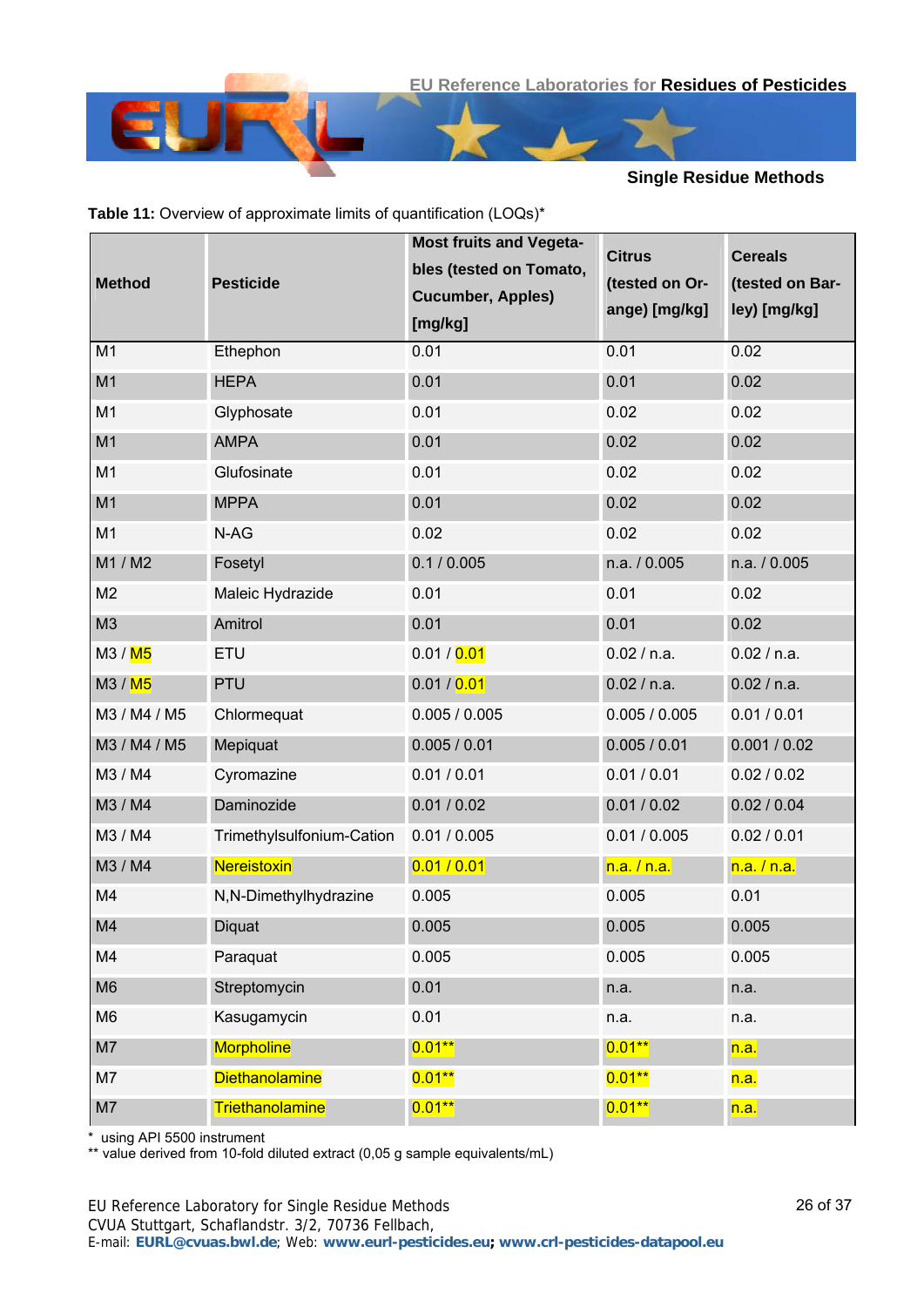

|  |  | Table 11: Overview of approximate limits of quantification (LOQs)* |  |
|--|--|--------------------------------------------------------------------|--|
|--|--|--------------------------------------------------------------------|--|

| <b>Method</b>        | <b>Pesticide</b>          | <b>Most fruits and Vegeta-</b><br>bles (tested on Tomato,<br><b>Cucumber, Apples)</b><br>[mg/kg] | <b>Citrus</b><br>(tested on Or-<br>ange) [mg/kg] | <b>Cereals</b><br>(tested on Bar-<br>ley) [mg/kg] |
|----------------------|---------------------------|--------------------------------------------------------------------------------------------------|--------------------------------------------------|---------------------------------------------------|
| M <sub>1</sub>       | Ethephon                  | 0.01                                                                                             | 0.01                                             | 0.02                                              |
| M <sub>1</sub>       | <b>HEPA</b>               | 0.01                                                                                             | 0.01                                             | 0.02                                              |
| M <sub>1</sub>       | Glyphosate                | 0.01                                                                                             | 0.02                                             | 0.02                                              |
| M <sub>1</sub>       | <b>AMPA</b>               | 0.01                                                                                             | 0.02                                             | 0.02                                              |
| M1                   | Glufosinate               | 0.01                                                                                             | 0.02                                             | 0.02                                              |
| M1                   | <b>MPPA</b>               | 0.01                                                                                             | 0.02                                             | 0.02                                              |
| M <sub>1</sub>       | N-AG                      | 0.02                                                                                             | 0.02                                             | 0.02                                              |
| M1 / M2              | Fosetyl                   | 0.1 / 0.005                                                                                      | n.a. / 0.005                                     | n.a. / 0.005                                      |
| M <sub>2</sub>       | Maleic Hydrazide          | 0.01                                                                                             | 0.01                                             | 0.02                                              |
| M <sub>3</sub>       | Amitrol                   | 0.01                                                                                             | 0.01                                             | 0.02                                              |
| M3 / <mark>M5</mark> | ETU                       | 0.01 / 0.01                                                                                      | 0.02 / n.a.                                      | 0.02 / n.a.                                       |
| M3 / M5              | <b>PTU</b>                | 0.01 / 0.01                                                                                      | 0.02 / n.a.                                      | 0.02 / n.a.                                       |
| M3 / M4 / M5         | Chlormequat               | 0.005 / 0.005                                                                                    | 0.005 / 0.005                                    | 0.01 / 0.01                                       |
| M3 / M4 / M5         | Mepiquat                  | 0.005 / 0.01                                                                                     | 0.005 / 0.01                                     | 0.001 / 0.02                                      |
| M3 / M4              | Cyromazine                | 0.01 / 0.01                                                                                      | 0.01 / 0.01                                      | 0.02 / 0.02                                       |
| M3 / M4              | Daminozide                | 0.01 / 0.02                                                                                      | 0.01 / 0.02                                      | 0.02 / 0.04                                       |
| M3 / M4              | Trimethylsulfonium-Cation | 0.01 / 0.005                                                                                     | 0.01 / 0.005                                     | 0.02 / 0.01                                       |
| M3 / M4              | <b>Nereistoxin</b>        | 0.01 / 0.01                                                                                      | n.a. / n.a.                                      | n.a. / n.a.                                       |
| M4                   | N,N-Dimethylhydrazine     | 0.005                                                                                            | 0.005                                            | 0.01                                              |
| M4                   | Diquat                    | 0.005                                                                                            | 0.005                                            | 0.005                                             |
| M4                   | Paraquat                  | 0.005                                                                                            | 0.005                                            | 0.005                                             |
| M <sub>6</sub>       | Streptomycin              | 0.01                                                                                             | n.a.                                             | n.a.                                              |
| M <sub>6</sub>       | Kasugamycin               | 0.01                                                                                             | n.a.                                             | n.a.                                              |
| M7                   | <b>Morpholine</b>         | $0.01***$                                                                                        | $0.01**$                                         | n.a.                                              |
| M7                   | <b>Diethanolamine</b>     | $0.01**$                                                                                         | $0.01**$                                         | n.a.                                              |
| M7                   | <b>Triethanolamine</b>    | $0.01**$                                                                                         | $0.01**$                                         | n.a.                                              |

\* using API 5500 instrument

\*\* value derived from 10-fold diluted extract (0,05 g sample equivalents/mL)

CVUA Stuttgart, Schaflandstr. 3/2, 70736 Fellbach,

E-mail: **EURL@cvuas.bwl.de**; Web: **www.eurl-pesticides.eu; www.crl-pesticides-datapool.eu**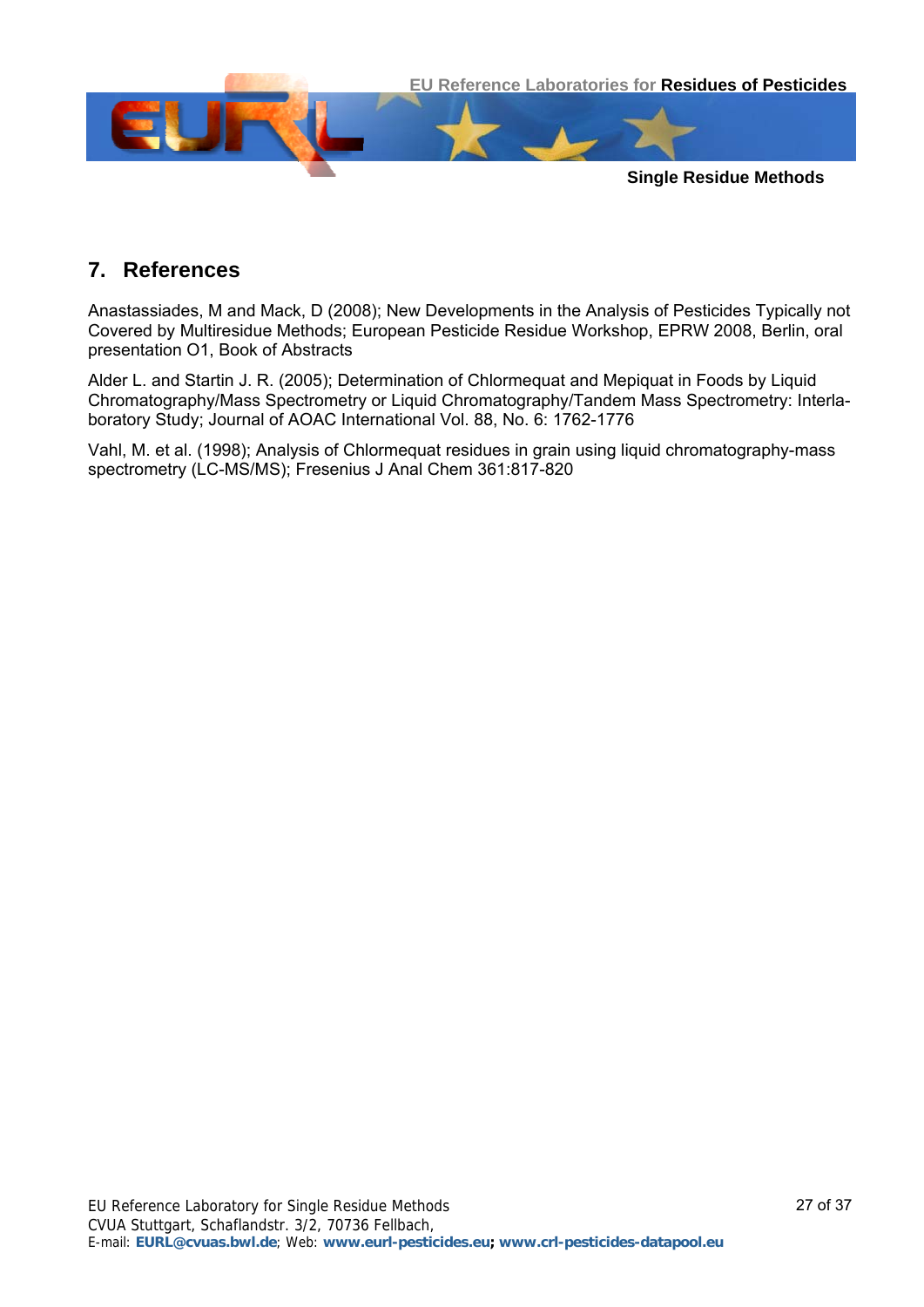

# **7. References**

Anastassiades, M and Mack, D (2008); New Developments in the Analysis of Pesticides Typically not Covered by Multiresidue Methods; European Pesticide Residue Workshop, EPRW 2008, Berlin, oral presentation O1, Book of Abstracts

Alder L. and Startin J. R. (2005); Determination of Chlormequat and Mepiquat in Foods by Liquid Chromatography/Mass Spectrometry or Liquid Chromatography/Tandem Mass Spectrometry: Interlaboratory Study; Journal of AOAC International Vol. 88, No. 6: 1762-1776

Vahl, M. et al. (1998); Analysis of Chlormequat residues in grain using liquid chromatography-mass spectrometry (LC-MS/MS); Fresenius J Anal Chem 361:817-820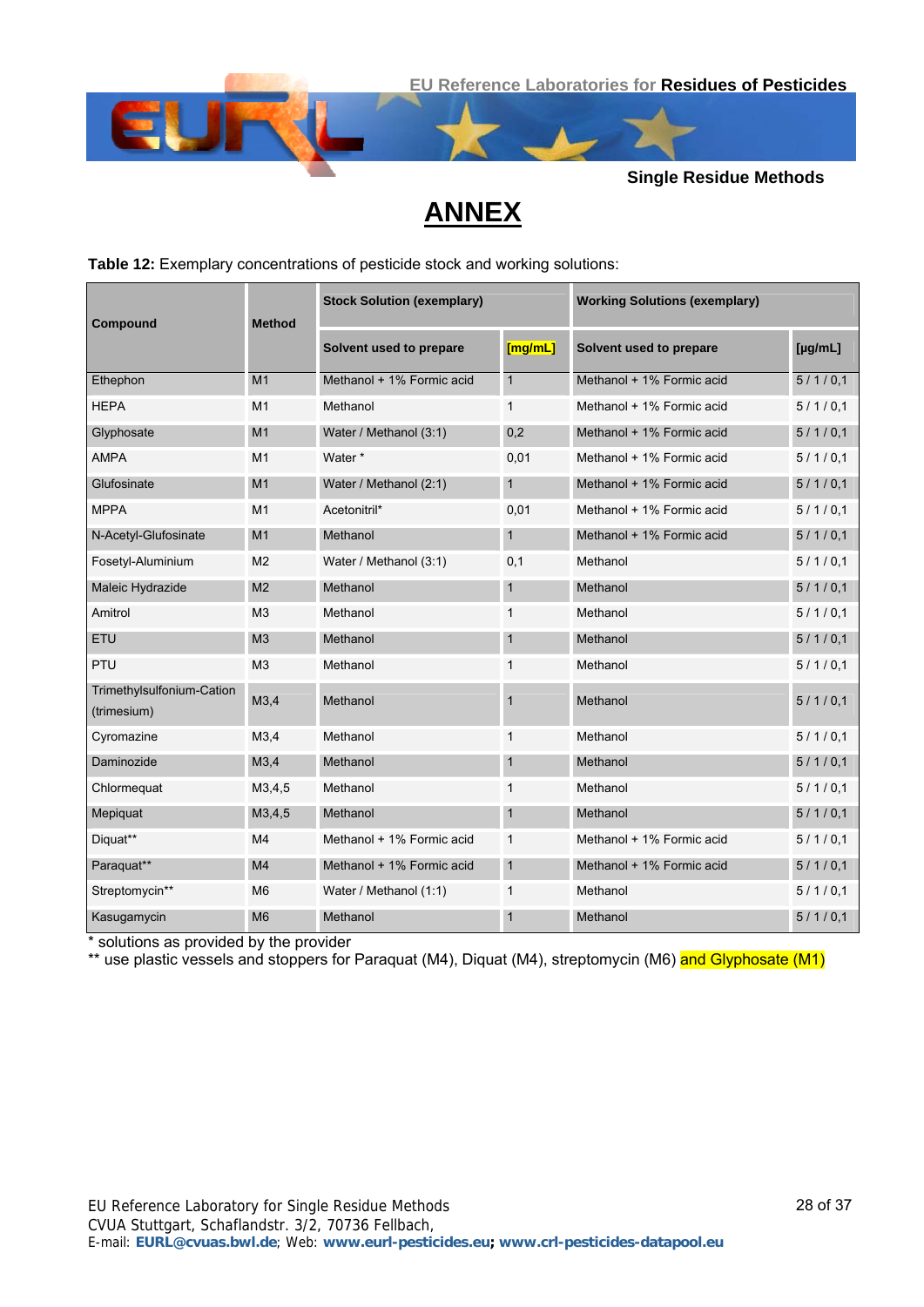



# **ANNEX**

<span id="page-27-0"></span>**Table 12:** Exemplary concentrations of pesticide stock and working solutions:

| Compound                                 | <b>Method</b>  | <b>Stock Solution (exemplary)</b> |              | <b>Working Solutions (exemplary)</b> |         |  |
|------------------------------------------|----------------|-----------------------------------|--------------|--------------------------------------|---------|--|
|                                          |                | Solvent used to prepare           | [mg/mL]      | Solvent used to prepare              | [µg/mL] |  |
| Ethephon                                 | M <sub>1</sub> | Methanol + 1% Formic acid         | $\mathbf{1}$ | Methanol + 1% Formic acid            | 5/1/0.1 |  |
| <b>HEPA</b>                              | M <sub>1</sub> | Methanol                          | $\mathbf{1}$ | Methanol + 1% Formic acid            | 5/1/0.1 |  |
| Glyphosate                               | M <sub>1</sub> | Water / Methanol (3:1)            | 0,2          | Methanol + 1% Formic acid            | 5/1/0,1 |  |
| <b>AMPA</b>                              | M1             | Water *                           | 0,01         | Methanol + 1% Formic acid            | 5/1/0.1 |  |
| Glufosinate                              | M <sub>1</sub> | Water / Methanol (2:1)            | 1            | Methanol + 1% Formic acid            | 5/1/0,1 |  |
| <b>MPPA</b>                              | M1             | Acetonitril*                      | 0,01         | Methanol + 1% Formic acid            | 5/1/0.1 |  |
| N-Acetyl-Glufosinate                     | M <sub>1</sub> | Methanol                          | 1            | Methanol + 1% Formic acid            | 5/1/0.1 |  |
| Fosetyl-Aluminium                        | M <sub>2</sub> | Water / Methanol (3:1)            | 0,1          | Methanol                             | 5/1/0.1 |  |
| Maleic Hydrazide                         | M <sub>2</sub> | Methanol                          | $\mathbf{1}$ | Methanol                             | 5/1/0,1 |  |
| Amitrol                                  | M <sub>3</sub> | Methanol                          | 1            | Methanol                             | 5/1/0.1 |  |
| ETU                                      | M <sub>3</sub> | Methanol                          | $\mathbf{1}$ | Methanol                             | 5/1/0.1 |  |
| PTU                                      | M <sub>3</sub> | Methanol                          | $\mathbf{1}$ | Methanol                             | 5/1/0.1 |  |
| Trimethylsulfonium-Cation<br>(trimesium) | M3,4           | Methanol                          | 1            | Methanol                             | 5/1/0,1 |  |
| Cyromazine                               | M3,4           | Methanol                          | 1            | Methanol                             | 5/1/0.1 |  |
| Daminozide                               | M3,4           | Methanol                          | 1            | Methanol                             | 5/1/0,1 |  |
| Chlormequat                              | M3,4,5         | Methanol                          | $\mathbf{1}$ | Methanol                             | 5/1/0.1 |  |
| Mepiquat                                 | M3,4,5         | Methanol                          | 1            | Methanol                             | 5/1/0,1 |  |
| Diquat**                                 | M4             | Methanol + 1% Formic acid         | $\mathbf{1}$ | Methanol + 1% Formic acid            | 5/1/0.1 |  |
| Paraquat**                               | M <sub>4</sub> | Methanol + 1% Formic acid         | 1            | Methanol + 1% Formic acid            | 5/1/0,1 |  |
| Streptomycin**                           | M <sub>6</sub> | Water / Methanol (1:1)            | 1            | Methanol                             | 5/1/0.1 |  |
| Kasugamycin                              | M <sub>6</sub> | Methanol                          | $\mathbf{1}$ | Methanol                             | 5/1/0,1 |  |

\* solutions as provided by the provider

\*\* use plastic vessels and stoppers for Paraquat (M4), Diquat (M4), streptomycin (M6) and Glyphosate (M1)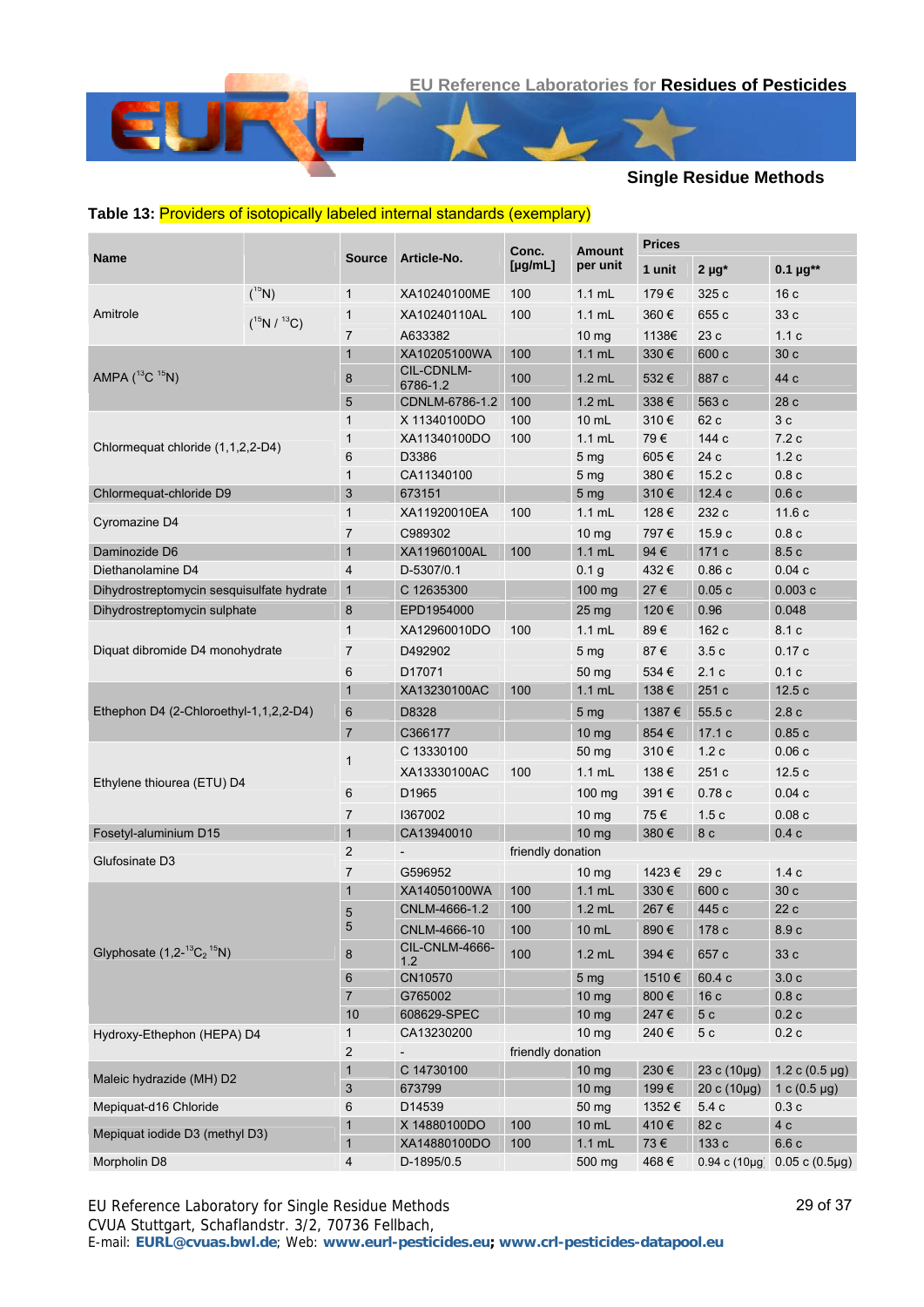#### <span id="page-28-0"></span>**Table 13:** Providers of isotopically labeled internal standards (exemplary)

|                                              |                   |                         |                                | Conc.             | <b>Amount</b>       | <b>Prices</b> |                     |                        |
|----------------------------------------------|-------------------|-------------------------|--------------------------------|-------------------|---------------------|---------------|---------------------|------------------------|
| <b>Name</b>                                  |                   | <b>Source</b>           | Article-No.                    | [µg/mL]           | per unit            | 1 unit        | $2 \mu g^*$         | 0.1 $\mu$ g**          |
|                                              | $(^{15}N)$        | $\mathbf{1}$            | XA10240100ME                   | 100               | $1.1$ mL            | 179€          | 325 c               | 16c                    |
| Amitrole                                     | $(^{15}N/^{13}C)$ | $\mathbf{1}$            | XA10240110AL                   | 100               | $1.1$ mL            | 360€          | 655 c               | 33 c                   |
|                                              |                   | 7                       | A633382                        |                   | 10 mg               | 1138€         | 23 c                | 1.1c                   |
|                                              |                   | $\mathbf{1}$            | XA10205100WA                   | 100               | $1.1$ mL            | 330€          | 600 c               | 30 c                   |
| AMPA $(^{13}C \ ^{15}N)$                     |                   | 8                       | CIL-CDNLM-                     | 100               | $1.2$ mL            | 532€          | 887 c               | 44 c                   |
|                                              |                   |                         | 6786-1.2                       |                   |                     |               |                     |                        |
|                                              |                   | 5<br>$\mathbf{1}$       | CDNLM-6786-1.2<br>X 11340100DO | 100<br>100        | $1.2$ mL<br>$10$ mL | 338€<br>310€  | 563 c<br>62 c       | 28 c<br>3 <sub>c</sub> |
|                                              |                   | $\mathbf{1}$            | XA11340100DO                   | 100               | $1.1$ mL            | 79€           | 144 с               | 7.2c                   |
| Chlormequat chloride (1,1,2,2-D4)            |                   | 6                       | D3386                          |                   | 5 <sub>mg</sub>     | 605€          | 24 c                | 1.2c                   |
|                                              |                   | $\mathbf{1}$            | CA11340100                     |                   | 5 <sub>mg</sub>     | 380€          | 15.2 c              | 0.8c                   |
| Chlormequat-chloride D9                      |                   | 3                       | 673151                         |                   | 5 <sub>mg</sub>     | 310€          | 12.4 c              | 0.6c                   |
|                                              |                   | $\mathbf{1}$            | XA11920010EA                   | 100               | $1.1 \text{ mL}$    | 128€          | 232 c               | 11.6c                  |
| Cyromazine D4                                |                   | 7                       | C989302                        |                   | 10 <sub>mg</sub>    | 797€          | 15.9c               | 0.8c                   |
| Daminozide D6                                |                   | $\mathbf{1}$            | XA11960100AL                   | 100               | $1.1$ mL            | 94€           | 171 c               | 8.5 c                  |
| Diethanolamine D4                            |                   | $\overline{4}$          | D-5307/0.1                     |                   | 0.1 <sub>g</sub>    | 432€          | 0.86c               | 0.04c                  |
| Dihydrostreptomycin sesquisulfate hydrate    |                   | $\mathbf{1}$            | C 12635300                     |                   | 100 mg              | 27€           | 0.05c               | 0.003c                 |
|                                              |                   |                         |                                |                   |                     |               |                     |                        |
| Dihydrostreptomycin sulphate                 |                   | 8                       | EPD1954000                     |                   | 25 <sub>mg</sub>    | 120€          | 0.96                | 0.048                  |
|                                              |                   | $\mathbf{1}$            | XA12960010DO                   | 100               | $1.1$ mL            | 89€           | 162 c               | 8.1 c                  |
| Diquat dibromide D4 monohydrate              |                   | $\overline{7}$          | D492902                        |                   | 5 <sub>mg</sub>     | 87€           | 3.5c                | 0.17c                  |
|                                              |                   | 6                       | D17071                         |                   | 50 mg               | 534 €         | 2.1c                | 0.1c                   |
|                                              |                   | $\mathbf{1}$            | XA13230100AC                   | 100               | $1.1$ mL            | 138€          | 251 c               | 12.5c                  |
| Ethephon D4 (2-Chloroethyl-1,1,2,2-D4)       |                   | 6                       | D8328                          |                   | 5 <sub>mg</sub>     | 1387€         | 55.5c               | 2.8c                   |
|                                              |                   | $\overline{7}$          | C366177                        |                   | 10 <sub>mg</sub>    | 854€          | 17.1 c              | 0.85c                  |
|                                              |                   |                         | C 13330100                     |                   | 50 mg               | 310€          | 1.2c                | 0.06c                  |
|                                              |                   | 1                       | XA13330100AC                   | 100               | $1.1$ mL            | 138€          | 251 c               | 12.5c                  |
| Ethylene thiourea (ETU) D4                   |                   | 6                       | D <sub>1965</sub>              |                   | 100 mg              | 391€          | 0.78c               | 0.04c                  |
|                                              |                   | 7                       | 1367002                        |                   | 10 <sub>mg</sub>    | 75€           | 1.5c                | 0.08c                  |
| Fosetyl-aluminium D15                        |                   | $\mathbf{1}$            | CA13940010                     |                   | 10 <sub>mg</sub>    | 380€          | 8 <sub>c</sub>      | 0.4c                   |
|                                              |                   | 2                       | $\overline{a}$                 | friendly donation |                     |               |                     |                        |
| Glufosinate D3                               |                   | $\overline{7}$          | G596952                        |                   | $10 \text{ mg}$     | 1423€         | 29 c                | 1.4c                   |
|                                              |                   | $\mathbf{1}$            | XA14050100WA                   | 100               | $1.1$ mL            | 330€          | 600 c               | 30 c                   |
|                                              |                   | 5                       | CNLM-4666-1.2                  | 100               | $1.2$ mL            | 267€          | 445 c               | 22c                    |
|                                              |                   | 5                       | CNLM-4666-10                   | 100               | 10 mL               | 890€          | 178 c               | 8.9 c                  |
| Glyphosate $(1, 2^{-13}C_2$ <sup>15</sup> N) |                   | 8                       | CIL-CNLM-4666-<br>1.2          | 100               | $1.2$ mL            | 394€          | 657 c               | 33 с                   |
|                                              |                   | 6                       | CN10570                        |                   | 5 <sub>mg</sub>     | 1510€         | 60.4 c              | 3.0 <sub>c</sub>       |
|                                              |                   | $\overline{7}$          | G765002                        |                   | 10 mg               | 800€          | 16c                 | 0.8c                   |
|                                              |                   | 10                      | 608629-SPEC                    |                   | 10 mg               | 247€          | 5 <sub>c</sub>      | 0.2c                   |
| Hydroxy-Ethephon (HEPA) D4                   |                   | $\mathbf{1}$            | CA13230200                     |                   | 10 <sub>mg</sub>    | 240€          | 5 c                 | 0.2c                   |
|                                              |                   | $\overline{\mathbf{c}}$ |                                | friendly donation |                     |               |                     |                        |
|                                              |                   | $\mathbf{1}$            | C 14730100                     |                   | $10 \, mg$          | 230€          | $23 c (10 \mu g)$   | 1.2 c $(0.5 \,\mu g)$  |
| Maleic hydrazide (MH) D2                     |                   | 3                       | 673799                         |                   | 10 mg               | 199€          | $20 c (10 \mu g)$   | 1 c $(0.5 \,\mu g)$    |
| Mepiquat-d16 Chloride                        |                   | 6                       | D14539                         |                   | 50 mg               | 1352€         | 5.4 c               | 0.3c                   |
|                                              |                   | 1                       | X 14880100DO                   | 100               | 10 mL               | 410€          | 82 c                | 4 c                    |
| Mepiquat iodide D3 (methyl D3)               |                   | $\mathbf{1}$            | XA14880100DO                   | 100               | $1.1$ mL            | $73 \, \in$   | 133 с               | 6.6c                   |
| Morpholin D8                                 |                   | 4                       | D-1895/0.5                     |                   | 500 mg              | 468€          | $0.94 c (10 \mu g)$ | $0.05 c (0.5 \mu g)$   |

EU Reference Laboratory for Single Residue Methods CVUA Stuttgart, Schaflandstr. 3/2, 70736 Fellbach, E-mail: **EURL@cvuas.bwl.de**; Web: **www.eurl-pesticides.eu; www.crl-pesticides-datapool.eu**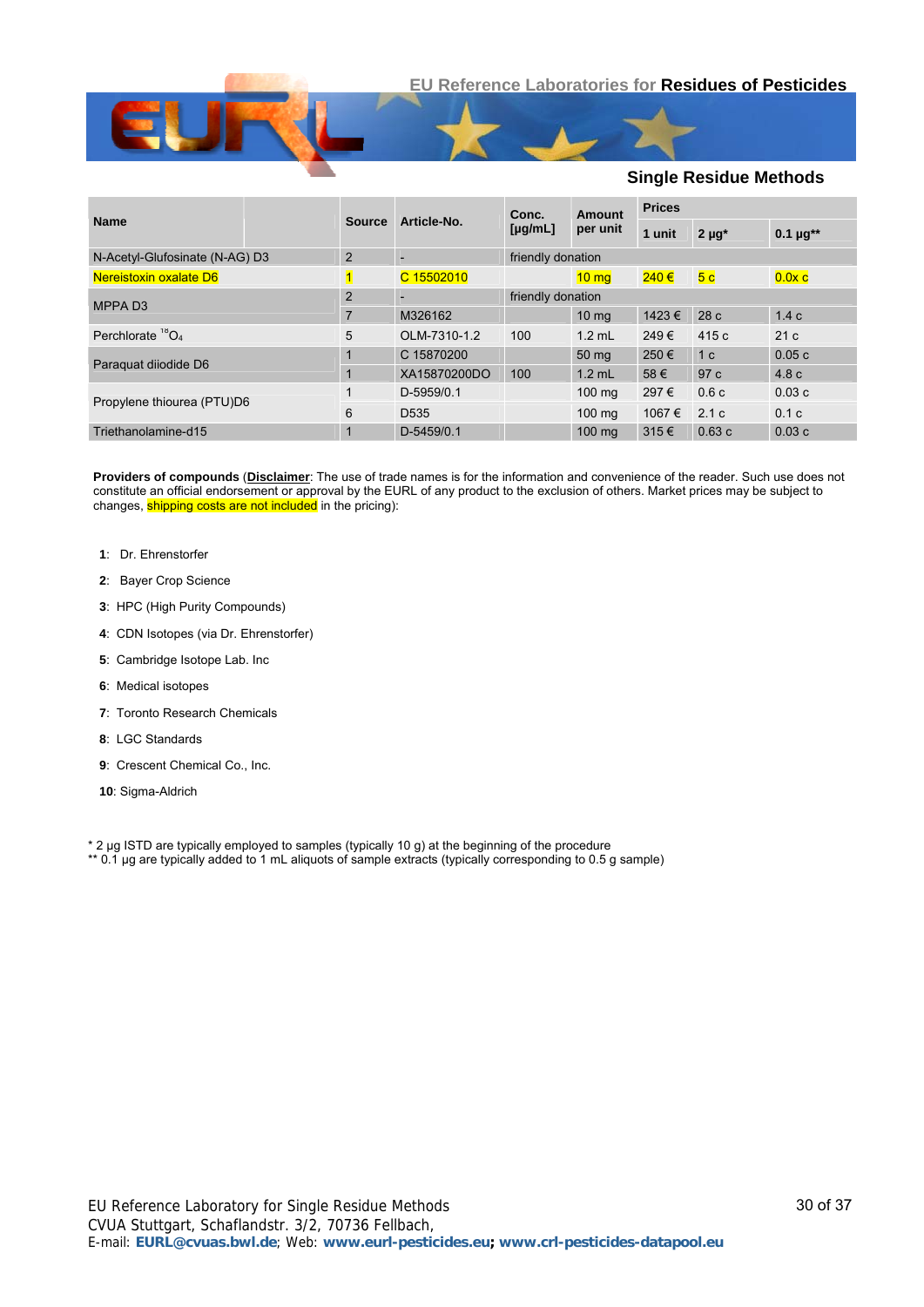

|                                |                |                          | Conc.             | Amount<br>per unit | <b>Prices</b> |                |                   |  |
|--------------------------------|----------------|--------------------------|-------------------|--------------------|---------------|----------------|-------------------|--|
| <b>Name</b>                    | <b>Source</b>  | Article-No.              | $[\mu g/mL]$      |                    | 1 unit        | $2 \mu q^*$    | $0.1 \mu g^{**}$  |  |
| N-Acetyl-Glufosinate (N-AG) D3 | 2              | <b>-</b>                 | friendly donation |                    |               |                |                   |  |
| Nereistoxin oxalate D6         |                | C 15502010               |                   | $10 \text{ mg}$    | $240 \in$     | 5 <sub>c</sub> | 0.0x <sub>c</sub> |  |
| MPPA <sub>D3</sub>             | $\overline{2}$ | $\overline{\phantom{0}}$ |                   | friendly donation  |               |                |                   |  |
|                                |                | M326162                  |                   | 10 <sub>ma</sub>   | 1423€         | 28c            | 1.4c              |  |
| Perchlorate ${}^{18}O_4$       | 5              | OLM-7310-1.2             | 100               | $1.2$ mL           | 249€          | 415 c          | 21c               |  |
| Paraguat diiodide D6           |                | C 15870200               |                   | 50 mg              | 250€          | 1 <sub>c</sub> | 0.05c             |  |
|                                |                | XA15870200DO             | 100               | $1.2$ mL           | 58€           | 97 c           | 4.8 <sub>c</sub>  |  |
| Propylene thiourea (PTU)D6     |                | D-5959/0.1               |                   | $100 \text{ mg}$   | 297€          | 0.6c           | 0.03c             |  |
|                                | 6              | D <sub>535</sub>         |                   | $100 \text{ mg}$   | 1067 €        | 2.1c           | 0.1c              |  |
| Triethanolamine-d15            |                | D-5459/0.1               |                   | $100 \text{ mg}$   | $315 \in$     | 0.63c          | 0.03c             |  |

**Providers of compounds** (**Disclaimer**: The use of trade names is for the information and convenience of the reader. Such use does not constitute an official endorsement or approval by the EURL of any product to the exclusion of others. Market prices may be subject to changes, **shipping costs are not included** in the pricing):

- **1**: Dr. Ehrenstorfer
- **2**: Bayer Crop Science
- **3**: HPC (High Purity Compounds)
- **4**: CDN Isotopes (via Dr. Ehrenstorfer)
- **5**: Cambridge Isotope Lab. Inc
- **6**: Medical isotopes
- **7**: Toronto Research Chemicals
- **8**: LGC Standards
- **9**: Crescent Chemical Co., Inc.
- **10**: Sigma-Aldrich

\* 2 µg ISTD are typically employed to samples (typically 10 g) at the beginning of the procedure

\*\* 0.1 µg are typically added to 1 mL aliquots of sample extracts (typically corresponding to 0.5 g sample)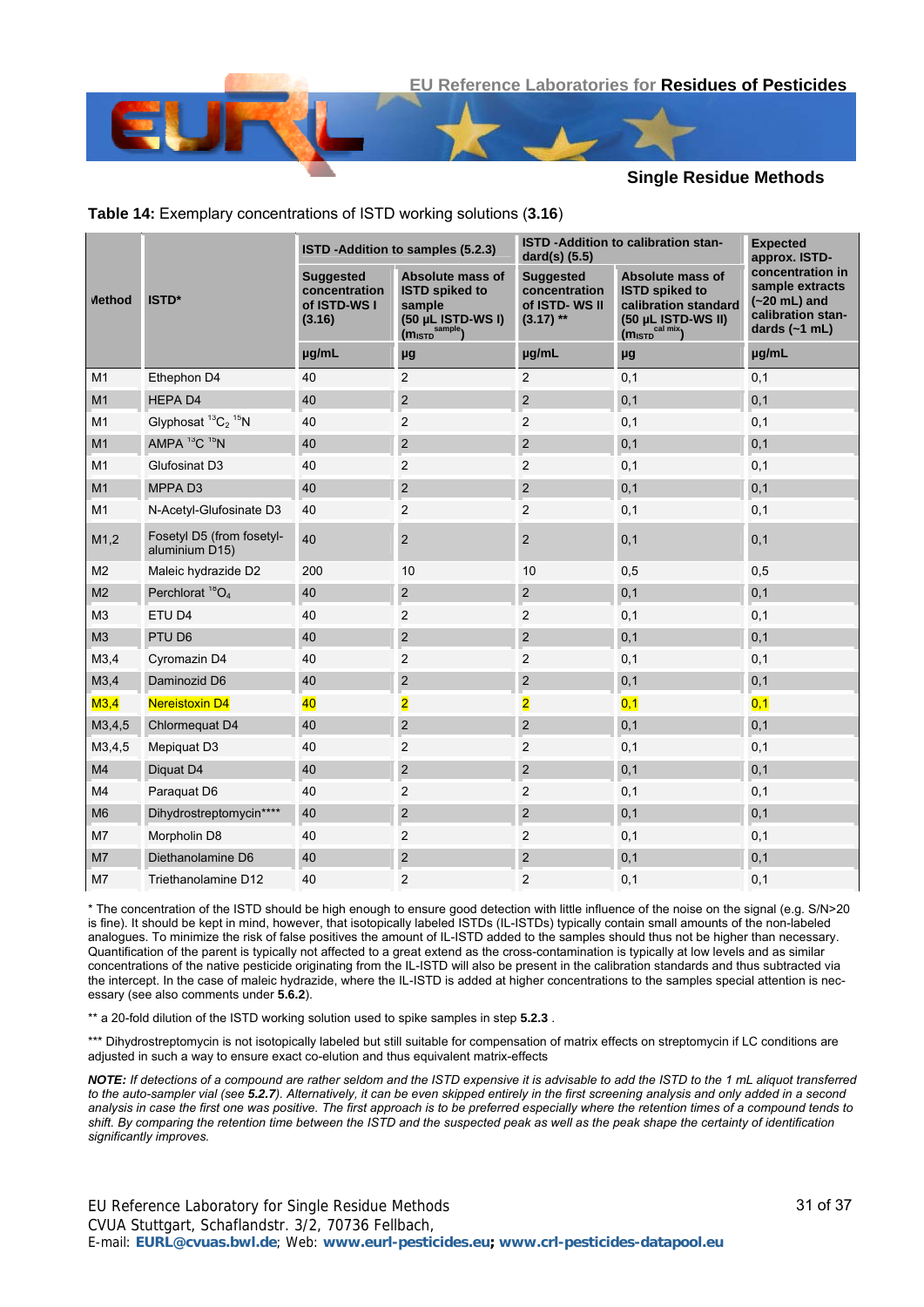|                |                                                        |                                                             | ISTD - Addition to samples (5.2.3)                                                                     | ISTD - Addition to calibration stan-<br>dard(s) (5.5)             | <b>Expected</b><br>approx. ISTD-                                                                                                   |                                                                                               |
|----------------|--------------------------------------------------------|-------------------------------------------------------------|--------------------------------------------------------------------------------------------------------|-------------------------------------------------------------------|------------------------------------------------------------------------------------------------------------------------------------|-----------------------------------------------------------------------------------------------|
| <b>Method</b>  | ISTD*                                                  | <b>Suggested</b><br>concentration<br>of ISTD-WS I<br>(3.16) | Absolute mass of<br><b>ISTD spiked to</b><br>sample<br>(50 µL ISTD-WS I)<br>(M <sub>ISTD</sub> sample) | <b>Suggested</b><br>concentration<br>of ISTD-WS II<br>$(3.17)$ ** | Absolute mass of<br><b>ISTD spiked to</b><br>calibration standard<br>(50 µL ISTD-WS II)<br>(m <sub>ISTD</sub> <sup>cal mix</sup> ) | concentration in<br>sample extracts<br>$(-20$ mL) and<br>calibration stan-<br>dards $(-1$ mL) |
|                |                                                        | µg/mL                                                       | μg                                                                                                     | µg/mL                                                             | μg                                                                                                                                 | µg/mL                                                                                         |
| M <sub>1</sub> | Ethephon D4                                            | 40                                                          | $\overline{c}$                                                                                         | $\overline{c}$                                                    | 0,1                                                                                                                                | 0,1                                                                                           |
| M1             | <b>HEPAD4</b>                                          | 40                                                          | $\overline{2}$                                                                                         | $\overline{c}$                                                    | 0,1                                                                                                                                | 0,1                                                                                           |
| M <sub>1</sub> | Glyphosat <sup>13</sup> C <sub>2</sub> <sup>15</sup> N | 40                                                          | $\overline{2}$                                                                                         | 2                                                                 | 0,1                                                                                                                                | 0,1                                                                                           |
| M1             | AMPA <sup>13</sup> C <sup>15</sup> N                   | 40                                                          | $\overline{2}$                                                                                         | $\overline{c}$                                                    | 0,1                                                                                                                                | 0,1                                                                                           |
| M1             | Glufosinat D3                                          | 40                                                          | $\overline{2}$                                                                                         | $\overline{c}$                                                    | 0,1                                                                                                                                | 0,1                                                                                           |
| M1             | MPPA <sub>D3</sub>                                     | 40                                                          | $\mathbf 2$                                                                                            | $\overline{c}$                                                    | 0,1                                                                                                                                | 0,1                                                                                           |
| M <sub>1</sub> | N-Acetyl-Glufosinate D3                                | 40                                                          | $\overline{2}$                                                                                         | 2                                                                 | 0,1                                                                                                                                | 0,1                                                                                           |
| M1,2           | Fosetyl D5 (from fosetyl-<br>aluminium D15)            | 40                                                          | $\overline{2}$                                                                                         | $\overline{2}$                                                    | 0,1                                                                                                                                | 0,1                                                                                           |
| M <sub>2</sub> | Maleic hydrazide D2                                    | 200                                                         | 10                                                                                                     | 10                                                                | 0,5                                                                                                                                | 0,5                                                                                           |
| M <sub>2</sub> | Perchlorat ${}^{18}O_4$                                | 40                                                          | $\overline{2}$                                                                                         | $\overline{c}$                                                    | 0,1                                                                                                                                | 0,1                                                                                           |
| M <sub>3</sub> | ETU D4                                                 | 40                                                          | $\overline{2}$                                                                                         | 2                                                                 | 0,1                                                                                                                                | 0,1                                                                                           |
| M3             | PTU D6                                                 | 40                                                          | $\overline{2}$                                                                                         | $\overline{c}$                                                    | 0,1                                                                                                                                | 0,1                                                                                           |
| M3,4           | Cyromazin D4                                           | 40                                                          | $\overline{2}$                                                                                         | $\overline{c}$                                                    | 0,1                                                                                                                                | 0,1                                                                                           |
| M3,4           | Daminozid D6                                           | 40                                                          | $\overline{2}$                                                                                         | $\overline{c}$                                                    | 0,1                                                                                                                                | 0,1                                                                                           |
| M3,4           | <b>Nereistoxin D4</b>                                  | 40                                                          | $\overline{\mathbf{2}}$                                                                                | 2                                                                 | 0,1                                                                                                                                | 0,1                                                                                           |
| M3,4,5         | Chlormequat D4                                         | 40                                                          | $\overline{2}$                                                                                         | $\overline{c}$                                                    | 0,1                                                                                                                                | 0,1                                                                                           |
| M3,4,5         | Mepiquat D3                                            | 40                                                          | $\overline{c}$                                                                                         | $\overline{c}$                                                    | 0,1                                                                                                                                | 0,1                                                                                           |
| M <sub>4</sub> | Diguat D4                                              | 40                                                          | $\overline{2}$                                                                                         | $\overline{c}$                                                    | 0,1                                                                                                                                | 0,1                                                                                           |
| M4             | Paraquat D6                                            | 40                                                          | $\overline{c}$                                                                                         | 2                                                                 | 0,1                                                                                                                                | 0,1                                                                                           |
| M <sub>6</sub> | Dihydrostreptomycin****                                | 40                                                          | $\overline{2}$                                                                                         | $\overline{c}$                                                    | 0,1                                                                                                                                | 0,1                                                                                           |
| M7             | Morpholin D8                                           | 40                                                          | $\overline{c}$                                                                                         | $\overline{c}$                                                    | 0,1                                                                                                                                | 0,1                                                                                           |
| M7             | Diethanolamine D6                                      | 40                                                          | $\overline{2}$                                                                                         | $\overline{c}$                                                    | 0,1                                                                                                                                | 0,1                                                                                           |
| M7             | Triethanolamine D12                                    | 40                                                          | $\overline{2}$                                                                                         | $\overline{2}$                                                    | 0,1                                                                                                                                | 0,1                                                                                           |

<span id="page-30-0"></span>**Table 14:** Exemplary concentrations of ISTD working solutions (**[3.16](#page-3-1)**)

\* The concentration of the ISTD should be high enough to ensure good detection with little influence of the noise on the signal (e.g. S/N>20 is fine). It should be kept in mind, however, that isotopically labeled ISTDs (IL-ISTDs) typically contain small amounts of the non-labeled analogues. To minimize the risk of false positives the amount of IL-ISTD added to the samples should thus not be higher than necessary. Quantification of the parent is typically not affected to a great extend as the cross-contamination is typically at low levels and as similar concentrations of the native pesticide originating from the IL-ISTD will also be present in the calibration standards and thus subtracted via the intercept. In the case of maleic hydrazide, where the IL-ISTD is added at higher concentrations to the samples special attention is necessary (see also comments under **[5.6.2](#page-11-0)**).

\*\* a 20-fold dilution of the ISTD working solution used to spike samples in step **[5.2.3](#page-4-2)** .

\*\*\* Dihydrostreptomycin is not isotopically labeled but still suitable for compensation of matrix effects on streptomycin if LC conditions are adjusted in such a way to ensure exact co-elution and thus equivalent matrix-effects

*NOTE: If detections of a compound are rather seldom and the ISTD expensive it is advisable to add the ISTD to the 1 mL aliquot transferred to the auto-sampler vial (see [5.2.7](#page-5-6)). Alternatively, it can be even skipped entirely in the first screening analysis and only added in a second analysis in case the first one was positive. The first approach is to be preferred especially where the retention times of a compound tends to shift. By comparing the retention time between the ISTD and the suspected peak as well as the peak shape the certainty of identification significantly improves.*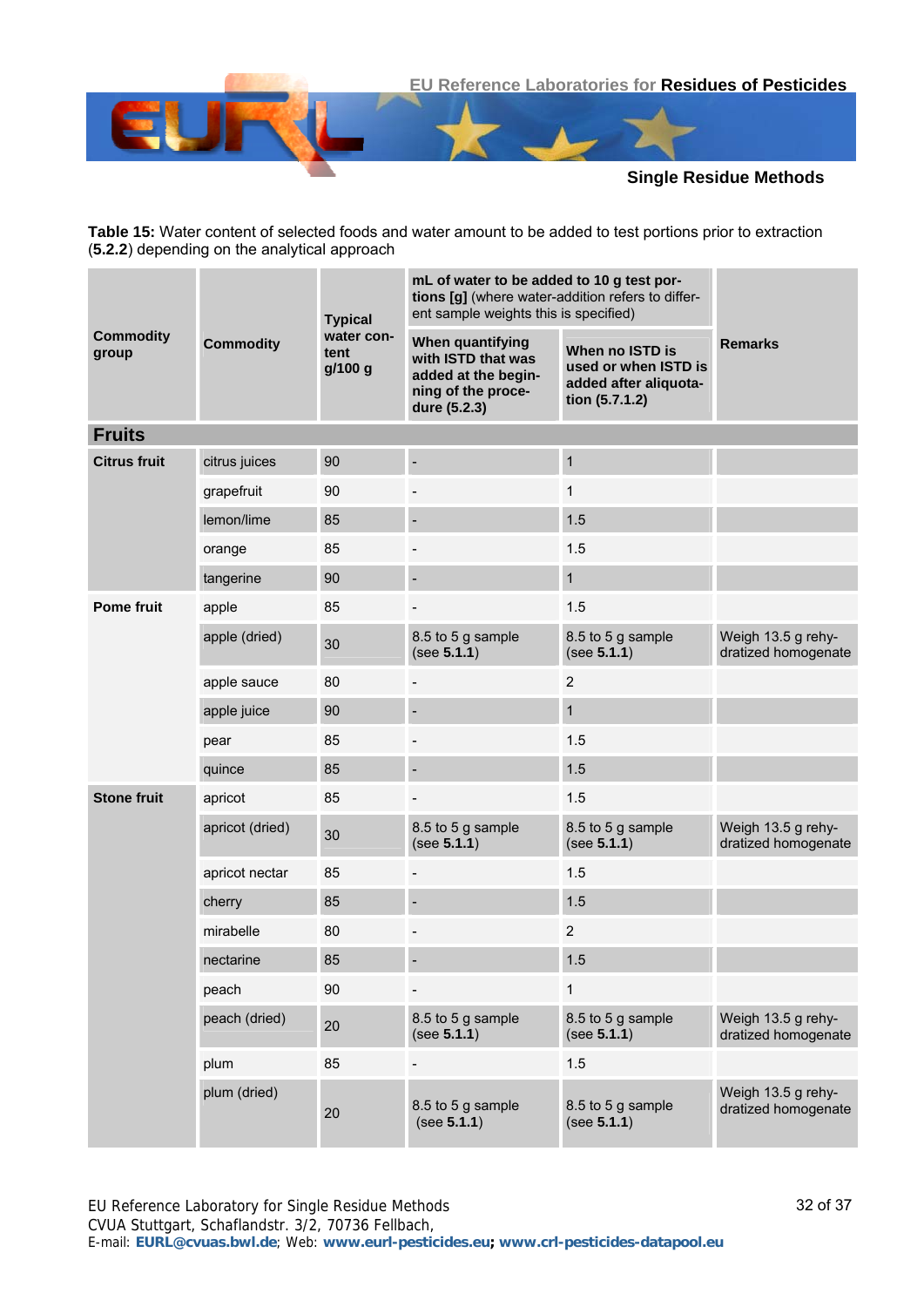

<span id="page-31-0"></span>**Table 15:** Water content of selected foods and water amount to be added to test portions prior to extraction (**[5.2.2](#page-4-1)**) depending on the analytical approach

|                           | <b>Commodity</b> | <b>Typical</b>                | mL of water to be added to 10 g test por-<br>tions [g] (where water-addition refers to differ-<br>ent sample weights this is specified) |                                                                                    |                                           |
|---------------------------|------------------|-------------------------------|-----------------------------------------------------------------------------------------------------------------------------------------|------------------------------------------------------------------------------------|-------------------------------------------|
| <b>Commodity</b><br>group |                  | water con-<br>tent<br>g/100 g | When quantifying<br>with ISTD that was<br>added at the begin-<br>ning of the proce-<br>dure (5.2.3)                                     | When no ISTD is<br>used or when ISTD is<br>added after aliquota-<br>tion (5.7.1.2) | <b>Remarks</b>                            |
| <b>Fruits</b>             |                  |                               |                                                                                                                                         |                                                                                    |                                           |
| <b>Citrus fruit</b>       | citrus juices    | 90                            |                                                                                                                                         | $\mathbf{1}$                                                                       |                                           |
|                           | grapefruit       | 90                            |                                                                                                                                         | $\mathbf{1}$                                                                       |                                           |
|                           | lemon/lime       | 85                            |                                                                                                                                         | 1.5                                                                                |                                           |
|                           | orange           | 85                            |                                                                                                                                         | 1.5                                                                                |                                           |
|                           | tangerine        | 90                            |                                                                                                                                         | $\mathbf{1}$                                                                       |                                           |
| <b>Pome fruit</b>         | apple            | 85                            |                                                                                                                                         | 1.5                                                                                |                                           |
|                           | apple (dried)    | 30                            | 8.5 to 5 g sample<br>(see 5.1.1)                                                                                                        | 8.5 to 5 g sample<br>(see 5.1.1)                                                   | Weigh 13.5 g rehy-<br>dratized homogenate |
|                           | apple sauce      | 80                            |                                                                                                                                         | $\overline{c}$                                                                     |                                           |
|                           | apple juice      | 90                            |                                                                                                                                         | $\mathbf{1}$                                                                       |                                           |
|                           | pear             | 85                            |                                                                                                                                         | 1.5                                                                                |                                           |
|                           | quince           | 85                            |                                                                                                                                         | 1.5                                                                                |                                           |
| <b>Stone fruit</b>        | apricot          | 85                            |                                                                                                                                         | 1.5                                                                                |                                           |
|                           | apricot (dried)  | 30                            | 8.5 to 5 g sample<br>(see 5.1.1)                                                                                                        | 8.5 to 5 g sample<br>(see 5.1.1)                                                   | Weigh 13.5 g rehy-<br>dratized homogenate |
|                           | apricot nectar   | 85                            |                                                                                                                                         | 1.5                                                                                |                                           |
|                           | cherry           | 85                            |                                                                                                                                         | 1.5                                                                                |                                           |
|                           | mirabelle        | 80                            |                                                                                                                                         | $\mathbf 2$                                                                        |                                           |
|                           | nectarine        | 85                            |                                                                                                                                         | 1.5                                                                                |                                           |
|                           | peach            | 90                            | $\blacksquare$                                                                                                                          | $\mathbf{1}$                                                                       |                                           |
|                           | peach (dried)    | 20                            | 8.5 to 5 g sample<br>(see 5.1.1)                                                                                                        | 8.5 to 5 g sample<br>(see 5.1.1)                                                   | Weigh 13.5 g rehy-<br>dratized homogenate |
|                           | plum             | 85                            |                                                                                                                                         | 1.5                                                                                |                                           |
|                           | plum (dried)     | 20                            | 8.5 to 5 g sample<br>(see 5.1.1)                                                                                                        | 8.5 to 5 g sample<br>(see 5.1.1)                                                   | Weigh 13.5 g rehy-<br>dratized homogenate |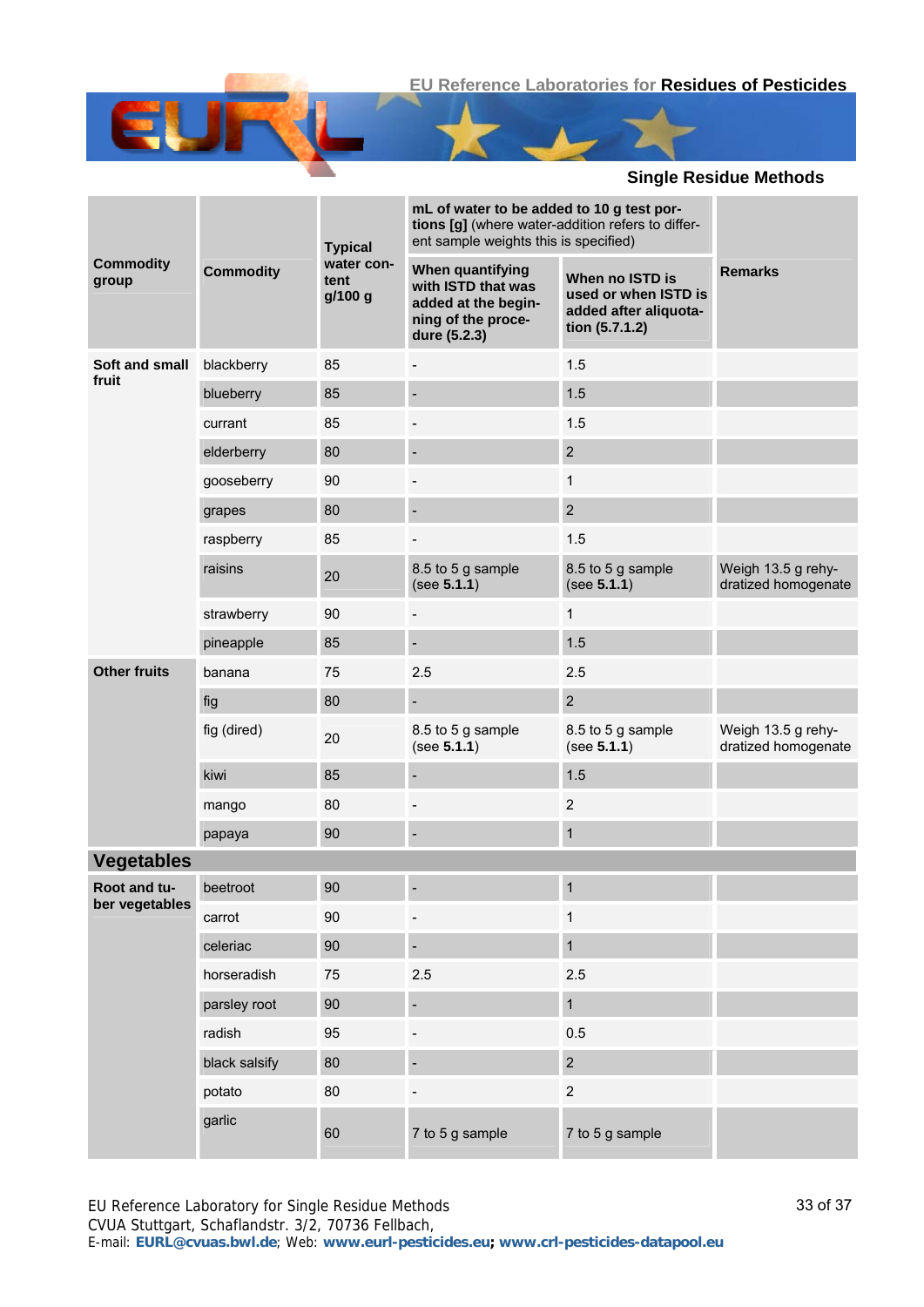|                                |                  | <b>Typical</b>                | mL of water to be added to 10 g test por-<br>tions [g] (where water-addition refers to differ-<br>ent sample weights this is specified) |                                                                                    |                                           |
|--------------------------------|------------------|-------------------------------|-----------------------------------------------------------------------------------------------------------------------------------------|------------------------------------------------------------------------------------|-------------------------------------------|
| <b>Commodity</b><br>group      | <b>Commodity</b> | water con-<br>tent<br>g/100 g | When quantifying<br>with ISTD that was<br>added at the begin-<br>ning of the proce-<br>dure (5.2.3)                                     | When no ISTD is<br>used or when ISTD is<br>added after aliquota-<br>tion (5.7.1.2) | <b>Remarks</b>                            |
| Soft and small                 | blackberry       | 85                            | $\overline{a}$                                                                                                                          | 1.5                                                                                |                                           |
| fruit                          | blueberry        | 85                            |                                                                                                                                         | 1.5                                                                                |                                           |
|                                | currant          | 85                            |                                                                                                                                         | 1.5                                                                                |                                           |
|                                | elderberry       | 80                            |                                                                                                                                         | $\overline{2}$                                                                     |                                           |
|                                | gooseberry       | 90                            |                                                                                                                                         | 1                                                                                  |                                           |
|                                | grapes           | 80                            |                                                                                                                                         | $\overline{2}$                                                                     |                                           |
|                                | raspberry        | 85                            |                                                                                                                                         | 1.5                                                                                |                                           |
|                                | raisins          | 20                            | 8.5 to 5 g sample<br>(see 5.1.1)                                                                                                        | 8.5 to 5 g sample<br>(see 5.1.1)                                                   | Weigh 13.5 g rehy-<br>dratized homogenate |
|                                | strawberry       | 90                            | $\overline{\phantom{a}}$                                                                                                                | 1                                                                                  |                                           |
|                                | pineapple        | 85                            | $\overline{\phantom{a}}$                                                                                                                | 1.5                                                                                |                                           |
| <b>Other fruits</b>            | banana           | 75                            | 2.5                                                                                                                                     | 2.5                                                                                |                                           |
|                                | fig              | 80                            |                                                                                                                                         | $\overline{2}$                                                                     |                                           |
|                                | fig (dired)      | 20                            | 8.5 to 5 g sample<br>(see 5.1.1)                                                                                                        | 8.5 to 5 g sample<br>(see 5.1.1)                                                   | Weigh 13.5 g rehy-<br>dratized homogenate |
|                                | kiwi             | 85                            |                                                                                                                                         | 1.5                                                                                |                                           |
|                                | mango            | 80                            |                                                                                                                                         | $\overline{c}$                                                                     |                                           |
|                                | papaya           | 90                            |                                                                                                                                         | 1                                                                                  |                                           |
| <b>Vegetables</b>              |                  |                               |                                                                                                                                         |                                                                                    |                                           |
| Root and tu-<br>ber vegetables | beetroot         | 90                            |                                                                                                                                         | 1                                                                                  |                                           |
|                                | carrot           | 90                            |                                                                                                                                         | 1                                                                                  |                                           |
|                                | celeriac         | 90                            |                                                                                                                                         | 1                                                                                  |                                           |
|                                | horseradish      | 75                            | 2.5                                                                                                                                     | 2.5                                                                                |                                           |
|                                | parsley root     | 90                            |                                                                                                                                         | $\mathbf{1}$                                                                       |                                           |
|                                | radish           | 95                            |                                                                                                                                         | 0.5                                                                                |                                           |
|                                | black salsify    | 80                            |                                                                                                                                         | $\overline{\mathbf{c}}$                                                            |                                           |
|                                | potato           | 80                            |                                                                                                                                         | $\overline{2}$                                                                     |                                           |
|                                | garlic           | 60                            | 7 to 5 g sample                                                                                                                         | 7 to 5 g sample                                                                    |                                           |

E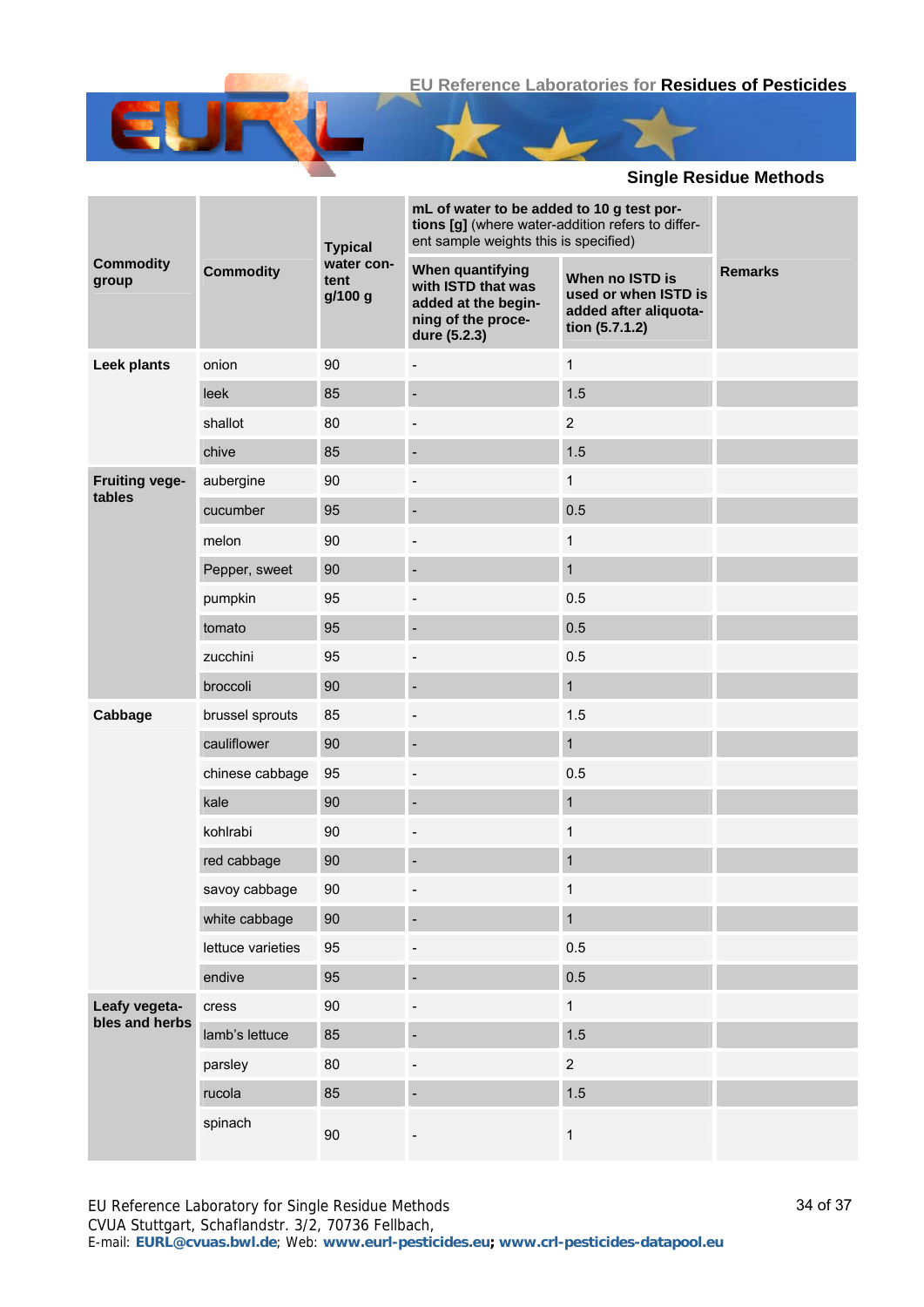|                                 |                   | <b>Typical</b>                | mL of water to be added to 10 g test por-<br>tions [g] (where water-addition refers to differ-<br>ent sample weights this is specified) |                                                                                    |                |
|---------------------------------|-------------------|-------------------------------|-----------------------------------------------------------------------------------------------------------------------------------------|------------------------------------------------------------------------------------|----------------|
| <b>Commodity</b><br>group       | <b>Commodity</b>  | water con-<br>tent<br>g/100 g | When quantifying<br>with ISTD that was<br>added at the begin-<br>ning of the proce-<br>dure (5.2.3)                                     | When no ISTD is<br>used or when ISTD is<br>added after aliquota-<br>tion (5.7.1.2) | <b>Remarks</b> |
| Leek plants                     | onion             | 90                            | $\overline{\phantom{a}}$                                                                                                                | $\mathbf{1}$                                                                       |                |
|                                 | leek              | 85                            |                                                                                                                                         | 1.5                                                                                |                |
|                                 | shallot           | 80                            |                                                                                                                                         | $\overline{2}$                                                                     |                |
|                                 | chive             | 85                            |                                                                                                                                         | 1.5                                                                                |                |
| <b>Fruiting vege-</b><br>tables | aubergine         | 90                            |                                                                                                                                         | 1                                                                                  |                |
|                                 | cucumber          | 95                            |                                                                                                                                         | 0.5                                                                                |                |
|                                 | melon             | 90                            |                                                                                                                                         | 1                                                                                  |                |
|                                 | Pepper, sweet     | 90                            |                                                                                                                                         | $\mathbf{1}$                                                                       |                |
|                                 | pumpkin           | 95                            |                                                                                                                                         | 0.5                                                                                |                |
|                                 | tomato            | 95                            |                                                                                                                                         | 0.5                                                                                |                |
|                                 | zucchini          | 95                            |                                                                                                                                         | 0.5                                                                                |                |
|                                 | broccoli          | 90                            |                                                                                                                                         | $\mathbf{1}$                                                                       |                |
| Cabbage                         | brussel sprouts   | 85                            |                                                                                                                                         | 1.5                                                                                |                |
|                                 | cauliflower       | 90                            |                                                                                                                                         | $\mathbf{1}$                                                                       |                |
|                                 | chinese cabbage   | 95                            |                                                                                                                                         | 0.5                                                                                |                |
|                                 | kale              | 90                            |                                                                                                                                         | $\mathbf{1}$                                                                       |                |
|                                 | kohlrabi          | 90                            | $\overline{\phantom{0}}$                                                                                                                | 1                                                                                  |                |
|                                 | red cabbage       | 90                            |                                                                                                                                         | $\mathbf{1}$                                                                       |                |
|                                 | savoy cabbage     | $90\,$                        |                                                                                                                                         | 1                                                                                  |                |
|                                 | white cabbage     | 90                            |                                                                                                                                         | $\mathbf{1}$                                                                       |                |
|                                 | lettuce varieties | 95                            |                                                                                                                                         | 0.5                                                                                |                |
|                                 | endive            | 95                            |                                                                                                                                         | 0.5                                                                                |                |
| Leafy vegeta-<br>bles and herbs | cress             | $90\,$                        |                                                                                                                                         | $\mathbf 1$                                                                        |                |
|                                 | lamb's lettuce    | 85                            |                                                                                                                                         | 1.5                                                                                |                |
|                                 | parsley           | 80                            |                                                                                                                                         | $\overline{2}$                                                                     |                |
|                                 | rucola            | 85                            |                                                                                                                                         | 1.5                                                                                |                |
|                                 | spinach           | $90\,$                        |                                                                                                                                         | $\mathbf{1}$                                                                       |                |

E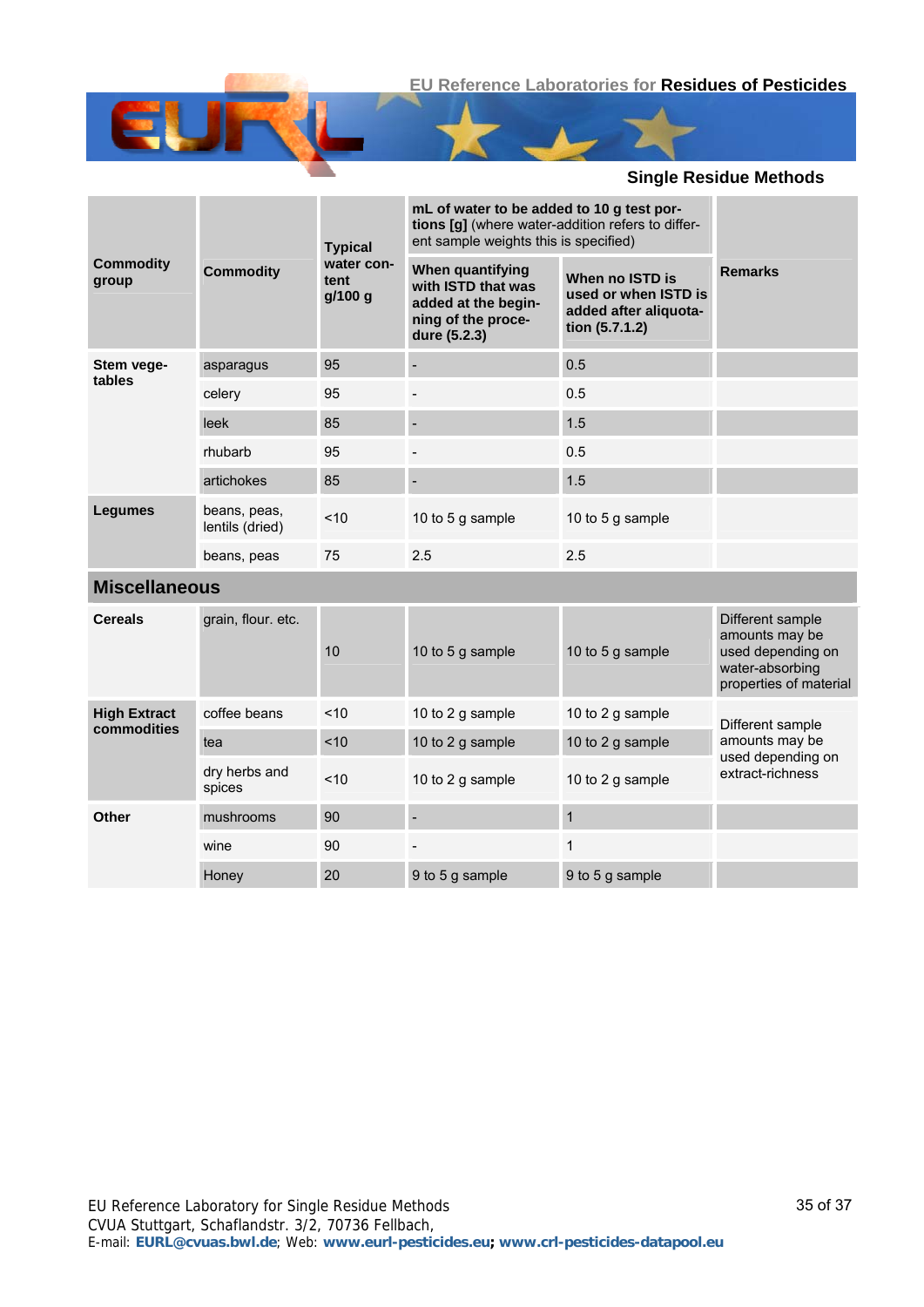|                           | <b>Typical</b>                  |                               | mL of water to be added to 10 g test por-<br>tions [g] (where water-addition refers to differ-<br>ent sample weights this is specified) |                                                                                    |                                                                                                      |
|---------------------------|---------------------------------|-------------------------------|-----------------------------------------------------------------------------------------------------------------------------------------|------------------------------------------------------------------------------------|------------------------------------------------------------------------------------------------------|
| <b>Commodity</b><br>group | <b>Commodity</b>                | water con-<br>tent<br>g/100 g | When quantifying<br>with ISTD that was<br>added at the begin-<br>ning of the proce-<br>dure (5.2.3)                                     | When no ISTD is<br>used or when ISTD is<br>added after aliquota-<br>tion (5.7.1.2) | <b>Remarks</b>                                                                                       |
| Stem vege-<br>tables      | asparagus                       | 95                            |                                                                                                                                         | 0.5                                                                                |                                                                                                      |
|                           | celery                          | 95                            |                                                                                                                                         | 0.5                                                                                |                                                                                                      |
|                           | leek                            | 85                            |                                                                                                                                         | 1.5                                                                                |                                                                                                      |
|                           | rhubarb                         | 95                            |                                                                                                                                         | 0.5                                                                                |                                                                                                      |
|                           | artichokes                      | 85                            |                                                                                                                                         | 1.5                                                                                |                                                                                                      |
| <b>Legumes</b>            | beans, peas,<br>lentils (dried) | < 10                          | 10 to 5 g sample                                                                                                                        | 10 to 5 g sample                                                                   |                                                                                                      |
|                           | beans, peas                     | 75                            | 2.5                                                                                                                                     | 2.5                                                                                |                                                                                                      |
| <b>Miscellaneous</b>      |                                 |                               |                                                                                                                                         |                                                                                    |                                                                                                      |
| <b>Cereals</b>            | grain, flour. etc.              | 10                            | 10 to 5 g sample                                                                                                                        | 10 to 5 g sample                                                                   | Different sample<br>amounts may be<br>used depending on<br>water-absorbing<br>properties of material |
| <b>High Extract</b>       | coffee beans                    | < 10                          | 10 to 2 g sample                                                                                                                        | 10 to 2 g sample                                                                   | Different sample                                                                                     |
| commodities               | tea                             | ~10                           | 10 to 2 g sample                                                                                                                        | 10 to 2 g sample                                                                   | amounts may be<br>used depending on                                                                  |
|                           | dry herbs and<br>spices         | ~10                           | 10 to 2 g sample                                                                                                                        | 10 to 2 g sample                                                                   | extract-richness                                                                                     |
| Other                     | mushrooms                       | 90                            |                                                                                                                                         | $\mathbf{1}$                                                                       |                                                                                                      |
|                           | wine                            | 90                            |                                                                                                                                         | $\mathbf{1}$                                                                       |                                                                                                      |
|                           | Honey                           | 20                            | 9 to 5 g sample                                                                                                                         | 9 to 5 g sample                                                                    |                                                                                                      |

E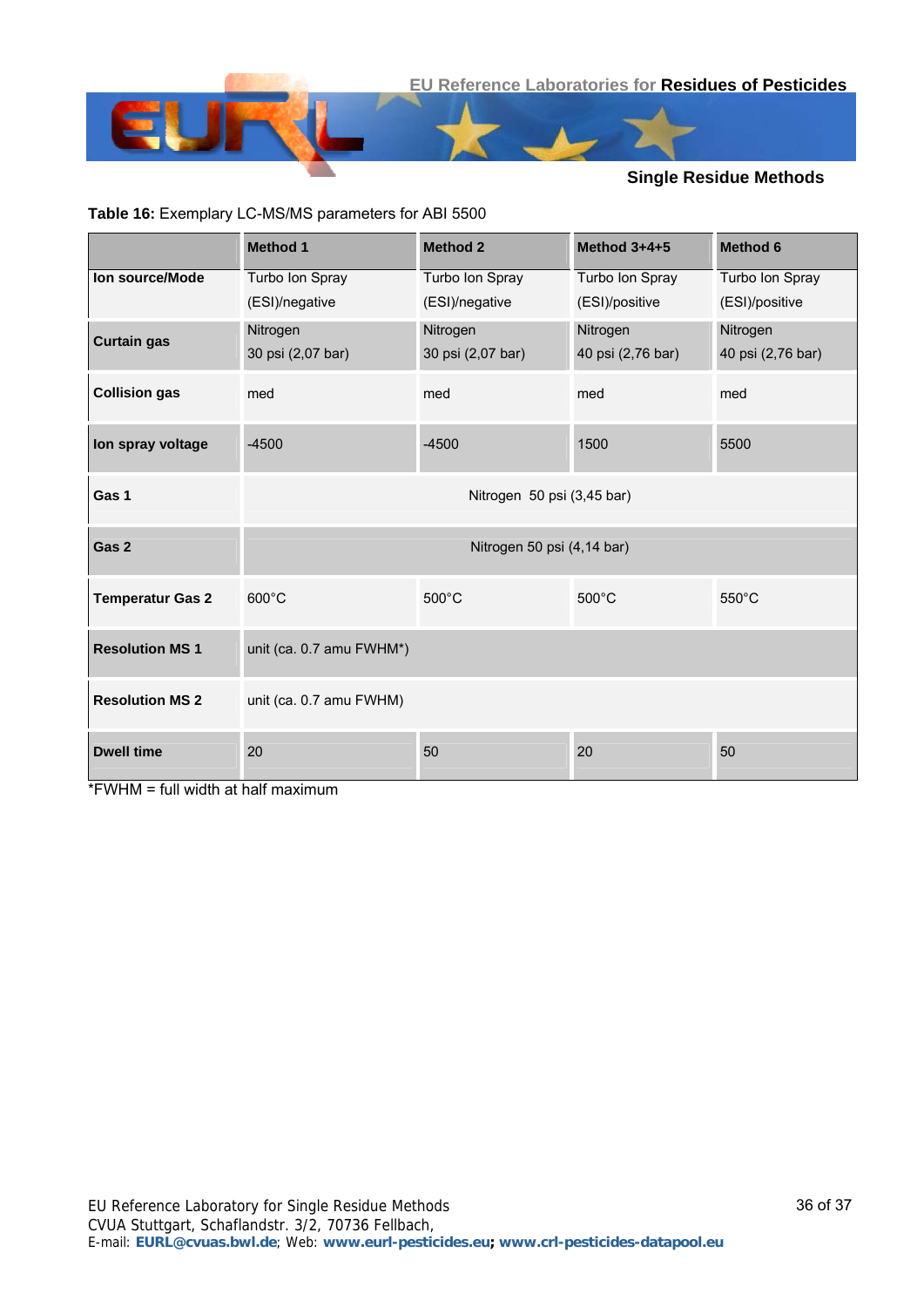

#### **Table 16:** Exemplary LC-MS/MS parameters for ABI 5500

|                         | <b>Method 1</b>            | <b>Method 2</b>            | Method $3+4+5$    | <b>Method 6</b>   |  |  |  |
|-------------------------|----------------------------|----------------------------|-------------------|-------------------|--|--|--|
| Ion source/Mode         | Turbo Ion Spray            | Turbo Ion Spray            | Turbo Ion Spray   | Turbo Ion Spray   |  |  |  |
|                         | (ESI)/negative             | (ESI)/negative             | (ESI)/positive    | (ESI)/positive    |  |  |  |
| <b>Curtain gas</b>      | Nitrogen                   | Nitrogen                   | Nitrogen          | Nitrogen          |  |  |  |
|                         | 30 psi (2,07 bar)          | 30 psi (2,07 bar)          | 40 psi (2,76 bar) | 40 psi (2,76 bar) |  |  |  |
| <b>Collision gas</b>    | med                        | med                        | med               | med               |  |  |  |
| Ion spray voltage       | $-4500$                    | $-4500$                    | 1500              | 5500              |  |  |  |
| Gas 1                   | Nitrogen 50 psi (3,45 bar) |                            |                   |                   |  |  |  |
| Gas 2                   |                            | Nitrogen 50 psi (4,14 bar) |                   |                   |  |  |  |
| <b>Temperatur Gas 2</b> | $600^{\circ}$ C            | 500°C                      | 500°C             | $550^{\circ}$ C   |  |  |  |
| <b>Resolution MS1</b>   | unit (ca. 0.7 amu FWHM*)   |                            |                   |                   |  |  |  |
| <b>Resolution MS 2</b>  | unit (ca. 0.7 amu FWHM)    |                            |                   |                   |  |  |  |
| <b>Dwell time</b>       | 20                         | 50                         | 20                | 50                |  |  |  |

\*FWHM = full width at half maximum